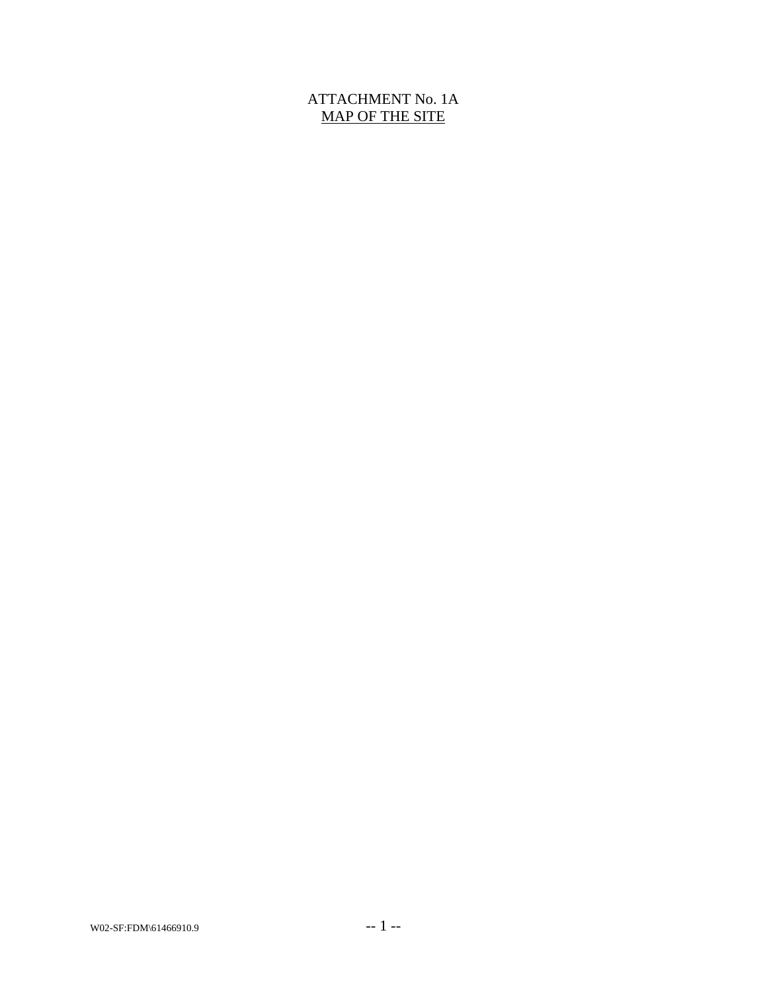## ATTACHMENT No. 1A MAP OF THE SITE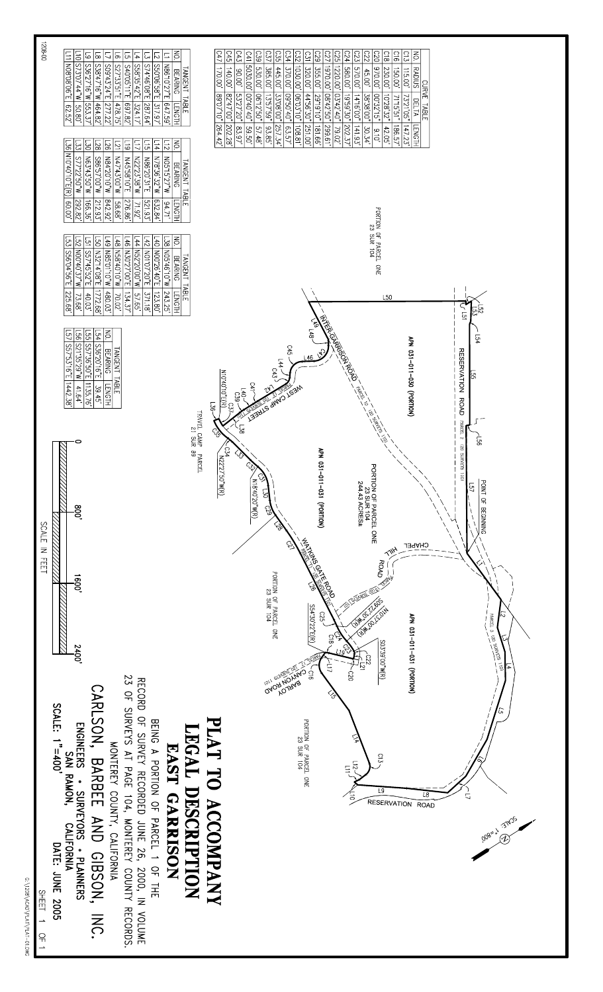

G: \1208\ACAD\PLAT\PLAT-01.DWG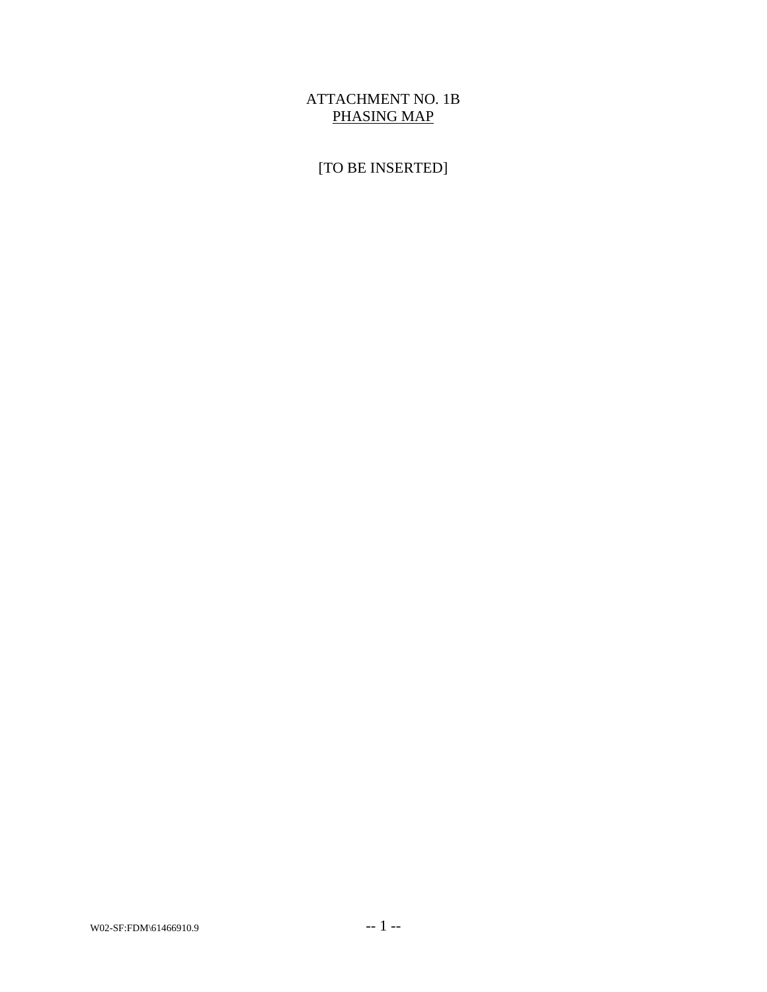## ATTACHMENT NO. 1B PHASING MAP

# [TO BE INSERTED]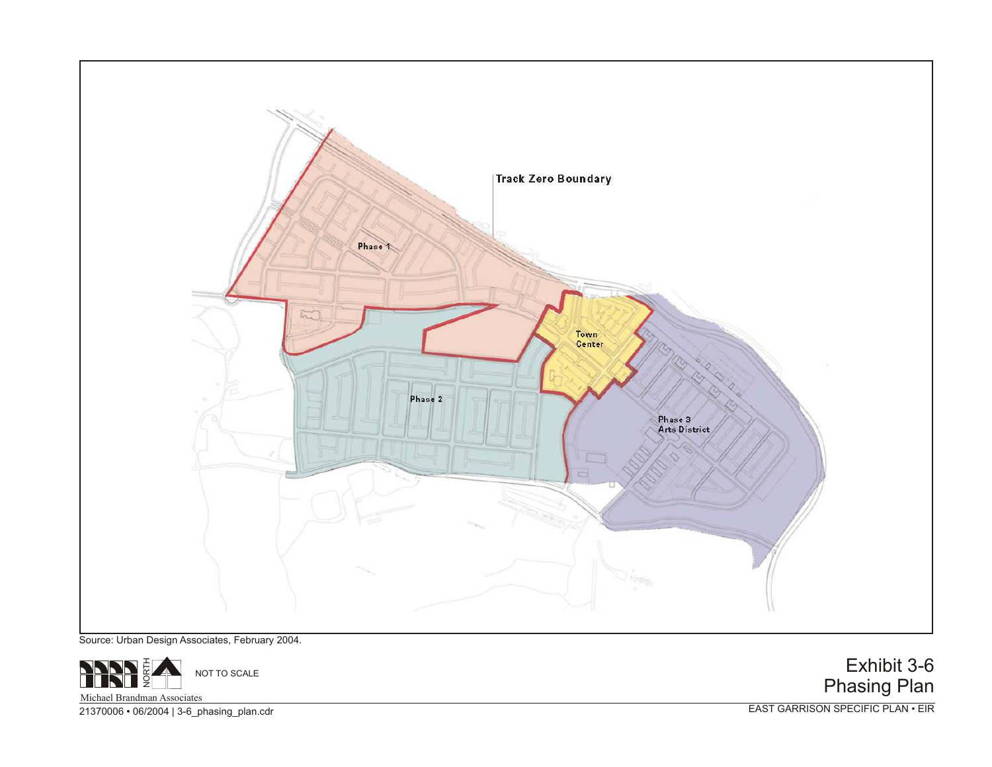

Source: Urban Design Associates, February 2004.



Exhibit 3-6 Phasing Plan

21370006 • 06/2004 | 3-6\_phasing\_plan.cdr

EAST GARRISON SPECIFIC PLAN • EIR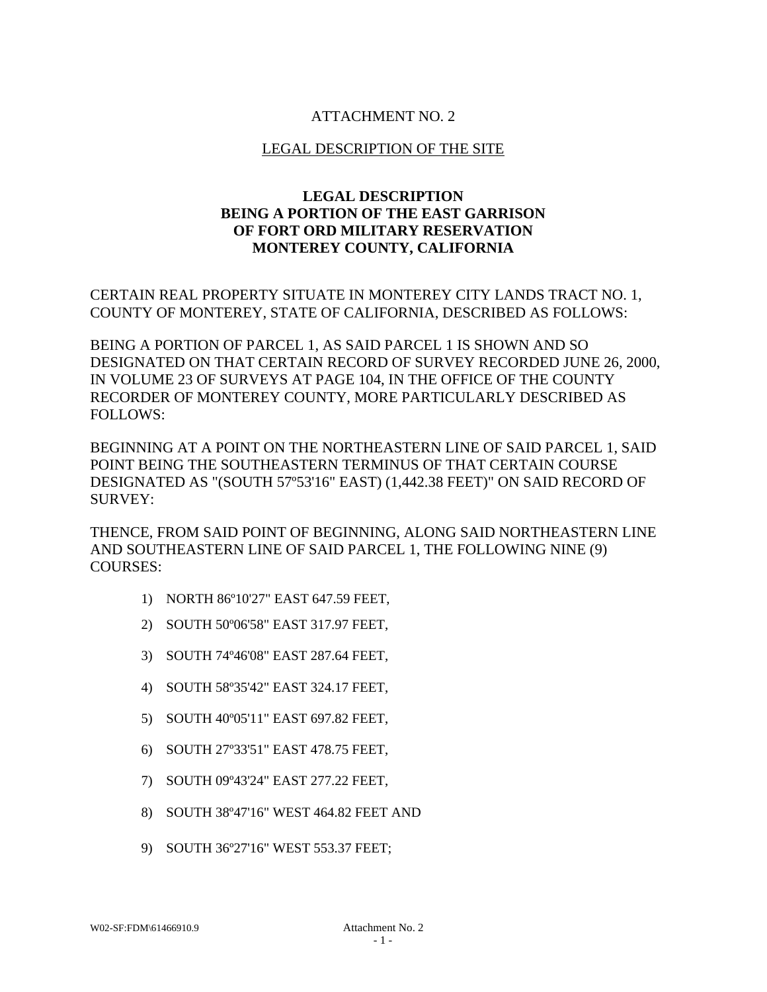## ATTACHMENT NO. 2

#### LEGAL DESCRIPTION OF THE SITE

## **LEGAL DESCRIPTION BEING A PORTION OF THE EAST GARRISON OF FORT ORD MILITARY RESERVATION MONTEREY COUNTY, CALIFORNIA**

CERTAIN REAL PROPERTY SITUATE IN MONTEREY CITY LANDS TRACT NO. 1, COUNTY OF MONTEREY, STATE OF CALIFORNIA, DESCRIBED AS FOLLOWS:

BEING A PORTION OF PARCEL 1, AS SAID PARCEL 1 IS SHOWN AND SO DESIGNATED ON THAT CERTAIN RECORD OF SURVEY RECORDED JUNE 26, 2000, IN VOLUME 23 OF SURVEYS AT PAGE 104, IN THE OFFICE OF THE COUNTY RECORDER OF MONTEREY COUNTY, MORE PARTICULARLY DESCRIBED AS FOLLOWS:

BEGINNING AT A POINT ON THE NORTHEASTERN LINE OF SAID PARCEL 1, SAID POINT BEING THE SOUTHEASTERN TERMINUS OF THAT CERTAIN COURSE DESIGNATED AS "(SOUTH 57º53'16" EAST) (1,442.38 FEET)" ON SAID RECORD OF SURVEY:

THENCE, FROM SAID POINT OF BEGINNING, ALONG SAID NORTHEASTERN LINE AND SOUTHEASTERN LINE OF SAID PARCEL 1, THE FOLLOWING NINE (9) COURSES:

- 1) NORTH 86º10'27" EAST 647.59 FEET,
- 2) SOUTH 50º06'58" EAST 317.97 FEET,
- 3) SOUTH 74º46'08" EAST 287.64 FEET,
- 4) SOUTH 58º35'42" EAST 324.17 FEET,
- 5) SOUTH 40º05'11" EAST 697.82 FEET,
- 6) SOUTH 27º33'51" EAST 478.75 FEET,
- 7) SOUTH 09º43'24" EAST 277.22 FEET,
- 8) SOUTH 38º47'16" WEST 464.82 FEET AND
- 9) SOUTH 36º27'16" WEST 553.37 FEET;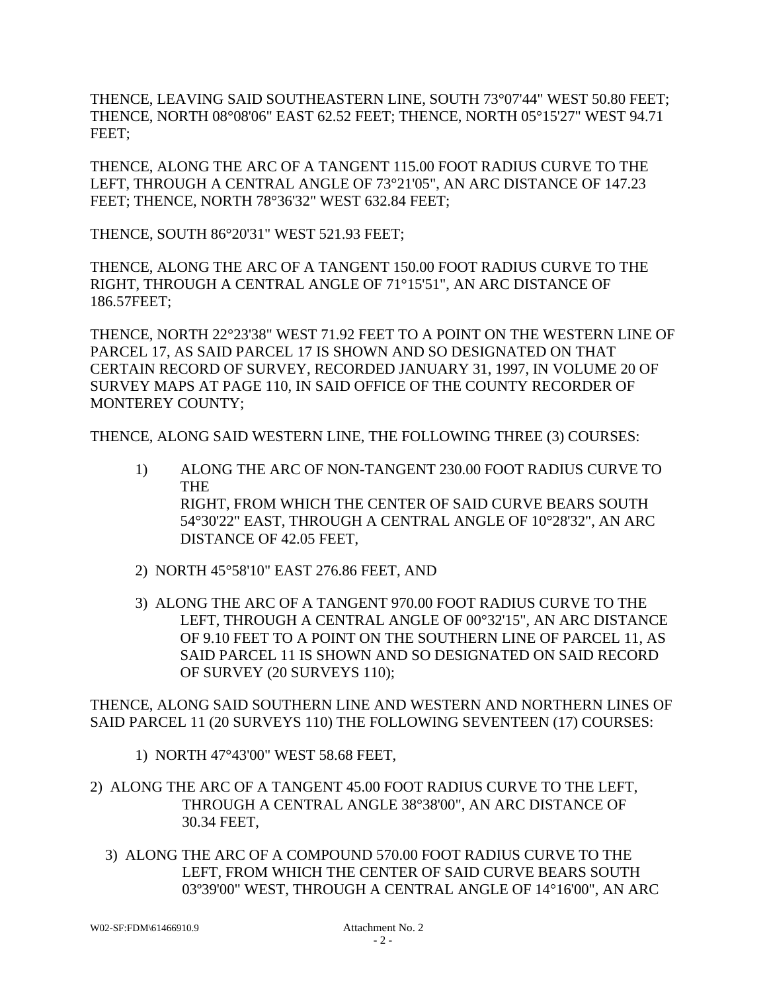THENCE, LEAVING SAID SOUTHEASTERN LINE, SOUTH 73°07'44" WEST 50.80 FEET; THENCE, NORTH 08°08'06" EAST 62.52 FEET; THENCE, NORTH 05°15'27" WEST 94.71 FEET;

THENCE, ALONG THE ARC OF A TANGENT 115.00 FOOT RADIUS CURVE TO THE LEFT, THROUGH A CENTRAL ANGLE OF 73°21'05", AN ARC DISTANCE OF 147.23 FEET; THENCE, NORTH 78°36'32" WEST 632.84 FEET;

THENCE, SOUTH 86°20'31" WEST 521.93 FEET;

THENCE, ALONG THE ARC OF A TANGENT 150.00 FOOT RADIUS CURVE TO THE RIGHT, THROUGH A CENTRAL ANGLE OF 71°15'51", AN ARC DISTANCE OF 186.57FEET;

THENCE, NORTH 22°23'38" WEST 71.92 FEET TO A POINT ON THE WESTERN LINE OF PARCEL 17, AS SAID PARCEL 17 IS SHOWN AND SO DESIGNATED ON THAT CERTAIN RECORD OF SURVEY, RECORDED JANUARY 31, 1997, IN VOLUME 20 OF SURVEY MAPS AT PAGE 110, IN SAID OFFICE OF THE COUNTY RECORDER OF MONTEREY COUNTY;

THENCE, ALONG SAID WESTERN LINE, THE FOLLOWING THREE (3) COURSES:

- 1) ALONG THE ARC OF NON-TANGENT 230.00 FOOT RADIUS CURVE TO THE RIGHT, FROM WHICH THE CENTER OF SAID CURVE BEARS SOUTH 54°30'22" EAST, THROUGH A CENTRAL ANGLE OF 10°28'32", AN ARC DISTANCE OF 42.05 FEET,
- 2) NORTH 45°58'10" EAST 276.86 FEET, AND
- 3) ALONG THE ARC OF A TANGENT 970.00 FOOT RADIUS CURVE TO THE LEFT, THROUGH A CENTRAL ANGLE OF 00°32'15", AN ARC DISTANCE OF 9.10 FEET TO A POINT ON THE SOUTHERN LINE OF PARCEL 11, AS SAID PARCEL 11 IS SHOWN AND SO DESIGNATED ON SAID RECORD OF SURVEY (20 SURVEYS 110);

THENCE, ALONG SAID SOUTHERN LINE AND WESTERN AND NORTHERN LINES OF SAID PARCEL 11 (20 SURVEYS 110) THE FOLLOWING SEVENTEEN (17) COURSES:

- 1) NORTH 47°43'00" WEST 58.68 FEET,
- 2) ALONG THE ARC OF A TANGENT 45.00 FOOT RADIUS CURVE TO THE LEFT, THROUGH A CENTRAL ANGLE 38°38'00", AN ARC DISTANCE OF 30.34 FEET,
	- 3) ALONG THE ARC OF A COMPOUND 570.00 FOOT RADIUS CURVE TO THE LEFT, FROM WHICH THE CENTER OF SAID CURVE BEARS SOUTH 03º39'00" WEST, THROUGH A CENTRAL ANGLE OF 14°16'00", AN ARC

W02-SF:FDM\61466910.9 Attachment No. 2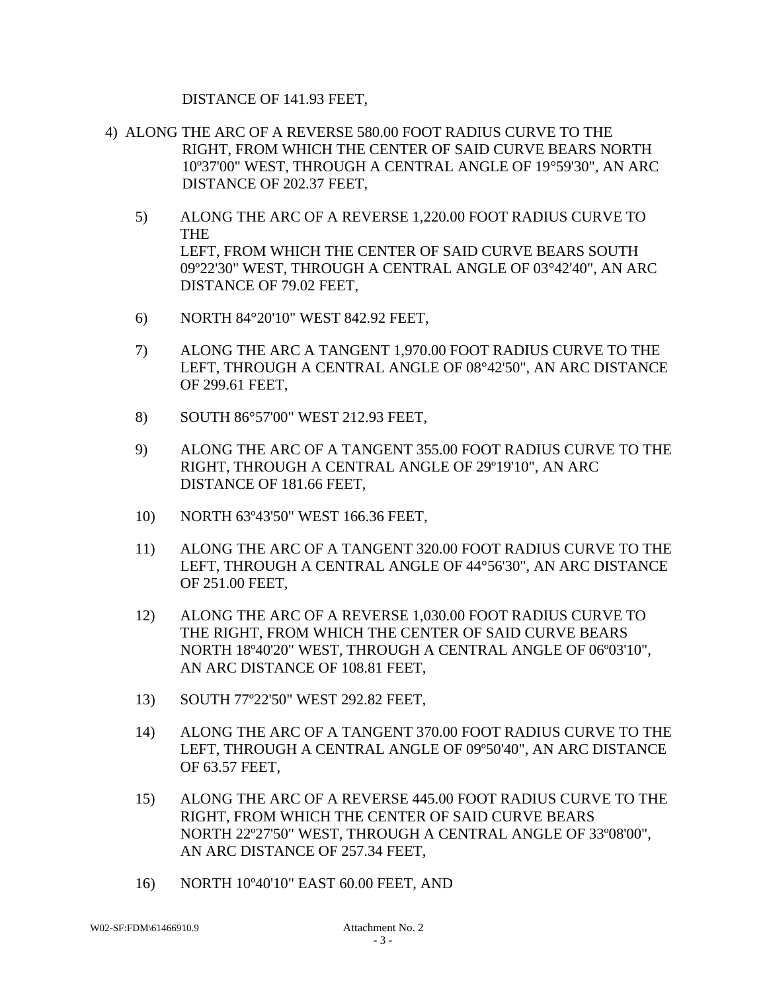DISTANCE OF 141.93 FEET,

- 4) ALONG THE ARC OF A REVERSE 580.00 FOOT RADIUS CURVE TO THE RIGHT, FROM WHICH THE CENTER OF SAID CURVE BEARS NORTH 10º37'00" WEST, THROUGH A CENTRAL ANGLE OF 19°59'30", AN ARC DISTANCE OF 202.37 FEET,
	- 5) ALONG THE ARC OF A REVERSE 1,220.00 FOOT RADIUS CURVE TO THE LEFT, FROM WHICH THE CENTER OF SAID CURVE BEARS SOUTH 09º22'30" WEST, THROUGH A CENTRAL ANGLE OF 03°42'40", AN ARC DISTANCE OF 79.02 FEET,
	- 6) NORTH 84°20'10" WEST 842.92 FEET,
	- 7) ALONG THE ARC A TANGENT 1,970.00 FOOT RADIUS CURVE TO THE LEFT, THROUGH A CENTRAL ANGLE OF 08°42'50", AN ARC DISTANCE OF 299.61 FEET,
	- 8) SOUTH 86°57'00" WEST 212.93 FEET,
	- 9) ALONG THE ARC OF A TANGENT 355.00 FOOT RADIUS CURVE TO THE RIGHT, THROUGH A CENTRAL ANGLE OF 29º19'10", AN ARC DISTANCE OF 181.66 FEET,
	- 10) NORTH 63º43'50" WEST 166.36 FEET,
	- 11) ALONG THE ARC OF A TANGENT 320.00 FOOT RADIUS CURVE TO THE LEFT, THROUGH A CENTRAL ANGLE OF 44°56'30", AN ARC DISTANCE OF 251.00 FEET,
	- 12) ALONG THE ARC OF A REVERSE 1,030.00 FOOT RADIUS CURVE TO THE RIGHT, FROM WHICH THE CENTER OF SAID CURVE BEARS NORTH 18º40'20" WEST, THROUGH A CENTRAL ANGLE OF 06º03'10", AN ARC DISTANCE OF 108.81 FEET,
	- 13) SOUTH 77º22'50" WEST 292.82 FEET,
	- 14) ALONG THE ARC OF A TANGENT 370.00 FOOT RADIUS CURVE TO THE LEFT, THROUGH A CENTRAL ANGLE OF 09º50'40", AN ARC DISTANCE OF 63.57 FEET,
	- 15) ALONG THE ARC OF A REVERSE 445.00 FOOT RADIUS CURVE TO THE RIGHT, FROM WHICH THE CENTER OF SAID CURVE BEARS NORTH 22º27'50" WEST, THROUGH A CENTRAL ANGLE OF 33º08'00", AN ARC DISTANCE OF 257.34 FEET,
	- 16) NORTH 10º40'10" EAST 60.00 FEET, AND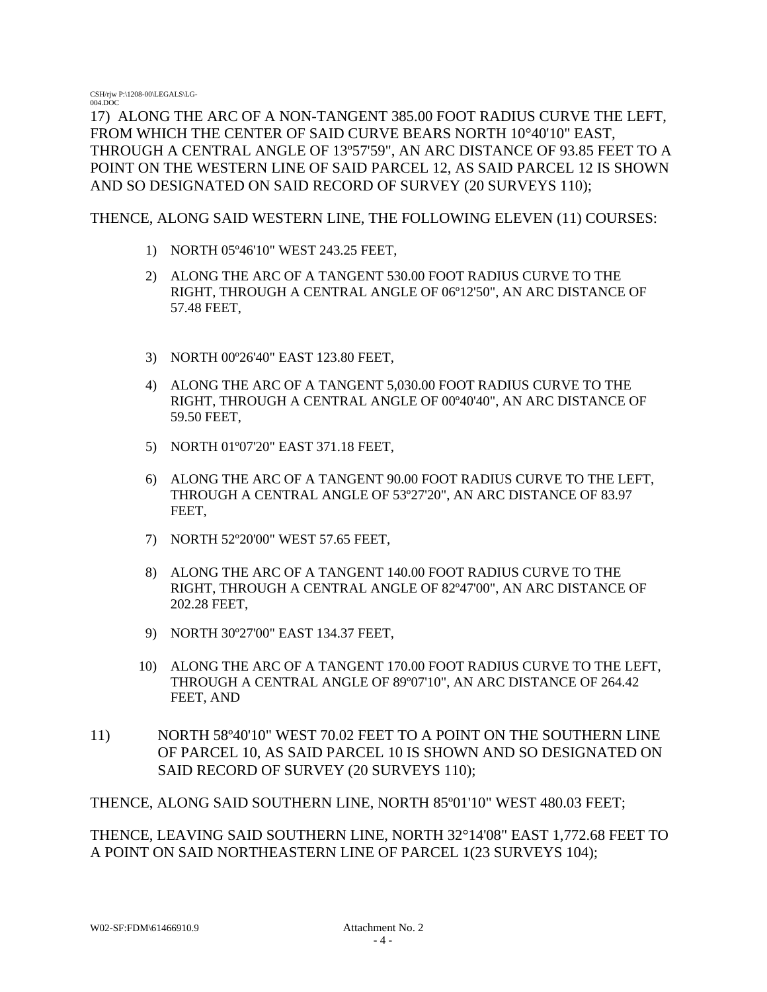17) ALONG THE ARC OF A NON-TANGENT 385.00 FOOT RADIUS CURVE THE LEFT, FROM WHICH THE CENTER OF SAID CURVE BEARS NORTH 10°40'10" EAST, THROUGH A CENTRAL ANGLE OF 13º57'59", AN ARC DISTANCE OF 93.85 FEET TO A POINT ON THE WESTERN LINE OF SAID PARCEL 12, AS SAID PARCEL 12 IS SHOWN AND SO DESIGNATED ON SAID RECORD OF SURVEY (20 SURVEYS 110);

THENCE, ALONG SAID WESTERN LINE, THE FOLLOWING ELEVEN (11) COURSES:

- 1) NORTH 05º46'10" WEST 243.25 FEET,
- 2) ALONG THE ARC OF A TANGENT 530.00 FOOT RADIUS CURVE TO THE RIGHT, THROUGH A CENTRAL ANGLE OF 06º12'50", AN ARC DISTANCE OF 57.48 FEET,
- 3) NORTH 00º26'40" EAST 123.80 FEET,
- 4) ALONG THE ARC OF A TANGENT 5,030.00 FOOT RADIUS CURVE TO THE RIGHT, THROUGH A CENTRAL ANGLE OF 00º40'40", AN ARC DISTANCE OF 59.50 FEET,
- 5) NORTH 01º07'20" EAST 371.18 FEET,
- 6) ALONG THE ARC OF A TANGENT 90.00 FOOT RADIUS CURVE TO THE LEFT, THROUGH A CENTRAL ANGLE OF 53º27'20", AN ARC DISTANCE OF 83.97 FEET,
- 7) NORTH 52º20'00" WEST 57.65 FEET,
- 8) ALONG THE ARC OF A TANGENT 140.00 FOOT RADIUS CURVE TO THE RIGHT, THROUGH A CENTRAL ANGLE OF 82º47'00", AN ARC DISTANCE OF 202.28 FEET,
- 9) NORTH 30º27'00" EAST 134.37 FEET,
- 10) ALONG THE ARC OF A TANGENT 170.00 FOOT RADIUS CURVE TO THE LEFT, THROUGH A CENTRAL ANGLE OF 89º07'10", AN ARC DISTANCE OF 264.42 FEET, AND
- 11) NORTH 58º40'10" WEST 70.02 FEET TO A POINT ON THE SOUTHERN LINE OF PARCEL 10, AS SAID PARCEL 10 IS SHOWN AND SO DESIGNATED ON SAID RECORD OF SURVEY (20 SURVEYS 110);

THENCE, ALONG SAID SOUTHERN LINE, NORTH 85º01'10" WEST 480.03 FEET;

THENCE, LEAVING SAID SOUTHERN LINE, NORTH 32°14'08" EAST 1,772.68 FEET TO A POINT ON SAID NORTHEASTERN LINE OF PARCEL 1(23 SURVEYS 104);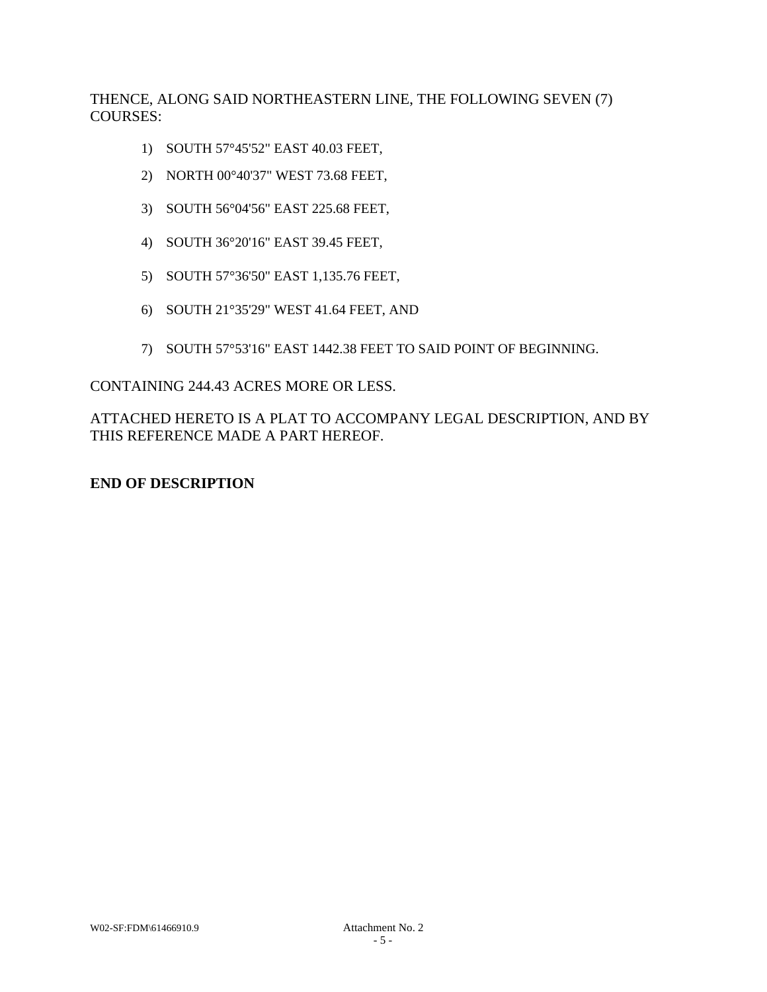THENCE, ALONG SAID NORTHEASTERN LINE, THE FOLLOWING SEVEN (7) COURSES:

- 1) SOUTH 57°45'52" EAST 40.03 FEET,
- 2) NORTH 00°40'37" WEST 73.68 FEET,
- 3) SOUTH 56°04'56" EAST 225.68 FEET,
- 4) SOUTH 36°20'16" EAST 39.45 FEET,
- 5) SOUTH 57°36'50" EAST 1,135.76 FEET,
- 6) SOUTH 21°35'29" WEST 41.64 FEET, AND
- 7) SOUTH 57°53'16" EAST 1442.38 FEET TO SAID POINT OF BEGINNING.

### CONTAINING 244.43 ACRES MORE OR LESS.

ATTACHED HERETO IS A PLAT TO ACCOMPANY LEGAL DESCRIPTION, AND BY THIS REFERENCE MADE A PART HEREOF.

## **END OF DESCRIPTION**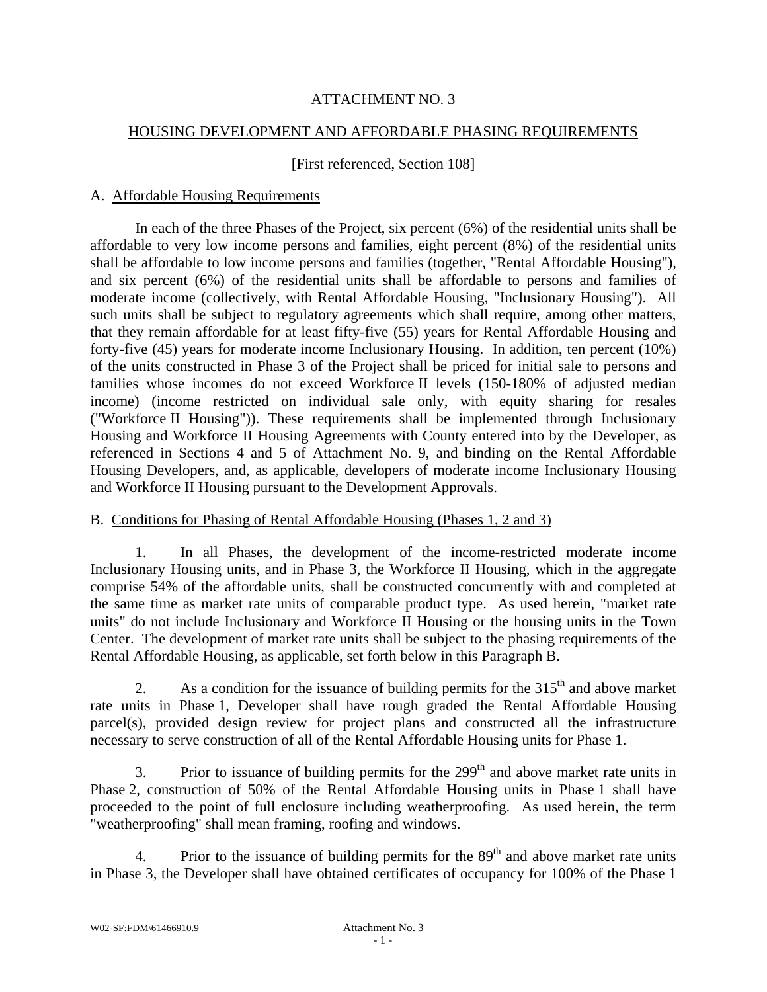## ATTACHMENT NO. 3

## HOUSING DEVELOPMENT AND AFFORDABLE PHASING REQUIREMENTS

### [First referenced, Section 108]

### A. Affordable Housing Requirements

In each of the three Phases of the Project, six percent (6%) of the residential units shall be affordable to very low income persons and families, eight percent (8%) of the residential units shall be affordable to low income persons and families (together, "Rental Affordable Housing"), and six percent (6%) of the residential units shall be affordable to persons and families of moderate income (collectively, with Rental Affordable Housing, "Inclusionary Housing"). All such units shall be subject to regulatory agreements which shall require, among other matters, that they remain affordable for at least fifty-five (55) years for Rental Affordable Housing and forty-five (45) years for moderate income Inclusionary Housing. In addition, ten percent (10%) of the units constructed in Phase 3 of the Project shall be priced for initial sale to persons and families whose incomes do not exceed Workforce II levels (150-180% of adjusted median income) (income restricted on individual sale only, with equity sharing for resales ("Workforce II Housing")). These requirements shall be implemented through Inclusionary Housing and Workforce II Housing Agreements with County entered into by the Developer, as referenced in Sections 4 and 5 of Attachment No. 9, and binding on the Rental Affordable Housing Developers, and, as applicable, developers of moderate income Inclusionary Housing and Workforce II Housing pursuant to the Development Approvals.

## B. Conditions for Phasing of Rental Affordable Housing (Phases 1, 2 and 3)

1. In all Phases, the development of the income-restricted moderate income Inclusionary Housing units, and in Phase 3, the Workforce II Housing, which in the aggregate comprise 54% of the affordable units, shall be constructed concurrently with and completed at the same time as market rate units of comparable product type. As used herein, "market rate units" do not include Inclusionary and Workforce II Housing or the housing units in the Town Center. The development of market rate units shall be subject to the phasing requirements of the Rental Affordable Housing, as applicable, set forth below in this Paragraph B.

2. As a condition for the issuance of building permits for the  $315<sup>th</sup>$  and above market rate units in Phase 1, Developer shall have rough graded the Rental Affordable Housing parcel(s), provided design review for project plans and constructed all the infrastructure necessary to serve construction of all of the Rental Affordable Housing units for Phase 1.

3. Prior to issuance of building permits for the  $299<sup>th</sup>$  and above market rate units in Phase 2, construction of 50% of the Rental Affordable Housing units in Phase 1 shall have proceeded to the point of full enclosure including weatherproofing. As used herein, the term "weatherproofing" shall mean framing, roofing and windows.

4. Prior to the issuance of building permits for the  $89<sup>th</sup>$  and above market rate units in Phase 3, the Developer shall have obtained certificates of occupancy for 100% of the Phase 1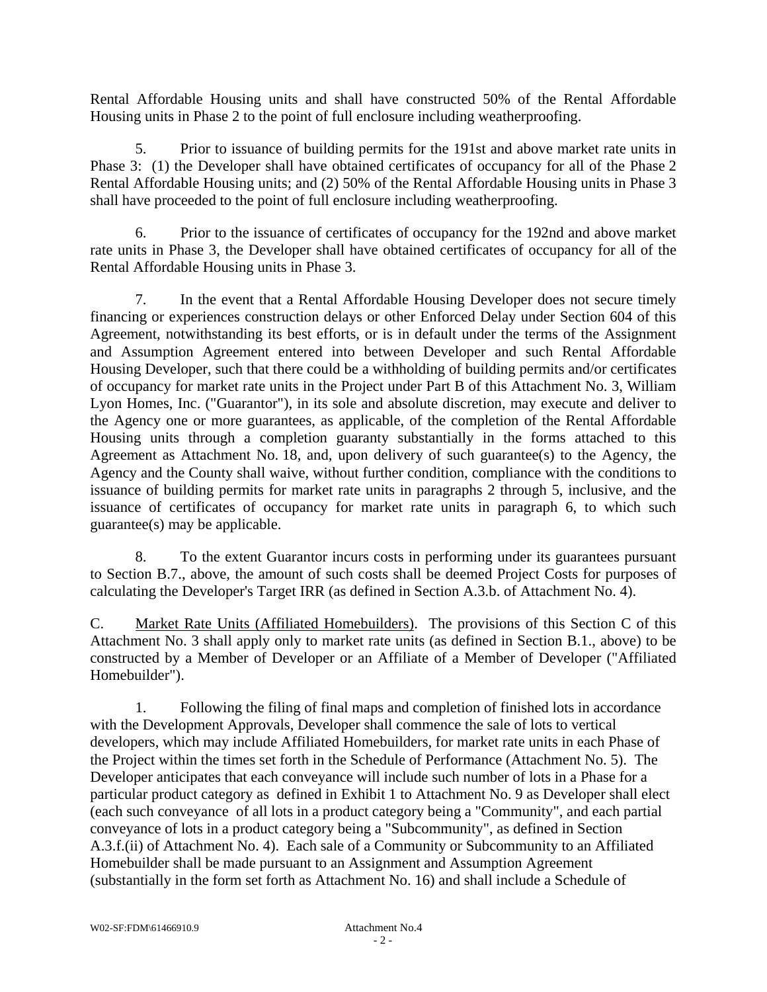Rental Affordable Housing units and shall have constructed 50% of the Rental Affordable Housing units in Phase 2 to the point of full enclosure including weatherproofing.

5. Prior to issuance of building permits for the 191st and above market rate units in Phase 3: (1) the Developer shall have obtained certificates of occupancy for all of the Phase 2 Rental Affordable Housing units; and (2) 50% of the Rental Affordable Housing units in Phase 3 shall have proceeded to the point of full enclosure including weatherproofing.

6. Prior to the issuance of certificates of occupancy for the 192nd and above market rate units in Phase 3, the Developer shall have obtained certificates of occupancy for all of the Rental Affordable Housing units in Phase 3.

7. In the event that a Rental Affordable Housing Developer does not secure timely financing or experiences construction delays or other Enforced Delay under Section 604 of this Agreement, notwithstanding its best efforts, or is in default under the terms of the Assignment and Assumption Agreement entered into between Developer and such Rental Affordable Housing Developer, such that there could be a withholding of building permits and/or certificates of occupancy for market rate units in the Project under Part B of this Attachment No. 3, William Lyon Homes, Inc. ("Guarantor"), in its sole and absolute discretion, may execute and deliver to the Agency one or more guarantees, as applicable, of the completion of the Rental Affordable Housing units through a completion guaranty substantially in the forms attached to this Agreement as Attachment No. 18, and, upon delivery of such guarantee(s) to the Agency, the Agency and the County shall waive, without further condition, compliance with the conditions to issuance of building permits for market rate units in paragraphs 2 through 5, inclusive, and the issuance of certificates of occupancy for market rate units in paragraph 6, to which such guarantee(s) may be applicable.

8. To the extent Guarantor incurs costs in performing under its guarantees pursuant to Section B.7., above, the amount of such costs shall be deemed Project Costs for purposes of calculating the Developer's Target IRR (as defined in Section A.3.b. of Attachment No. 4).

C. Market Rate Units (Affiliated Homebuilders). The provisions of this Section C of this Attachment No. 3 shall apply only to market rate units (as defined in Section B.1., above) to be constructed by a Member of Developer or an Affiliate of a Member of Developer ("Affiliated Homebuilder").

 1. Following the filing of final maps and completion of finished lots in accordance with the Development Approvals, Developer shall commence the sale of lots to vertical developers, which may include Affiliated Homebuilders, for market rate units in each Phase of the Project within the times set forth in the Schedule of Performance (Attachment No. 5). The Developer anticipates that each conveyance will include such number of lots in a Phase for a particular product category as defined in Exhibit 1 to Attachment No. 9 as Developer shall elect (each such conveyance of all lots in a product category being a "Community", and each partial conveyance of lots in a product category being a "Subcommunity", as defined in Section A.3.f.(ii) of Attachment No. 4). Each sale of a Community or Subcommunity to an Affiliated Homebuilder shall be made pursuant to an Assignment and Assumption Agreement (substantially in the form set forth as Attachment No. 16) and shall include a Schedule of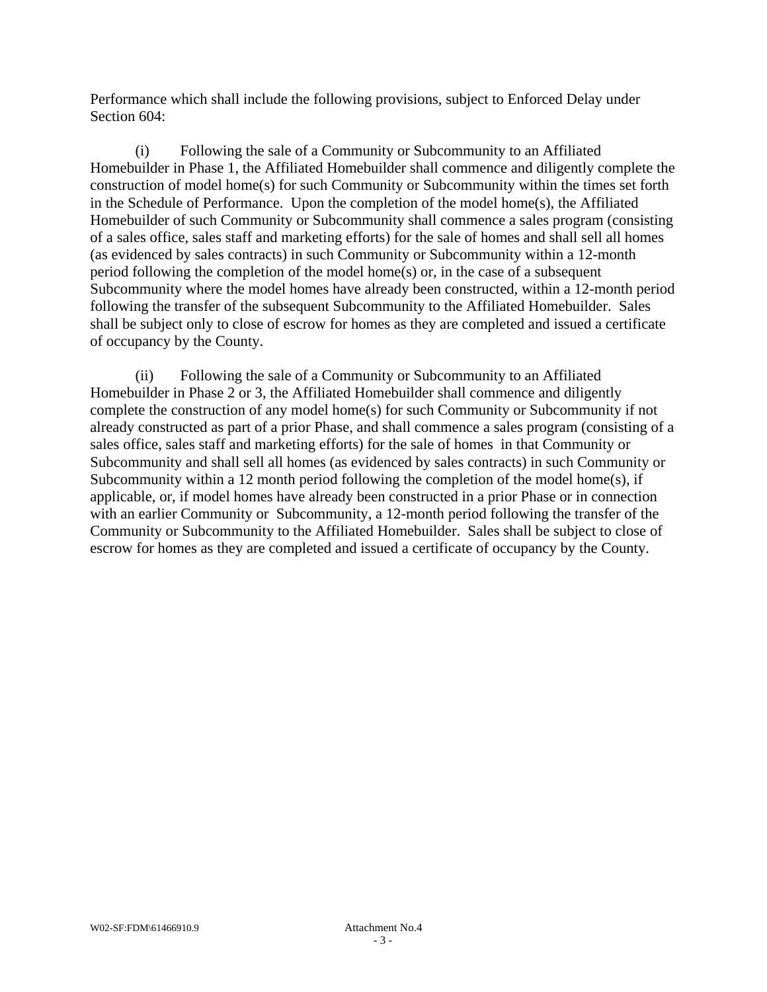Performance which shall include the following provisions, subject to Enforced Delay under Section 604:

 (i) Following the sale of a Community or Subcommunity to an Affiliated Homebuilder in Phase 1, the Affiliated Homebuilder shall commence and diligently complete the construction of model home(s) for such Community or Subcommunity within the times set forth in the Schedule of Performance. Upon the completion of the model home(s), the Affiliated Homebuilder of such Community or Subcommunity shall commence a sales program (consisting of a sales office, sales staff and marketing efforts) for the sale of homes and shall sell all homes (as evidenced by sales contracts) in such Community or Subcommunity within a 12-month period following the completion of the model home(s) or, in the case of a subsequent Subcommunity where the model homes have already been constructed, within a 12-month period following the transfer of the subsequent Subcommunity to the Affiliated Homebuilder. Sales shall be subject only to close of escrow for homes as they are completed and issued a certificate of occupancy by the County.

 (ii) Following the sale of a Community or Subcommunity to an Affiliated Homebuilder in Phase 2 or 3, the Affiliated Homebuilder shall commence and diligently complete the construction of any model home(s) for such Community or Subcommunity if not already constructed as part of a prior Phase, and shall commence a sales program (consisting of a sales office, sales staff and marketing efforts) for the sale of homes in that Community or Subcommunity and shall sell all homes (as evidenced by sales contracts) in such Community or Subcommunity within a 12 month period following the completion of the model home(s), if applicable, or, if model homes have already been constructed in a prior Phase or in connection with an earlier Community or Subcommunity, a 12-month period following the transfer of the Community or Subcommunity to the Affiliated Homebuilder. Sales shall be subject to close of escrow for homes as they are completed and issued a certificate of occupancy by the County.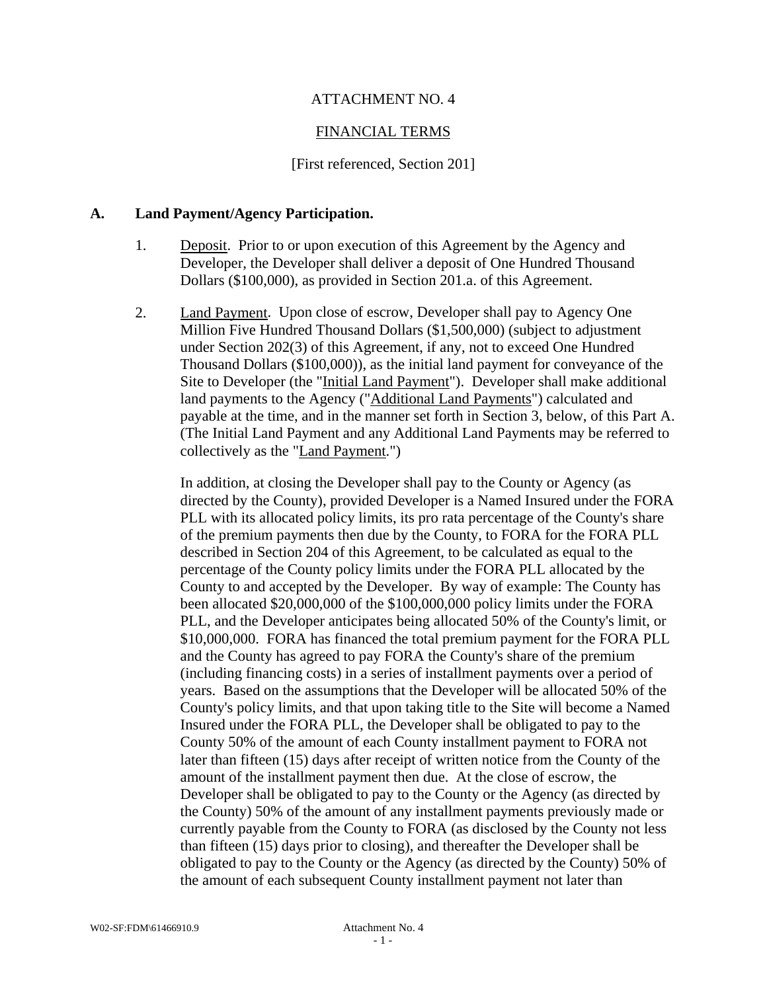## ATTACHMENT NO. 4

### FINANCIAL TERMS

#### [First referenced, Section 201]

#### **A. Land Payment/Agency Participation.**

- 1. Deposit. Prior to or upon execution of this Agreement by the Agency and Developer, the Developer shall deliver a deposit of One Hundred Thousand Dollars (\$100,000), as provided in Section 201.a. of this Agreement.
- 2. Land Payment. Upon close of escrow, Developer shall pay to Agency One Million Five Hundred Thousand Dollars (\$1,500,000) (subject to adjustment under Section 202(3) of this Agreement, if any, not to exceed One Hundred Thousand Dollars (\$100,000)), as the initial land payment for conveyance of the Site to Developer (the "Initial Land Payment"). Developer shall make additional land payments to the Agency ("Additional Land Payments") calculated and payable at the time, and in the manner set forth in Section 3, below, of this Part A. (The Initial Land Payment and any Additional Land Payments may be referred to collectively as the "Land Payment.")

In addition, at closing the Developer shall pay to the County or Agency (as directed by the County), provided Developer is a Named Insured under the FORA PLL with its allocated policy limits, its pro rata percentage of the County's share of the premium payments then due by the County, to FORA for the FORA PLL described in Section 204 of this Agreement, to be calculated as equal to the percentage of the County policy limits under the FORA PLL allocated by the County to and accepted by the Developer. By way of example: The County has been allocated \$20,000,000 of the \$100,000,000 policy limits under the FORA PLL, and the Developer anticipates being allocated 50% of the County's limit, or \$10,000,000. FORA has financed the total premium payment for the FORA PLL and the County has agreed to pay FORA the County's share of the premium (including financing costs) in a series of installment payments over a period of years. Based on the assumptions that the Developer will be allocated 50% of the County's policy limits, and that upon taking title to the Site will become a Named Insured under the FORA PLL, the Developer shall be obligated to pay to the County 50% of the amount of each County installment payment to FORA not later than fifteen (15) days after receipt of written notice from the County of the amount of the installment payment then due. At the close of escrow, the Developer shall be obligated to pay to the County or the Agency (as directed by the County) 50% of the amount of any installment payments previously made or currently payable from the County to FORA (as disclosed by the County not less than fifteen (15) days prior to closing), and thereafter the Developer shall be obligated to pay to the County or the Agency (as directed by the County) 50% of the amount of each subsequent County installment payment not later than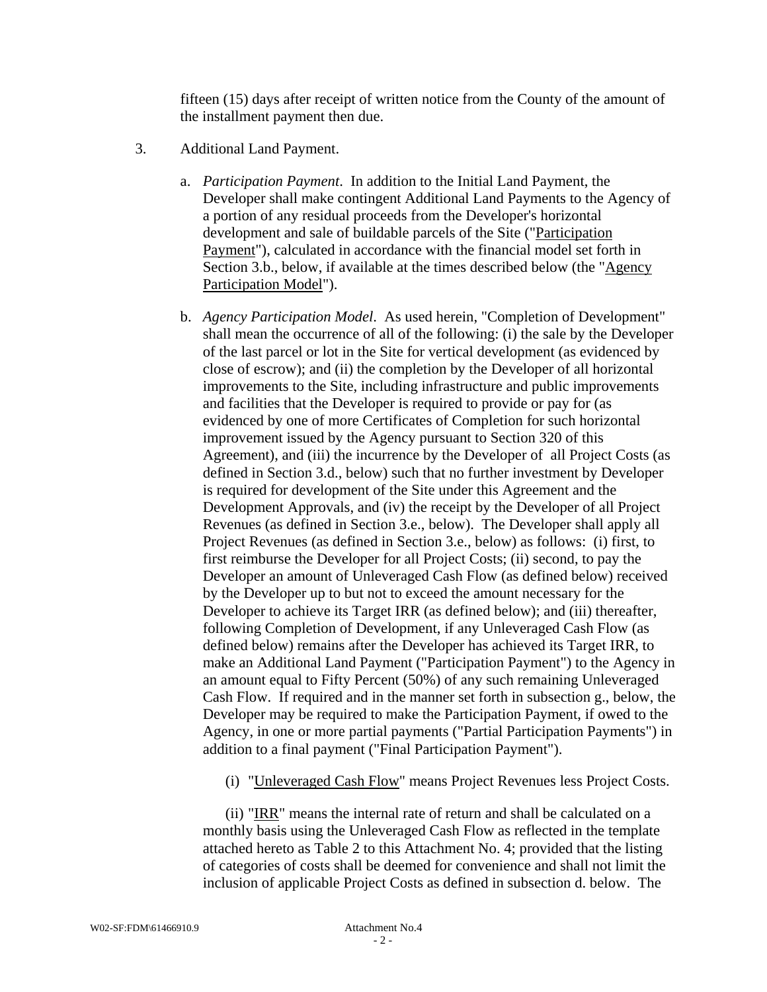fifteen (15) days after receipt of written notice from the County of the amount of the installment payment then due.

- 3. Additional Land Payment.
	- a. *Participation Payment*. In addition to the Initial Land Payment, the Developer shall make contingent Additional Land Payments to the Agency of a portion of any residual proceeds from the Developer's horizontal development and sale of buildable parcels of the Site ("Participation Payment"), calculated in accordance with the financial model set forth in Section 3.b., below, if available at the times described below (the "Agency Participation Model").
	- b. *Agency Participation Model*. As used herein, "Completion of Development" shall mean the occurrence of all of the following: (i) the sale by the Developer of the last parcel or lot in the Site for vertical development (as evidenced by close of escrow); and (ii) the completion by the Developer of all horizontal improvements to the Site, including infrastructure and public improvements and facilities that the Developer is required to provide or pay for (as evidenced by one of more Certificates of Completion for such horizontal improvement issued by the Agency pursuant to Section 320 of this Agreement), and (iii) the incurrence by the Developer of all Project Costs (as defined in Section 3.d., below) such that no further investment by Developer is required for development of the Site under this Agreement and the Development Approvals, and (iv) the receipt by the Developer of all Project Revenues (as defined in Section 3.e., below). The Developer shall apply all Project Revenues (as defined in Section 3.e., below) as follows: (i) first, to first reimburse the Developer for all Project Costs; (ii) second, to pay the Developer an amount of Unleveraged Cash Flow (as defined below) received by the Developer up to but not to exceed the amount necessary for the Developer to achieve its Target IRR (as defined below); and (iii) thereafter, following Completion of Development, if any Unleveraged Cash Flow (as defined below) remains after the Developer has achieved its Target IRR, to make an Additional Land Payment ("Participation Payment") to the Agency in an amount equal to Fifty Percent (50%) of any such remaining Unleveraged Cash Flow. If required and in the manner set forth in subsection g., below, the Developer may be required to make the Participation Payment, if owed to the Agency, in one or more partial payments ("Partial Participation Payments") in addition to a final payment ("Final Participation Payment").
		- (i) "Unleveraged Cash Flow" means Project Revenues less Project Costs.

(ii) "IRR" means the internal rate of return and shall be calculated on a monthly basis using the Unleveraged Cash Flow as reflected in the template attached hereto as Table 2 to this Attachment No. 4; provided that the listing of categories of costs shall be deemed for convenience and shall not limit the inclusion of applicable Project Costs as defined in subsection d. below. The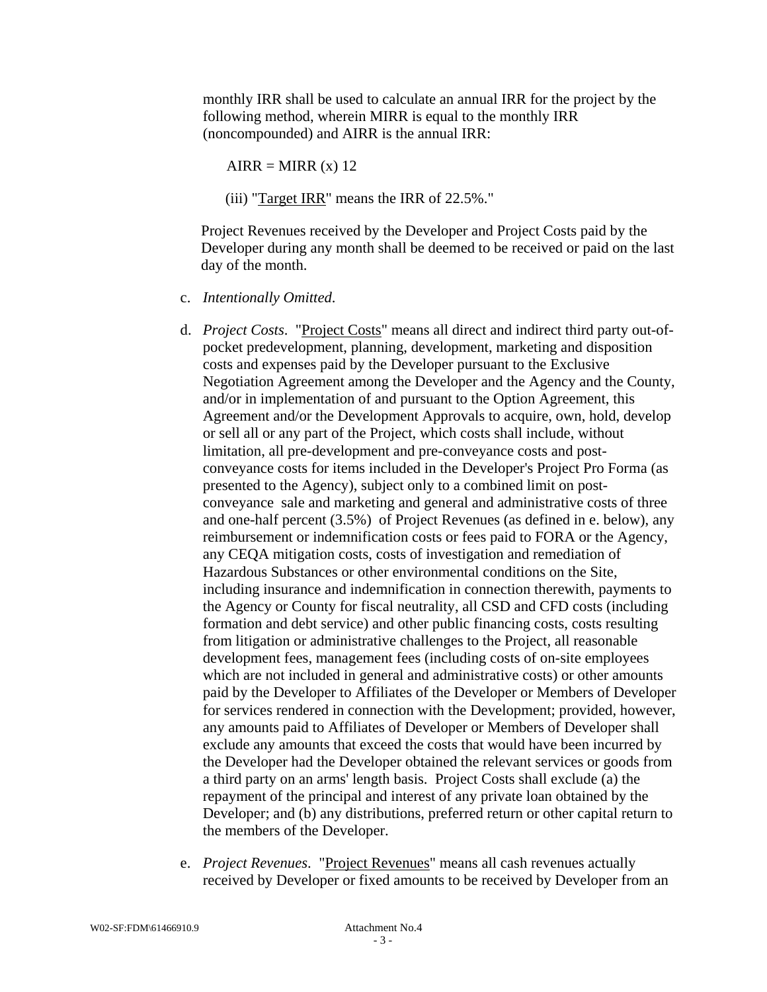monthly IRR shall be used to calculate an annual IRR for the project by the following method, wherein MIRR is equal to the monthly IRR (noncompounded) and AIRR is the annual IRR:

 $AIRR = MIRR(x) 12$ 

(iii) "Target IRR" means the IRR of 22.5%."

Project Revenues received by the Developer and Project Costs paid by the Developer during any month shall be deemed to be received or paid on the last day of the month.

- c. *Intentionally Omitted*.
- d. *Project Costs*. "Project Costs" means all direct and indirect third party out-ofpocket predevelopment, planning, development, marketing and disposition costs and expenses paid by the Developer pursuant to the Exclusive Negotiation Agreement among the Developer and the Agency and the County, and/or in implementation of and pursuant to the Option Agreement, this Agreement and/or the Development Approvals to acquire, own, hold, develop or sell all or any part of the Project, which costs shall include, without limitation, all pre-development and pre-conveyance costs and postconveyance costs for items included in the Developer's Project Pro Forma (as presented to the Agency), subject only to a combined limit on postconveyance sale and marketing and general and administrative costs of three and one-half percent (3.5%) of Project Revenues (as defined in e. below), any reimbursement or indemnification costs or fees paid to FORA or the Agency, any CEQA mitigation costs, costs of investigation and remediation of Hazardous Substances or other environmental conditions on the Site, including insurance and indemnification in connection therewith, payments to the Agency or County for fiscal neutrality, all CSD and CFD costs (including formation and debt service) and other public financing costs, costs resulting from litigation or administrative challenges to the Project, all reasonable development fees, management fees (including costs of on-site employees which are not included in general and administrative costs) or other amounts paid by the Developer to Affiliates of the Developer or Members of Developer for services rendered in connection with the Development; provided, however, any amounts paid to Affiliates of Developer or Members of Developer shall exclude any amounts that exceed the costs that would have been incurred by the Developer had the Developer obtained the relevant services or goods from a third party on an arms' length basis. Project Costs shall exclude (a) the repayment of the principal and interest of any private loan obtained by the Developer; and (b) any distributions, preferred return or other capital return to the members of the Developer.
- e. *Project Revenues*. "Project Revenues" means all cash revenues actually received by Developer or fixed amounts to be received by Developer from an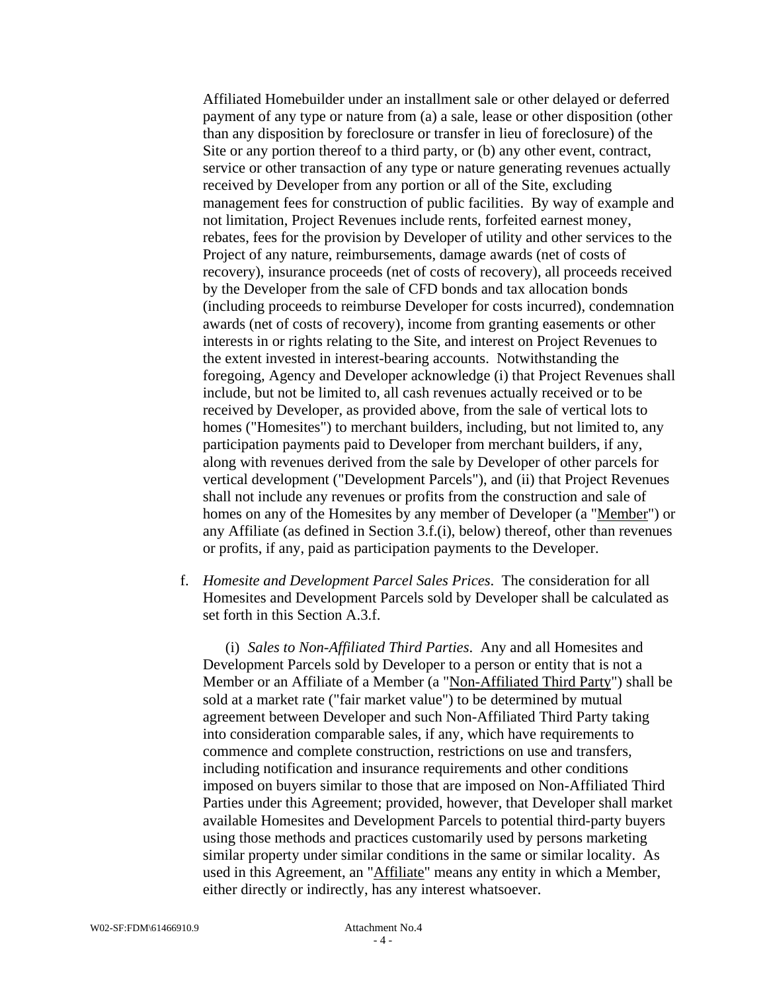Affiliated Homebuilder under an installment sale or other delayed or deferred payment of any type or nature from (a) a sale, lease or other disposition (other than any disposition by foreclosure or transfer in lieu of foreclosure) of the Site or any portion thereof to a third party, or (b) any other event, contract, service or other transaction of any type or nature generating revenues actually received by Developer from any portion or all of the Site, excluding management fees for construction of public facilities. By way of example and not limitation, Project Revenues include rents, forfeited earnest money, rebates, fees for the provision by Developer of utility and other services to the Project of any nature, reimbursements, damage awards (net of costs of recovery), insurance proceeds (net of costs of recovery), all proceeds received by the Developer from the sale of CFD bonds and tax allocation bonds (including proceeds to reimburse Developer for costs incurred), condemnation awards (net of costs of recovery), income from granting easements or other interests in or rights relating to the Site, and interest on Project Revenues to the extent invested in interest-bearing accounts. Notwithstanding the foregoing, Agency and Developer acknowledge (i) that Project Revenues shall include, but not be limited to, all cash revenues actually received or to be received by Developer, as provided above, from the sale of vertical lots to homes ("Homesites") to merchant builders, including, but not limited to, any participation payments paid to Developer from merchant builders, if any, along with revenues derived from the sale by Developer of other parcels for vertical development ("Development Parcels"), and (ii) that Project Revenues shall not include any revenues or profits from the construction and sale of homes on any of the Homesites by any member of Developer (a "Member") or any Affiliate (as defined in Section 3.f.(i), below) thereof, other than revenues or profits, if any, paid as participation payments to the Developer.

f. *Homesite and Development Parcel Sales Prices*. The consideration for all Homesites and Development Parcels sold by Developer shall be calculated as set forth in this Section A.3.f.

(i) *Sales to Non-Affiliated Third Parties*. Any and all Homesites and Development Parcels sold by Developer to a person or entity that is not a Member or an Affiliate of a Member (a "Non-Affiliated Third Party") shall be sold at a market rate ("fair market value") to be determined by mutual agreement between Developer and such Non-Affiliated Third Party taking into consideration comparable sales, if any, which have requirements to commence and complete construction, restrictions on use and transfers, including notification and insurance requirements and other conditions imposed on buyers similar to those that are imposed on Non-Affiliated Third Parties under this Agreement; provided, however, that Developer shall market available Homesites and Development Parcels to potential third-party buyers using those methods and practices customarily used by persons marketing similar property under similar conditions in the same or similar locality. As used in this Agreement, an "Affiliate" means any entity in which a Member, either directly or indirectly, has any interest whatsoever.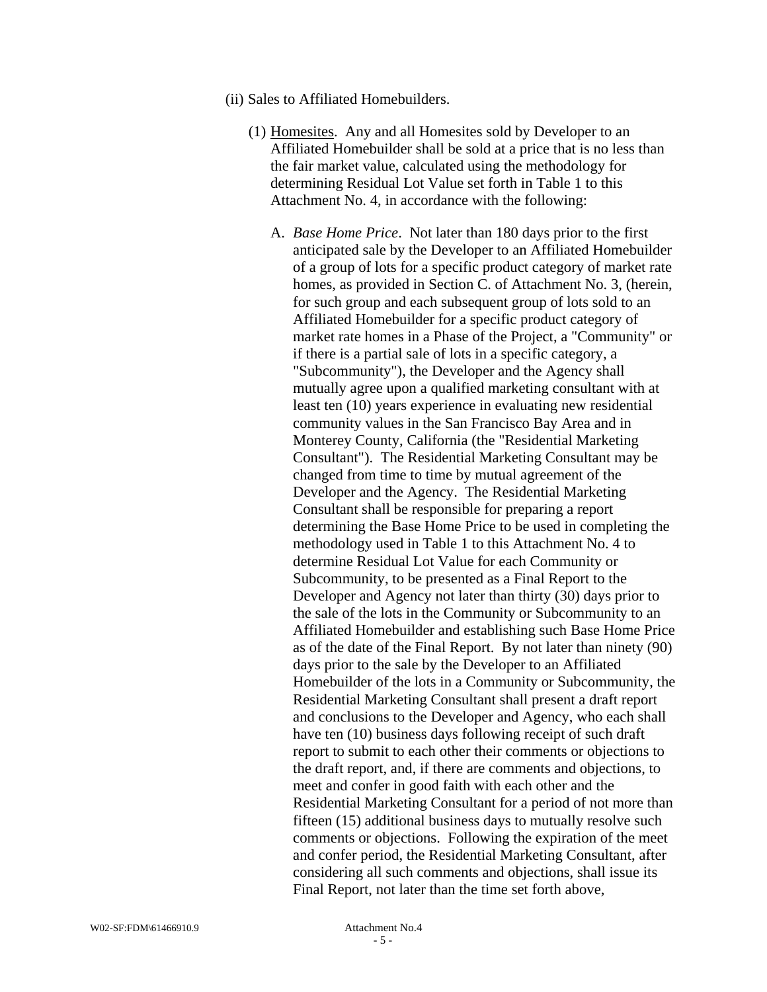- (ii) Sales to Affiliated Homebuilders.
	- (1) Homesites. Any and all Homesites sold by Developer to an Affiliated Homebuilder shall be sold at a price that is no less than the fair market value, calculated using the methodology for determining Residual Lot Value set forth in Table 1 to this Attachment No. 4, in accordance with the following:
		- A. *Base Home Price*. Not later than 180 days prior to the first anticipated sale by the Developer to an Affiliated Homebuilder of a group of lots for a specific product category of market rate homes, as provided in Section C. of Attachment No. 3, (herein, for such group and each subsequent group of lots sold to an Affiliated Homebuilder for a specific product category of market rate homes in a Phase of the Project, a "Community" or if there is a partial sale of lots in a specific category, a "Subcommunity"), the Developer and the Agency shall mutually agree upon a qualified marketing consultant with at least ten (10) years experience in evaluating new residential community values in the San Francisco Bay Area and in Monterey County, California (the "Residential Marketing Consultant"). The Residential Marketing Consultant may be changed from time to time by mutual agreement of the Developer and the Agency. The Residential Marketing Consultant shall be responsible for preparing a report determining the Base Home Price to be used in completing the methodology used in Table 1 to this Attachment No. 4 to determine Residual Lot Value for each Community or Subcommunity, to be presented as a Final Report to the Developer and Agency not later than thirty (30) days prior to the sale of the lots in the Community or Subcommunity to an Affiliated Homebuilder and establishing such Base Home Price as of the date of the Final Report. By not later than ninety (90) days prior to the sale by the Developer to an Affiliated Homebuilder of the lots in a Community or Subcommunity, the Residential Marketing Consultant shall present a draft report and conclusions to the Developer and Agency, who each shall have ten (10) business days following receipt of such draft report to submit to each other their comments or objections to the draft report, and, if there are comments and objections, to meet and confer in good faith with each other and the Residential Marketing Consultant for a period of not more than fifteen (15) additional business days to mutually resolve such comments or objections. Following the expiration of the meet and confer period, the Residential Marketing Consultant, after considering all such comments and objections, shall issue its Final Report, not later than the time set forth above,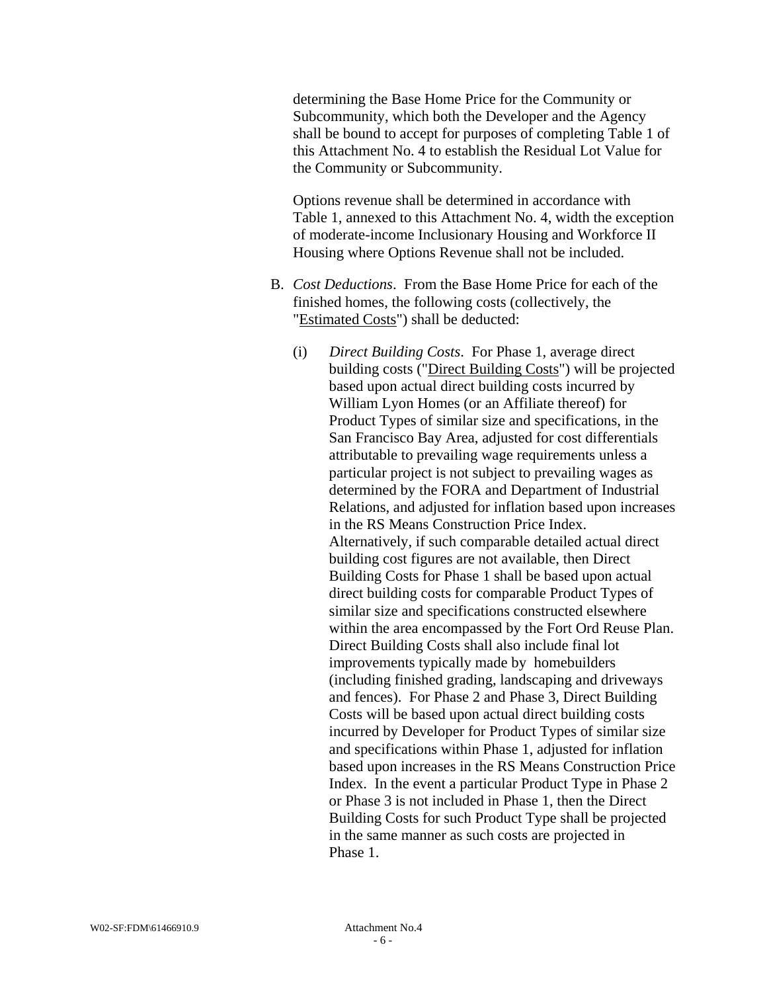determining the Base Home Price for the Community or Subcommunity, which both the Developer and the Agency shall be bound to accept for purposes of completing Table 1 of this Attachment No. 4 to establish the Residual Lot Value for the Community or Subcommunity.

Options revenue shall be determined in accordance with Table 1, annexed to this Attachment No. 4, width the exception of moderate-income Inclusionary Housing and Workforce II Housing where Options Revenue shall not be included.

- B. *Cost Deductions*. From the Base Home Price for each of the finished homes, the following costs (collectively, the "Estimated Costs") shall be deducted:
	- (i) *Direct Building Costs*. For Phase 1, average direct building costs ("Direct Building Costs") will be projected based upon actual direct building costs incurred by William Lyon Homes (or an Affiliate thereof) for Product Types of similar size and specifications, in the San Francisco Bay Area, adjusted for cost differentials attributable to prevailing wage requirements unless a particular project is not subject to prevailing wages as determined by the FORA and Department of Industrial Relations, and adjusted for inflation based upon increases in the RS Means Construction Price Index. Alternatively, if such comparable detailed actual direct building cost figures are not available, then Direct Building Costs for Phase 1 shall be based upon actual direct building costs for comparable Product Types of similar size and specifications constructed elsewhere within the area encompassed by the Fort Ord Reuse Plan. Direct Building Costs shall also include final lot improvements typically made by homebuilders (including finished grading, landscaping and driveways and fences). For Phase 2 and Phase 3, Direct Building Costs will be based upon actual direct building costs incurred by Developer for Product Types of similar size and specifications within Phase 1, adjusted for inflation based upon increases in the RS Means Construction Price Index. In the event a particular Product Type in Phase 2 or Phase 3 is not included in Phase 1, then the Direct Building Costs for such Product Type shall be projected in the same manner as such costs are projected in Phase 1.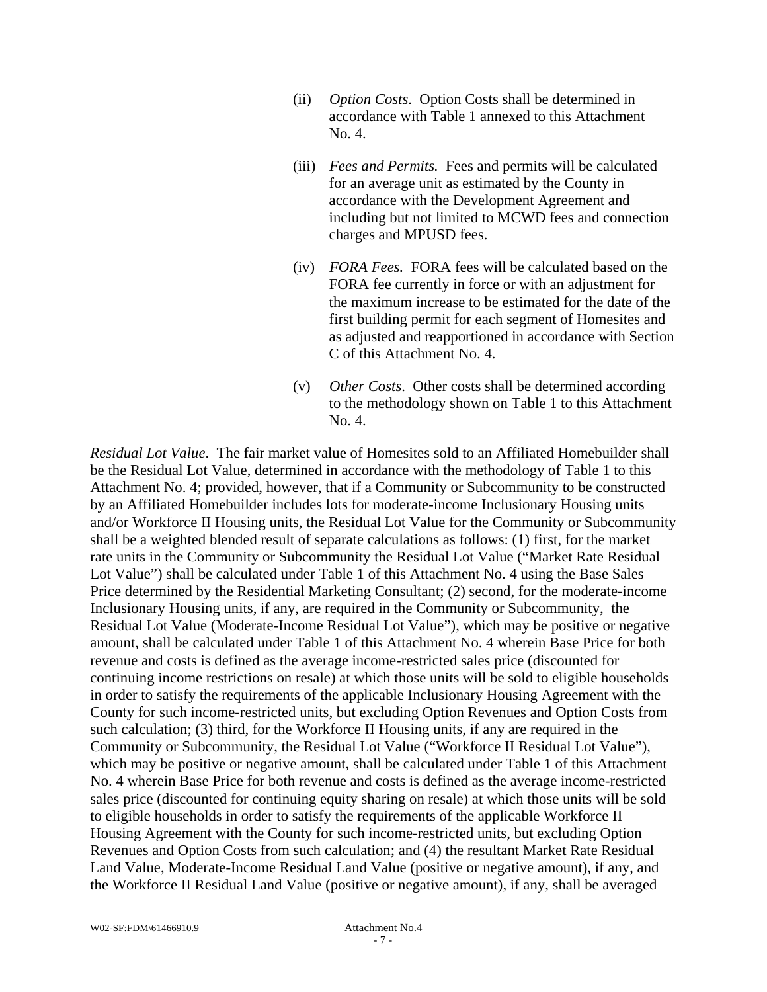- (ii) *Option Costs*. Option Costs shall be determined in accordance with Table 1 annexed to this Attachment No. 4.
- (iii) *Fees and Permits.* Fees and permits will be calculated for an average unit as estimated by the County in accordance with the Development Agreement and including but not limited to MCWD fees and connection charges and MPUSD fees.
- (iv) *FORA Fees.* FORA fees will be calculated based on the FORA fee currently in force or with an adjustment for the maximum increase to be estimated for the date of the first building permit for each segment of Homesites and as adjusted and reapportioned in accordance with Section C of this Attachment No. 4.
- (v) *Other Costs*. Other costs shall be determined according to the methodology shown on Table 1 to this Attachment No. 4.

*Residual Lot Value*. The fair market value of Homesites sold to an Affiliated Homebuilder shall be the Residual Lot Value, determined in accordance with the methodology of Table 1 to this Attachment No. 4; provided, however, that if a Community or Subcommunity to be constructed by an Affiliated Homebuilder includes lots for moderate-income Inclusionary Housing units and/or Workforce II Housing units, the Residual Lot Value for the Community or Subcommunity shall be a weighted blended result of separate calculations as follows: (1) first, for the market rate units in the Community or Subcommunity the Residual Lot Value ("Market Rate Residual Lot Value") shall be calculated under Table 1 of this Attachment No. 4 using the Base Sales Price determined by the Residential Marketing Consultant; (2) second, for the moderate-income Inclusionary Housing units, if any, are required in the Community or Subcommunity, the Residual Lot Value (Moderate-Income Residual Lot Value"), which may be positive or negative amount, shall be calculated under Table 1 of this Attachment No. 4 wherein Base Price for both revenue and costs is defined as the average income-restricted sales price (discounted for continuing income restrictions on resale) at which those units will be sold to eligible households in order to satisfy the requirements of the applicable Inclusionary Housing Agreement with the County for such income-restricted units, but excluding Option Revenues and Option Costs from such calculation; (3) third, for the Workforce II Housing units, if any are required in the Community or Subcommunity, the Residual Lot Value ("Workforce II Residual Lot Value"), which may be positive or negative amount, shall be calculated under Table 1 of this Attachment No. 4 wherein Base Price for both revenue and costs is defined as the average income-restricted sales price (discounted for continuing equity sharing on resale) at which those units will be sold to eligible households in order to satisfy the requirements of the applicable Workforce II Housing Agreement with the County for such income-restricted units, but excluding Option Revenues and Option Costs from such calculation; and (4) the resultant Market Rate Residual Land Value, Moderate-Income Residual Land Value (positive or negative amount), if any, and the Workforce II Residual Land Value (positive or negative amount), if any, shall be averaged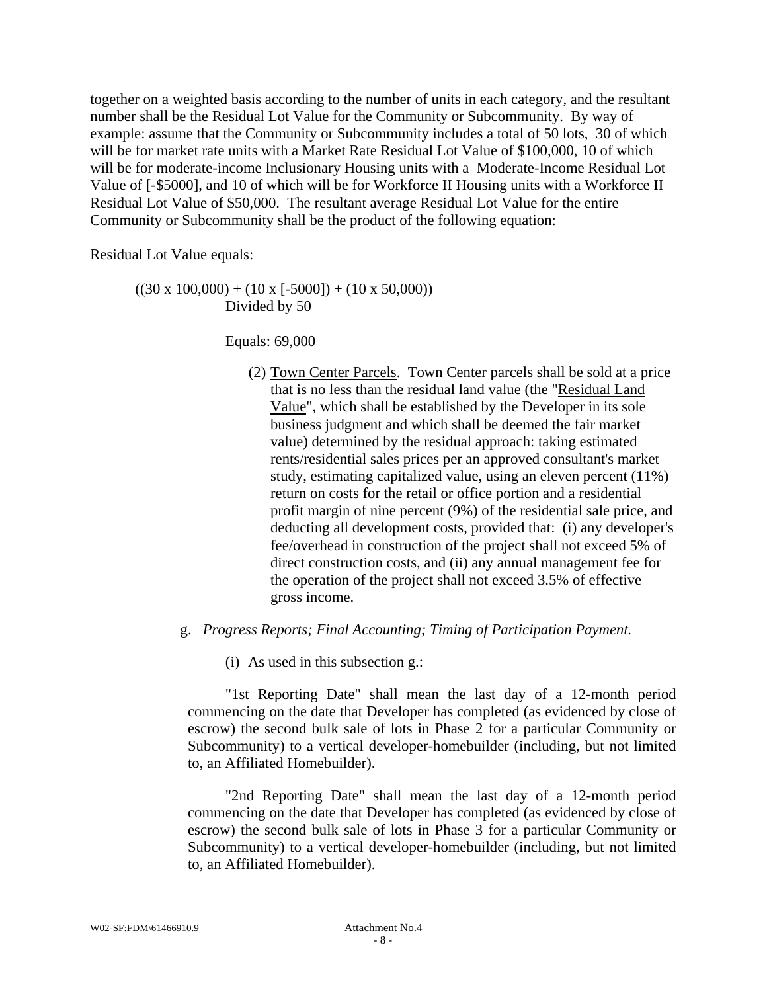together on a weighted basis according to the number of units in each category, and the resultant number shall be the Residual Lot Value for the Community or Subcommunity. By way of example: assume that the Community or Subcommunity includes a total of 50 lots, 30 of which will be for market rate units with a Market Rate Residual Lot Value of \$100,000, 10 of which will be for moderate-income Inclusionary Housing units with a Moderate-Income Residual Lot Value of [-\$5000], and 10 of which will be for Workforce II Housing units with a Workforce II Residual Lot Value of \$50,000. The resultant average Residual Lot Value for the entire Community or Subcommunity shall be the product of the following equation:

Residual Lot Value equals:

## $((30 \times 100,000) + (10 \times [-5000]) + (10 \times 50,000))$ Divided by 50

Equals: 69,000

- (2) Town Center Parcels. Town Center parcels shall be sold at a price that is no less than the residual land value (the "Residual Land Value", which shall be established by the Developer in its sole business judgment and which shall be deemed the fair market value) determined by the residual approach: taking estimated rents/residential sales prices per an approved consultant's market study, estimating capitalized value, using an eleven percent (11%) return on costs for the retail or office portion and a residential profit margin of nine percent (9%) of the residential sale price, and deducting all development costs, provided that: (i) any developer's fee/overhead in construction of the project shall not exceed 5% of direct construction costs, and (ii) any annual management fee for the operation of the project shall not exceed 3.5% of effective gross income.
- g. *Progress Reports; Final Accounting; Timing of Participation Payment.* 
	- (i) As used in this subsection g.:

 "1st Reporting Date" shall mean the last day of a 12-month period commencing on the date that Developer has completed (as evidenced by close of escrow) the second bulk sale of lots in Phase 2 for a particular Community or Subcommunity) to a vertical developer-homebuilder (including, but not limited to, an Affiliated Homebuilder).

 "2nd Reporting Date" shall mean the last day of a 12-month period commencing on the date that Developer has completed (as evidenced by close of escrow) the second bulk sale of lots in Phase 3 for a particular Community or Subcommunity) to a vertical developer-homebuilder (including, but not limited to, an Affiliated Homebuilder).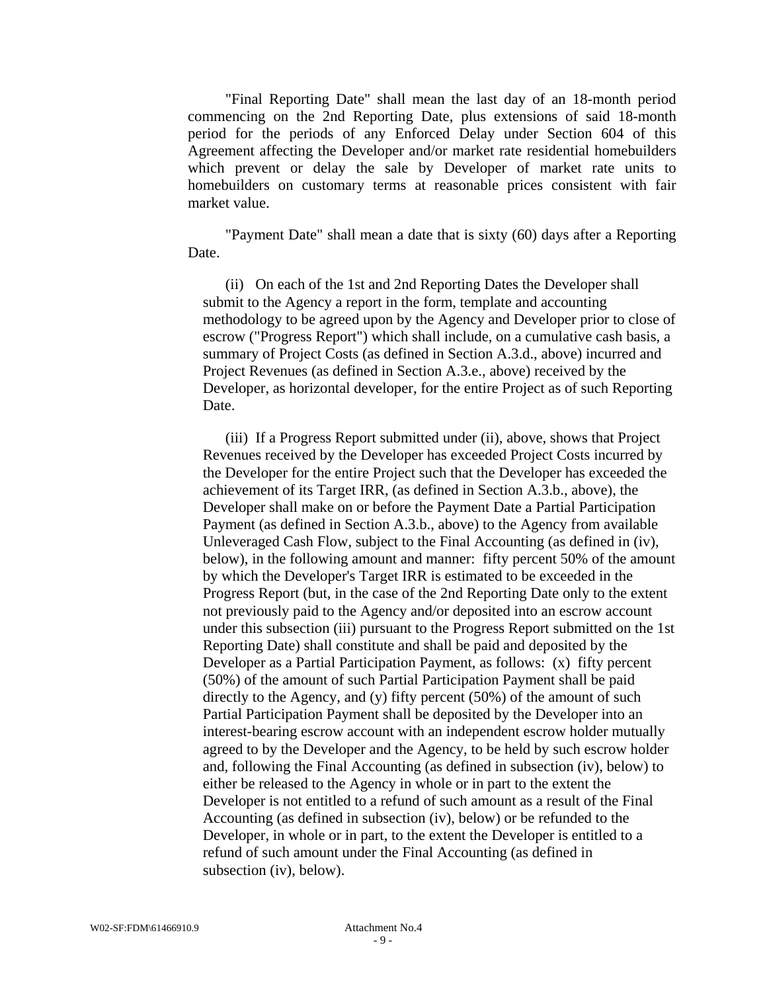"Final Reporting Date" shall mean the last day of an 18-month period commencing on the 2nd Reporting Date, plus extensions of said 18-month period for the periods of any Enforced Delay under Section 604 of this Agreement affecting the Developer and/or market rate residential homebuilders which prevent or delay the sale by Developer of market rate units to homebuilders on customary terms at reasonable prices consistent with fair market value.

 "Payment Date" shall mean a date that is sixty (60) days after a Reporting Date.

(ii) On each of the 1st and 2nd Reporting Dates the Developer shall submit to the Agency a report in the form, template and accounting methodology to be agreed upon by the Agency and Developer prior to close of escrow ("Progress Report") which shall include, on a cumulative cash basis, a summary of Project Costs (as defined in Section A.3.d., above) incurred and Project Revenues (as defined in Section A.3.e., above) received by the Developer, as horizontal developer, for the entire Project as of such Reporting Date.

(iii) If a Progress Report submitted under (ii), above, shows that Project Revenues received by the Developer has exceeded Project Costs incurred by the Developer for the entire Project such that the Developer has exceeded the achievement of its Target IRR, (as defined in Section A.3.b., above), the Developer shall make on or before the Payment Date a Partial Participation Payment (as defined in Section A.3.b., above) to the Agency from available Unleveraged Cash Flow, subject to the Final Accounting (as defined in (iv), below), in the following amount and manner: fifty percent 50% of the amount by which the Developer's Target IRR is estimated to be exceeded in the Progress Report (but, in the case of the 2nd Reporting Date only to the extent not previously paid to the Agency and/or deposited into an escrow account under this subsection (iii) pursuant to the Progress Report submitted on the 1st Reporting Date) shall constitute and shall be paid and deposited by the Developer as a Partial Participation Payment, as follows: (x) fifty percent (50%) of the amount of such Partial Participation Payment shall be paid directly to the Agency, and (y) fifty percent (50%) of the amount of such Partial Participation Payment shall be deposited by the Developer into an interest-bearing escrow account with an independent escrow holder mutually agreed to by the Developer and the Agency, to be held by such escrow holder and, following the Final Accounting (as defined in subsection (iv), below) to either be released to the Agency in whole or in part to the extent the Developer is not entitled to a refund of such amount as a result of the Final Accounting (as defined in subsection (iv), below) or be refunded to the Developer, in whole or in part, to the extent the Developer is entitled to a refund of such amount under the Final Accounting (as defined in subsection (iv), below).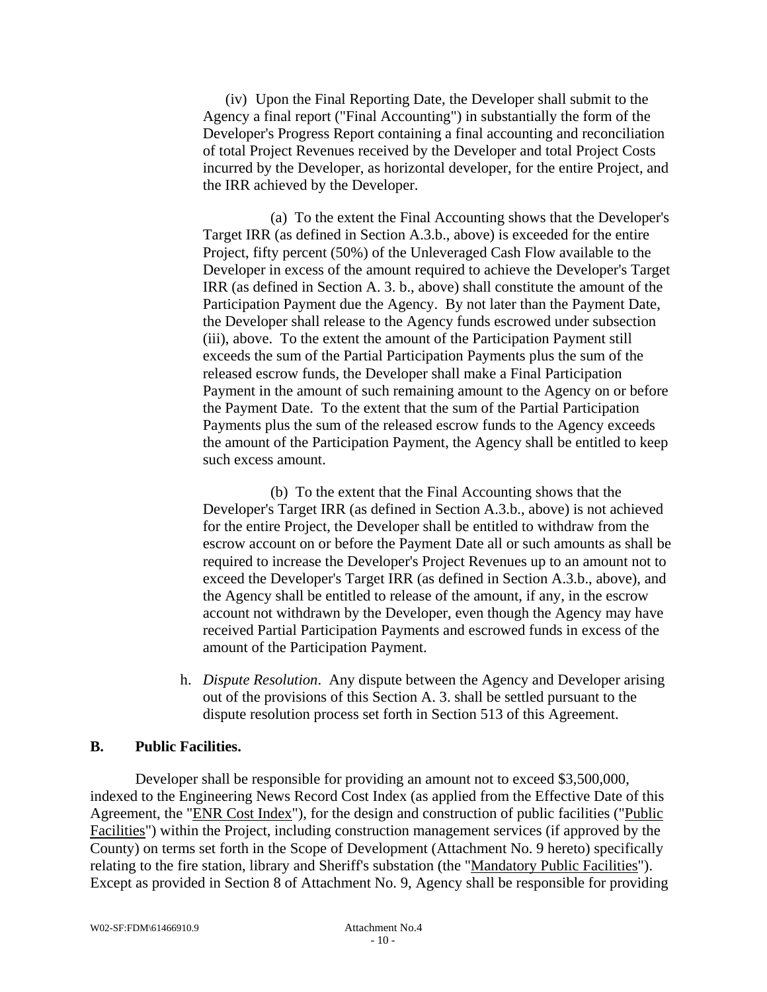(iv) Upon the Final Reporting Date, the Developer shall submit to the Agency a final report ("Final Accounting") in substantially the form of the Developer's Progress Report containing a final accounting and reconciliation of total Project Revenues received by the Developer and total Project Costs incurred by the Developer, as horizontal developer, for the entire Project, and the IRR achieved by the Developer.

 (a) To the extent the Final Accounting shows that the Developer's Target IRR (as defined in Section A.3.b., above) is exceeded for the entire Project, fifty percent (50%) of the Unleveraged Cash Flow available to the Developer in excess of the amount required to achieve the Developer's Target IRR (as defined in Section A. 3. b., above) shall constitute the amount of the Participation Payment due the Agency. By not later than the Payment Date, the Developer shall release to the Agency funds escrowed under subsection (iii), above. To the extent the amount of the Participation Payment still exceeds the sum of the Partial Participation Payments plus the sum of the released escrow funds, the Developer shall make a Final Participation Payment in the amount of such remaining amount to the Agency on or before the Payment Date. To the extent that the sum of the Partial Participation Payments plus the sum of the released escrow funds to the Agency exceeds the amount of the Participation Payment, the Agency shall be entitled to keep such excess amount.

 (b) To the extent that the Final Accounting shows that the Developer's Target IRR (as defined in Section A.3.b., above) is not achieved for the entire Project, the Developer shall be entitled to withdraw from the escrow account on or before the Payment Date all or such amounts as shall be required to increase the Developer's Project Revenues up to an amount not to exceed the Developer's Target IRR (as defined in Section A.3.b., above), and the Agency shall be entitled to release of the amount, if any, in the escrow account not withdrawn by the Developer, even though the Agency may have received Partial Participation Payments and escrowed funds in excess of the amount of the Participation Payment.

h. *Dispute Resolution*. Any dispute between the Agency and Developer arising out of the provisions of this Section A. 3. shall be settled pursuant to the dispute resolution process set forth in Section 513 of this Agreement.

## **B. Public Facilities.**

Developer shall be responsible for providing an amount not to exceed \$3,500,000, indexed to the Engineering News Record Cost Index (as applied from the Effective Date of this Agreement, the "ENR Cost Index"), for the design and construction of public facilities ("Public Facilities") within the Project, including construction management services (if approved by the County) on terms set forth in the Scope of Development (Attachment No. 9 hereto) specifically relating to the fire station, library and Sheriff's substation (the "Mandatory Public Facilities"). Except as provided in Section 8 of Attachment No. 9, Agency shall be responsible for providing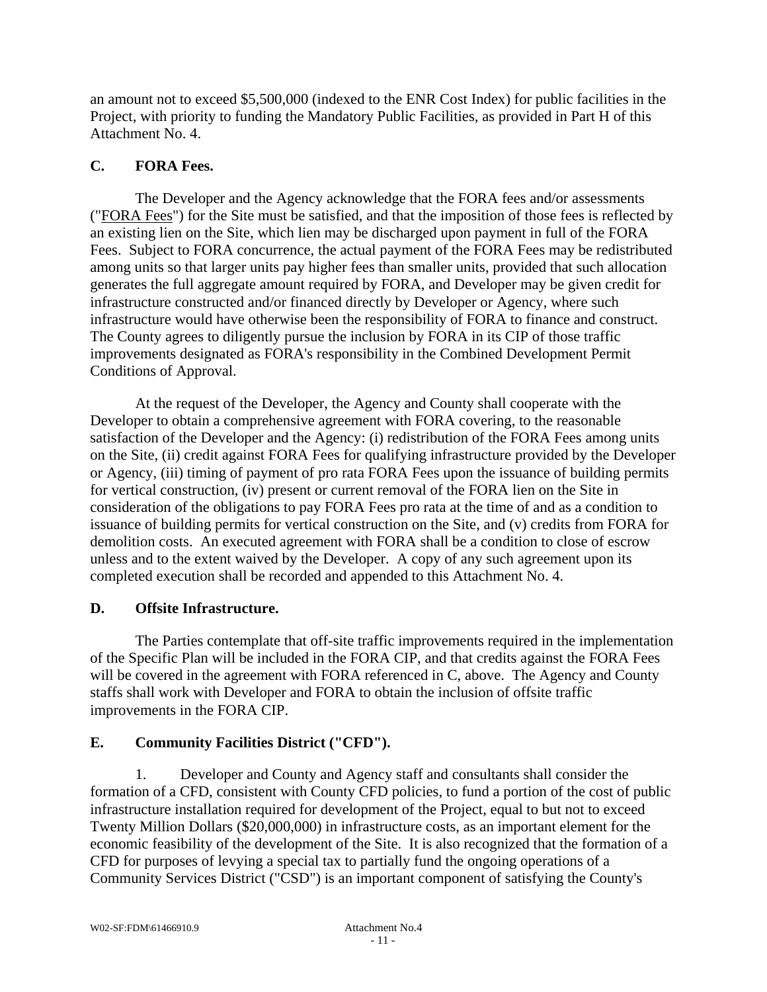an amount not to exceed \$5,500,000 (indexed to the ENR Cost Index) for public facilities in the Project, with priority to funding the Mandatory Public Facilities, as provided in Part H of this Attachment No. 4.

## **C. FORA Fees.**

The Developer and the Agency acknowledge that the FORA fees and/or assessments ("FORA Fees") for the Site must be satisfied, and that the imposition of those fees is reflected by an existing lien on the Site, which lien may be discharged upon payment in full of the FORA Fees. Subject to FORA concurrence, the actual payment of the FORA Fees may be redistributed among units so that larger units pay higher fees than smaller units, provided that such allocation generates the full aggregate amount required by FORA, and Developer may be given credit for infrastructure constructed and/or financed directly by Developer or Agency, where such infrastructure would have otherwise been the responsibility of FORA to finance and construct. The County agrees to diligently pursue the inclusion by FORA in its CIP of those traffic improvements designated as FORA's responsibility in the Combined Development Permit Conditions of Approval.

At the request of the Developer, the Agency and County shall cooperate with the Developer to obtain a comprehensive agreement with FORA covering, to the reasonable satisfaction of the Developer and the Agency: (i) redistribution of the FORA Fees among units on the Site, (ii) credit against FORA Fees for qualifying infrastructure provided by the Developer or Agency, (iii) timing of payment of pro rata FORA Fees upon the issuance of building permits for vertical construction, (iv) present or current removal of the FORA lien on the Site in consideration of the obligations to pay FORA Fees pro rata at the time of and as a condition to issuance of building permits for vertical construction on the Site, and (v) credits from FORA for demolition costs. An executed agreement with FORA shall be a condition to close of escrow unless and to the extent waived by the Developer. A copy of any such agreement upon its completed execution shall be recorded and appended to this Attachment No. 4.

## **D. Offsite Infrastructure.**

The Parties contemplate that off-site traffic improvements required in the implementation of the Specific Plan will be included in the FORA CIP, and that credits against the FORA Fees will be covered in the agreement with FORA referenced in C, above. The Agency and County staffs shall work with Developer and FORA to obtain the inclusion of offsite traffic improvements in the FORA CIP.

## **E. Community Facilities District ("CFD").**

1. Developer and County and Agency staff and consultants shall consider the formation of a CFD, consistent with County CFD policies, to fund a portion of the cost of public infrastructure installation required for development of the Project, equal to but not to exceed Twenty Million Dollars (\$20,000,000) in infrastructure costs, as an important element for the economic feasibility of the development of the Site. It is also recognized that the formation of a CFD for purposes of levying a special tax to partially fund the ongoing operations of a Community Services District ("CSD") is an important component of satisfying the County's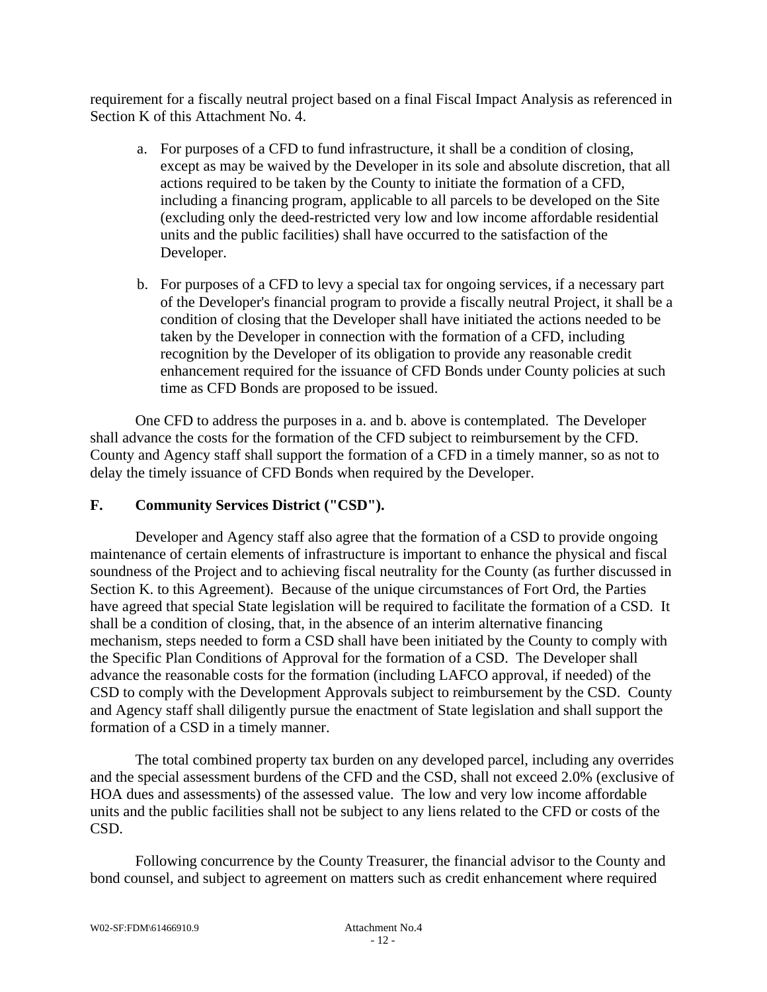requirement for a fiscally neutral project based on a final Fiscal Impact Analysis as referenced in Section K of this Attachment No. 4.

- a. For purposes of a CFD to fund infrastructure, it shall be a condition of closing, except as may be waived by the Developer in its sole and absolute discretion, that all actions required to be taken by the County to initiate the formation of a CFD, including a financing program, applicable to all parcels to be developed on the Site (excluding only the deed-restricted very low and low income affordable residential units and the public facilities) shall have occurred to the satisfaction of the Developer.
- b. For purposes of a CFD to levy a special tax for ongoing services, if a necessary part of the Developer's financial program to provide a fiscally neutral Project, it shall be a condition of closing that the Developer shall have initiated the actions needed to be taken by the Developer in connection with the formation of a CFD, including recognition by the Developer of its obligation to provide any reasonable credit enhancement required for the issuance of CFD Bonds under County policies at such time as CFD Bonds are proposed to be issued.

One CFD to address the purposes in a. and b. above is contemplated. The Developer shall advance the costs for the formation of the CFD subject to reimbursement by the CFD. County and Agency staff shall support the formation of a CFD in a timely manner, so as not to delay the timely issuance of CFD Bonds when required by the Developer.

## **F. Community Services District ("CSD").**

Developer and Agency staff also agree that the formation of a CSD to provide ongoing maintenance of certain elements of infrastructure is important to enhance the physical and fiscal soundness of the Project and to achieving fiscal neutrality for the County (as further discussed in Section K. to this Agreement). Because of the unique circumstances of Fort Ord, the Parties have agreed that special State legislation will be required to facilitate the formation of a CSD. It shall be a condition of closing, that, in the absence of an interim alternative financing mechanism, steps needed to form a CSD shall have been initiated by the County to comply with the Specific Plan Conditions of Approval for the formation of a CSD. The Developer shall advance the reasonable costs for the formation (including LAFCO approval, if needed) of the CSD to comply with the Development Approvals subject to reimbursement by the CSD. County and Agency staff shall diligently pursue the enactment of State legislation and shall support the formation of a CSD in a timely manner.

The total combined property tax burden on any developed parcel, including any overrides and the special assessment burdens of the CFD and the CSD, shall not exceed 2.0% (exclusive of HOA dues and assessments) of the assessed value. The low and very low income affordable units and the public facilities shall not be subject to any liens related to the CFD or costs of the CSD.

Following concurrence by the County Treasurer, the financial advisor to the County and bond counsel, and subject to agreement on matters such as credit enhancement where required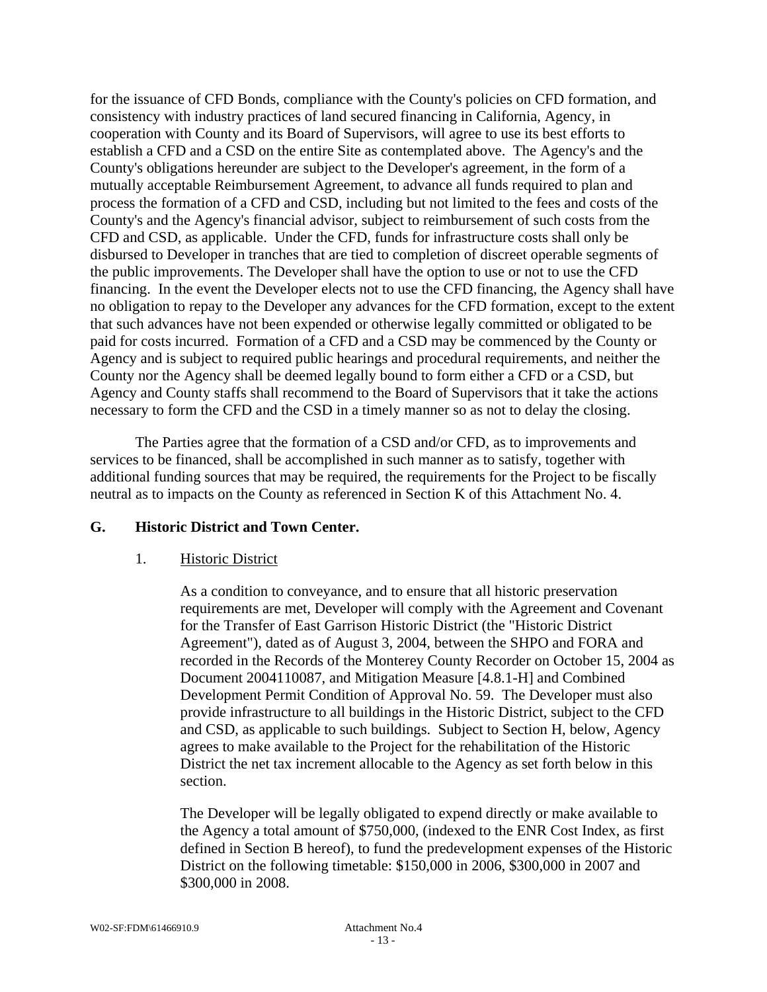for the issuance of CFD Bonds, compliance with the County's policies on CFD formation, and consistency with industry practices of land secured financing in California, Agency, in cooperation with County and its Board of Supervisors, will agree to use its best efforts to establish a CFD and a CSD on the entire Site as contemplated above. The Agency's and the County's obligations hereunder are subject to the Developer's agreement, in the form of a mutually acceptable Reimbursement Agreement, to advance all funds required to plan and process the formation of a CFD and CSD, including but not limited to the fees and costs of the County's and the Agency's financial advisor, subject to reimbursement of such costs from the CFD and CSD, as applicable. Under the CFD, funds for infrastructure costs shall only be disbursed to Developer in tranches that are tied to completion of discreet operable segments of the public improvements. The Developer shall have the option to use or not to use the CFD financing. In the event the Developer elects not to use the CFD financing, the Agency shall have no obligation to repay to the Developer any advances for the CFD formation, except to the extent that such advances have not been expended or otherwise legally committed or obligated to be paid for costs incurred. Formation of a CFD and a CSD may be commenced by the County or Agency and is subject to required public hearings and procedural requirements, and neither the County nor the Agency shall be deemed legally bound to form either a CFD or a CSD, but Agency and County staffs shall recommend to the Board of Supervisors that it take the actions necessary to form the CFD and the CSD in a timely manner so as not to delay the closing.

The Parties agree that the formation of a CSD and/or CFD, as to improvements and services to be financed, shall be accomplished in such manner as to satisfy, together with additional funding sources that may be required, the requirements for the Project to be fiscally neutral as to impacts on the County as referenced in Section K of this Attachment No. 4.

## **G. Historic District and Town Center.**

#### 1. Historic District

As a condition to conveyance, and to ensure that all historic preservation requirements are met, Developer will comply with the Agreement and Covenant for the Transfer of East Garrison Historic District (the "Historic District Agreement"), dated as of August 3, 2004, between the SHPO and FORA and recorded in the Records of the Monterey County Recorder on October 15, 2004 as Document 2004110087, and Mitigation Measure [4.8.1-H] and Combined Development Permit Condition of Approval No. 59. The Developer must also provide infrastructure to all buildings in the Historic District, subject to the CFD and CSD, as applicable to such buildings. Subject to Section H, below, Agency agrees to make available to the Project for the rehabilitation of the Historic District the net tax increment allocable to the Agency as set forth below in this section.

The Developer will be legally obligated to expend directly or make available to the Agency a total amount of \$750,000, (indexed to the ENR Cost Index, as first defined in Section B hereof), to fund the predevelopment expenses of the Historic District on the following timetable: \$150,000 in 2006, \$300,000 in 2007 and \$300,000 in 2008.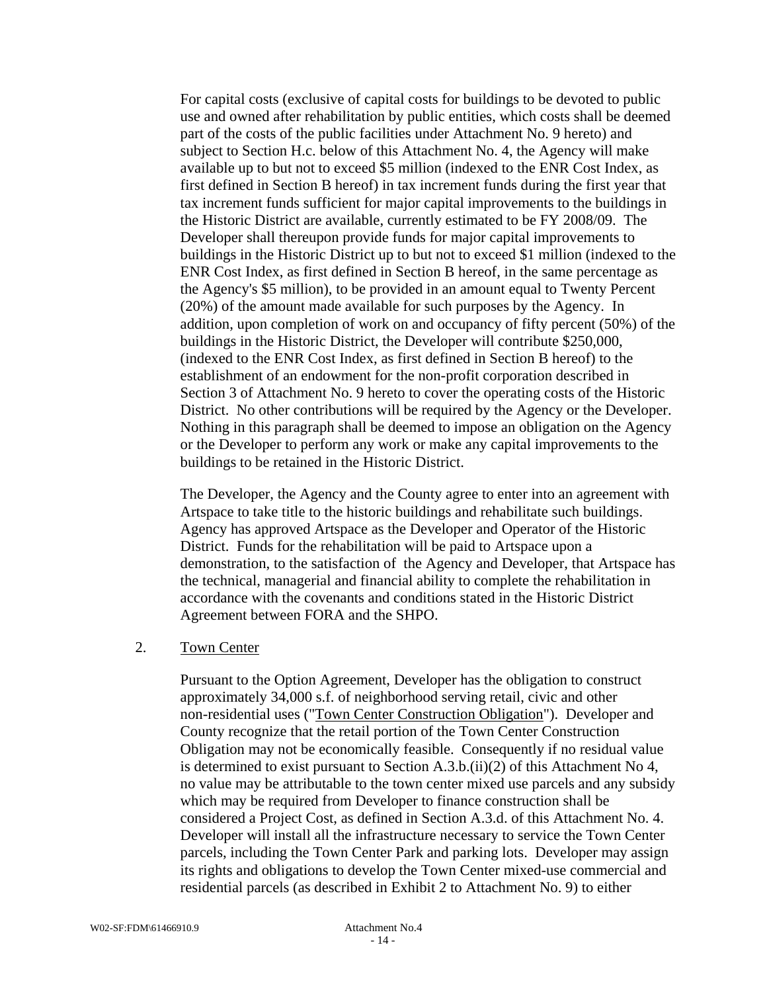For capital costs (exclusive of capital costs for buildings to be devoted to public use and owned after rehabilitation by public entities, which costs shall be deemed part of the costs of the public facilities under Attachment No. 9 hereto) and subject to Section H.c. below of this Attachment No. 4, the Agency will make available up to but not to exceed \$5 million (indexed to the ENR Cost Index, as first defined in Section B hereof) in tax increment funds during the first year that tax increment funds sufficient for major capital improvements to the buildings in the Historic District are available, currently estimated to be FY 2008/09. The Developer shall thereupon provide funds for major capital improvements to buildings in the Historic District up to but not to exceed \$1 million (indexed to the ENR Cost Index, as first defined in Section B hereof, in the same percentage as the Agency's \$5 million), to be provided in an amount equal to Twenty Percent (20%) of the amount made available for such purposes by the Agency. In addition, upon completion of work on and occupancy of fifty percent (50%) of the buildings in the Historic District, the Developer will contribute \$250,000, (indexed to the ENR Cost Index, as first defined in Section B hereof) to the establishment of an endowment for the non-profit corporation described in Section 3 of Attachment No. 9 hereto to cover the operating costs of the Historic District. No other contributions will be required by the Agency or the Developer. Nothing in this paragraph shall be deemed to impose an obligation on the Agency or the Developer to perform any work or make any capital improvements to the buildings to be retained in the Historic District.

The Developer, the Agency and the County agree to enter into an agreement with Artspace to take title to the historic buildings and rehabilitate such buildings. Agency has approved Artspace as the Developer and Operator of the Historic District. Funds for the rehabilitation will be paid to Artspace upon a demonstration, to the satisfaction of the Agency and Developer, that Artspace has the technical, managerial and financial ability to complete the rehabilitation in accordance with the covenants and conditions stated in the Historic District Agreement between FORA and the SHPO.

## 2. Town Center

Pursuant to the Option Agreement, Developer has the obligation to construct approximately 34,000 s.f. of neighborhood serving retail, civic and other non-residential uses ("Town Center Construction Obligation"). Developer and County recognize that the retail portion of the Town Center Construction Obligation may not be economically feasible. Consequently if no residual value is determined to exist pursuant to Section A.3.b.(ii)(2) of this Attachment No 4, no value may be attributable to the town center mixed use parcels and any subsidy which may be required from Developer to finance construction shall be considered a Project Cost, as defined in Section A.3.d. of this Attachment No. 4. Developer will install all the infrastructure necessary to service the Town Center parcels, including the Town Center Park and parking lots. Developer may assign its rights and obligations to develop the Town Center mixed-use commercial and residential parcels (as described in Exhibit 2 to Attachment No. 9) to either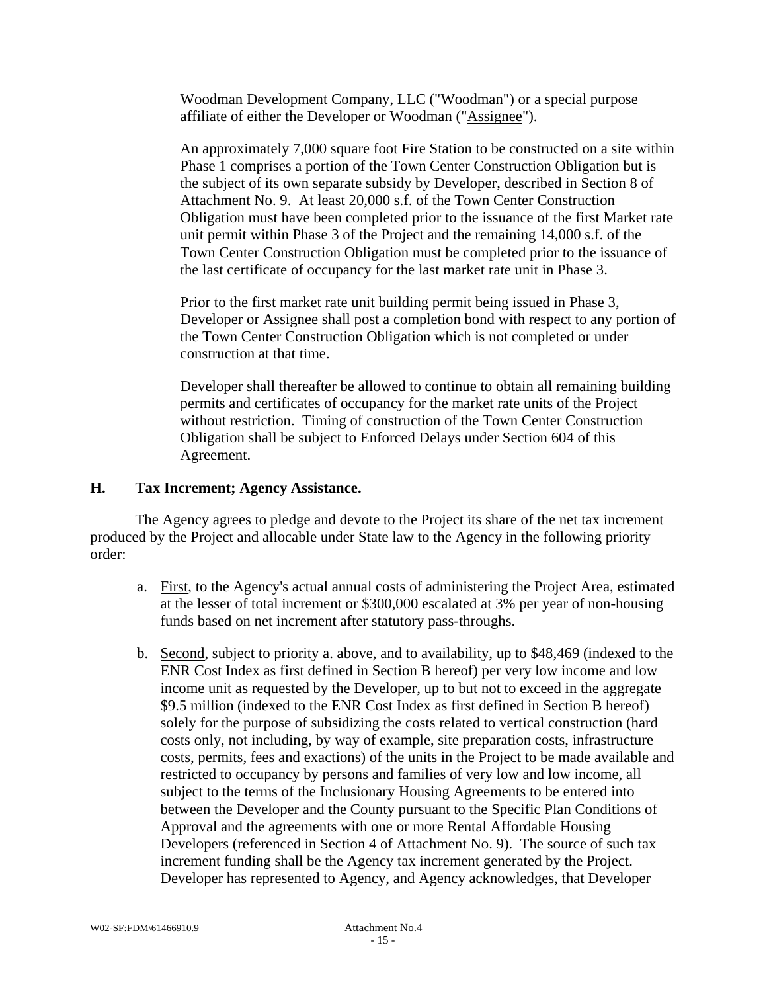Woodman Development Company, LLC ("Woodman") or a special purpose affiliate of either the Developer or Woodman ("Assignee").

An approximately 7,000 square foot Fire Station to be constructed on a site within Phase 1 comprises a portion of the Town Center Construction Obligation but is the subject of its own separate subsidy by Developer, described in Section 8 of Attachment No. 9. At least 20,000 s.f. of the Town Center Construction Obligation must have been completed prior to the issuance of the first Market rate unit permit within Phase 3 of the Project and the remaining 14,000 s.f. of the Town Center Construction Obligation must be completed prior to the issuance of the last certificate of occupancy for the last market rate unit in Phase 3.

Prior to the first market rate unit building permit being issued in Phase 3, Developer or Assignee shall post a completion bond with respect to any portion of the Town Center Construction Obligation which is not completed or under construction at that time.

Developer shall thereafter be allowed to continue to obtain all remaining building permits and certificates of occupancy for the market rate units of the Project without restriction. Timing of construction of the Town Center Construction Obligation shall be subject to Enforced Delays under Section 604 of this Agreement.

### **H. Tax Increment; Agency Assistance.**

The Agency agrees to pledge and devote to the Project its share of the net tax increment produced by the Project and allocable under State law to the Agency in the following priority order:

- a. First, to the Agency's actual annual costs of administering the Project Area, estimated at the lesser of total increment or \$300,000 escalated at 3% per year of non-housing funds based on net increment after statutory pass-throughs.
- b. Second, subject to priority a. above, and to availability, up to \$48,469 (indexed to the ENR Cost Index as first defined in Section B hereof) per very low income and low income unit as requested by the Developer, up to but not to exceed in the aggregate \$9.5 million (indexed to the ENR Cost Index as first defined in Section B hereof) solely for the purpose of subsidizing the costs related to vertical construction (hard costs only, not including, by way of example, site preparation costs, infrastructure costs, permits, fees and exactions) of the units in the Project to be made available and restricted to occupancy by persons and families of very low and low income, all subject to the terms of the Inclusionary Housing Agreements to be entered into between the Developer and the County pursuant to the Specific Plan Conditions of Approval and the agreements with one or more Rental Affordable Housing Developers (referenced in Section 4 of Attachment No. 9). The source of such tax increment funding shall be the Agency tax increment generated by the Project. Developer has represented to Agency, and Agency acknowledges, that Developer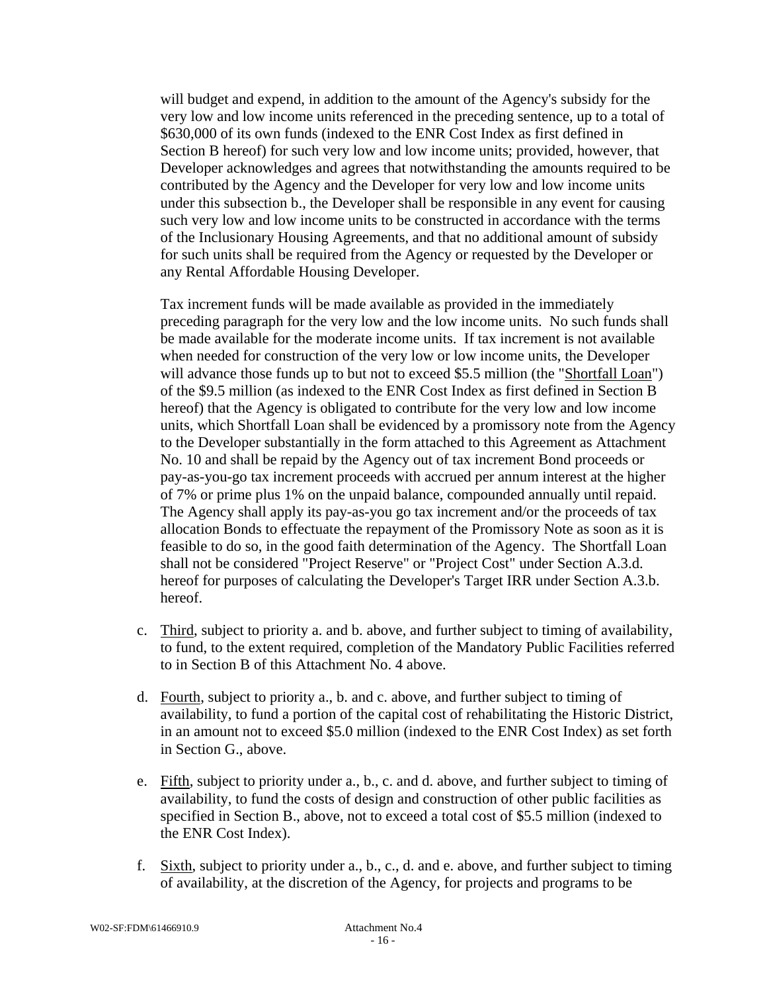will budget and expend, in addition to the amount of the Agency's subsidy for the very low and low income units referenced in the preceding sentence, up to a total of \$630,000 of its own funds (indexed to the ENR Cost Index as first defined in Section B hereof) for such very low and low income units; provided, however, that Developer acknowledges and agrees that notwithstanding the amounts required to be contributed by the Agency and the Developer for very low and low income units under this subsection b., the Developer shall be responsible in any event for causing such very low and low income units to be constructed in accordance with the terms of the Inclusionary Housing Agreements, and that no additional amount of subsidy for such units shall be required from the Agency or requested by the Developer or any Rental Affordable Housing Developer.

Tax increment funds will be made available as provided in the immediately preceding paragraph for the very low and the low income units. No such funds shall be made available for the moderate income units. If tax increment is not available when needed for construction of the very low or low income units, the Developer will advance those funds up to but not to exceed \$5.5 million (the "Shortfall Loan") of the \$9.5 million (as indexed to the ENR Cost Index as first defined in Section B hereof) that the Agency is obligated to contribute for the very low and low income units, which Shortfall Loan shall be evidenced by a promissory note from the Agency to the Developer substantially in the form attached to this Agreement as Attachment No. 10 and shall be repaid by the Agency out of tax increment Bond proceeds or pay-as-you-go tax increment proceeds with accrued per annum interest at the higher of 7% or prime plus 1% on the unpaid balance, compounded annually until repaid. The Agency shall apply its pay-as-you go tax increment and/or the proceeds of tax allocation Bonds to effectuate the repayment of the Promissory Note as soon as it is feasible to do so, in the good faith determination of the Agency. The Shortfall Loan shall not be considered "Project Reserve" or "Project Cost" under Section A.3.d. hereof for purposes of calculating the Developer's Target IRR under Section A.3.b. hereof.

- c. Third, subject to priority a. and b. above, and further subject to timing of availability, to fund, to the extent required, completion of the Mandatory Public Facilities referred to in Section B of this Attachment No. 4 above.
- d. Fourth, subject to priority a., b. and c. above, and further subject to timing of availability, to fund a portion of the capital cost of rehabilitating the Historic District, in an amount not to exceed \$5.0 million (indexed to the ENR Cost Index) as set forth in Section G., above.
- e. Fifth, subject to priority under a., b., c. and d. above, and further subject to timing of availability, to fund the costs of design and construction of other public facilities as specified in Section B., above, not to exceed a total cost of \$5.5 million (indexed to the ENR Cost Index).
- f. Sixth, subject to priority under a., b., c., d. and e. above, and further subject to timing of availability, at the discretion of the Agency, for projects and programs to be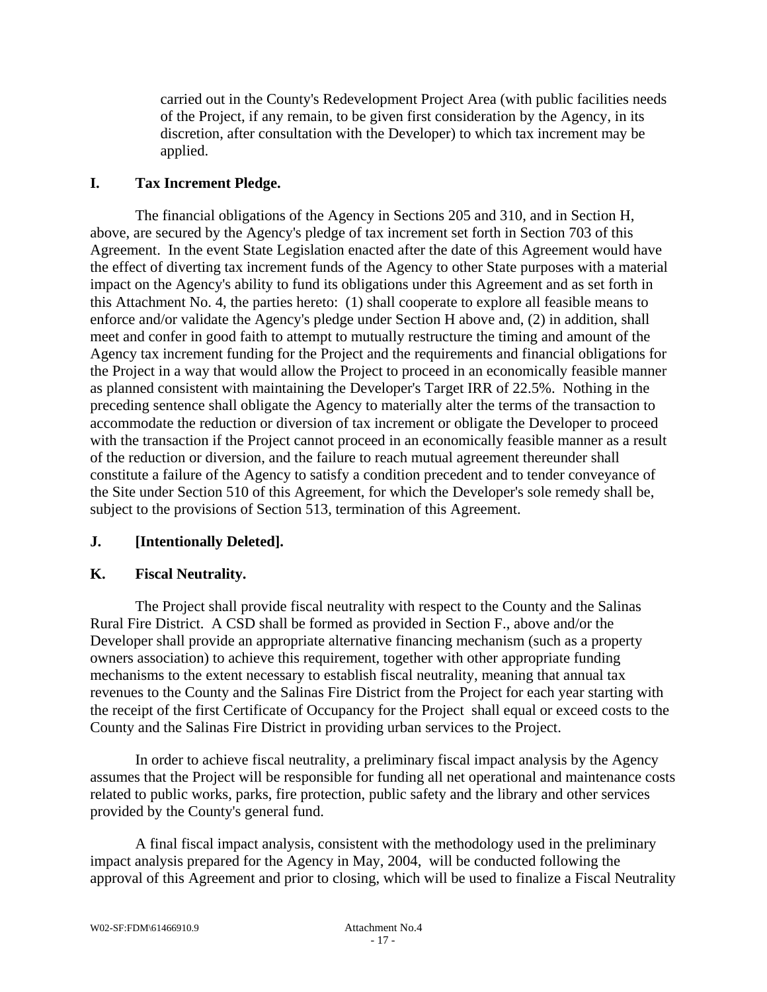carried out in the County's Redevelopment Project Area (with public facilities needs of the Project, if any remain, to be given first consideration by the Agency, in its discretion, after consultation with the Developer) to which tax increment may be applied.

## **I. Tax Increment Pledge.**

The financial obligations of the Agency in Sections 205 and 310, and in Section H, above, are secured by the Agency's pledge of tax increment set forth in Section 703 of this Agreement. In the event State Legislation enacted after the date of this Agreement would have the effect of diverting tax increment funds of the Agency to other State purposes with a material impact on the Agency's ability to fund its obligations under this Agreement and as set forth in this Attachment No. 4, the parties hereto: (1) shall cooperate to explore all feasible means to enforce and/or validate the Agency's pledge under Section H above and, (2) in addition, shall meet and confer in good faith to attempt to mutually restructure the timing and amount of the Agency tax increment funding for the Project and the requirements and financial obligations for the Project in a way that would allow the Project to proceed in an economically feasible manner as planned consistent with maintaining the Developer's Target IRR of 22.5%. Nothing in the preceding sentence shall obligate the Agency to materially alter the terms of the transaction to accommodate the reduction or diversion of tax increment or obligate the Developer to proceed with the transaction if the Project cannot proceed in an economically feasible manner as a result of the reduction or diversion, and the failure to reach mutual agreement thereunder shall constitute a failure of the Agency to satisfy a condition precedent and to tender conveyance of the Site under Section 510 of this Agreement, for which the Developer's sole remedy shall be, subject to the provisions of Section 513, termination of this Agreement.

## **J. [Intentionally Deleted].**

## **K. Fiscal Neutrality.**

The Project shall provide fiscal neutrality with respect to the County and the Salinas Rural Fire District. A CSD shall be formed as provided in Section F., above and/or the Developer shall provide an appropriate alternative financing mechanism (such as a property owners association) to achieve this requirement, together with other appropriate funding mechanisms to the extent necessary to establish fiscal neutrality, meaning that annual tax revenues to the County and the Salinas Fire District from the Project for each year starting with the receipt of the first Certificate of Occupancy for the Project shall equal or exceed costs to the County and the Salinas Fire District in providing urban services to the Project.

In order to achieve fiscal neutrality, a preliminary fiscal impact analysis by the Agency assumes that the Project will be responsible for funding all net operational and maintenance costs related to public works, parks, fire protection, public safety and the library and other services provided by the County's general fund.

A final fiscal impact analysis, consistent with the methodology used in the preliminary impact analysis prepared for the Agency in May, 2004, will be conducted following the approval of this Agreement and prior to closing, which will be used to finalize a Fiscal Neutrality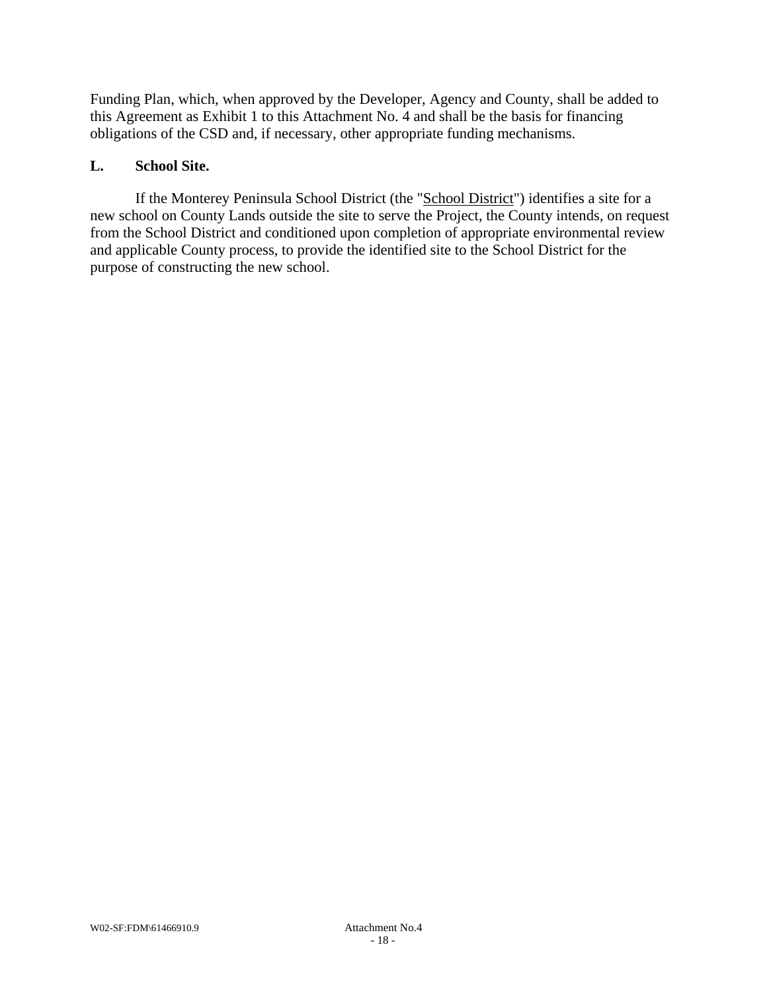Funding Plan, which, when approved by the Developer, Agency and County, shall be added to this Agreement as Exhibit 1 to this Attachment No. 4 and shall be the basis for financing obligations of the CSD and, if necessary, other appropriate funding mechanisms.

## **L. School Site.**

If the Monterey Peninsula School District (the "School District") identifies a site for a new school on County Lands outside the site to serve the Project, the County intends, on request from the School District and conditioned upon completion of appropriate environmental review and applicable County process, to provide the identified site to the School District for the purpose of constructing the new school.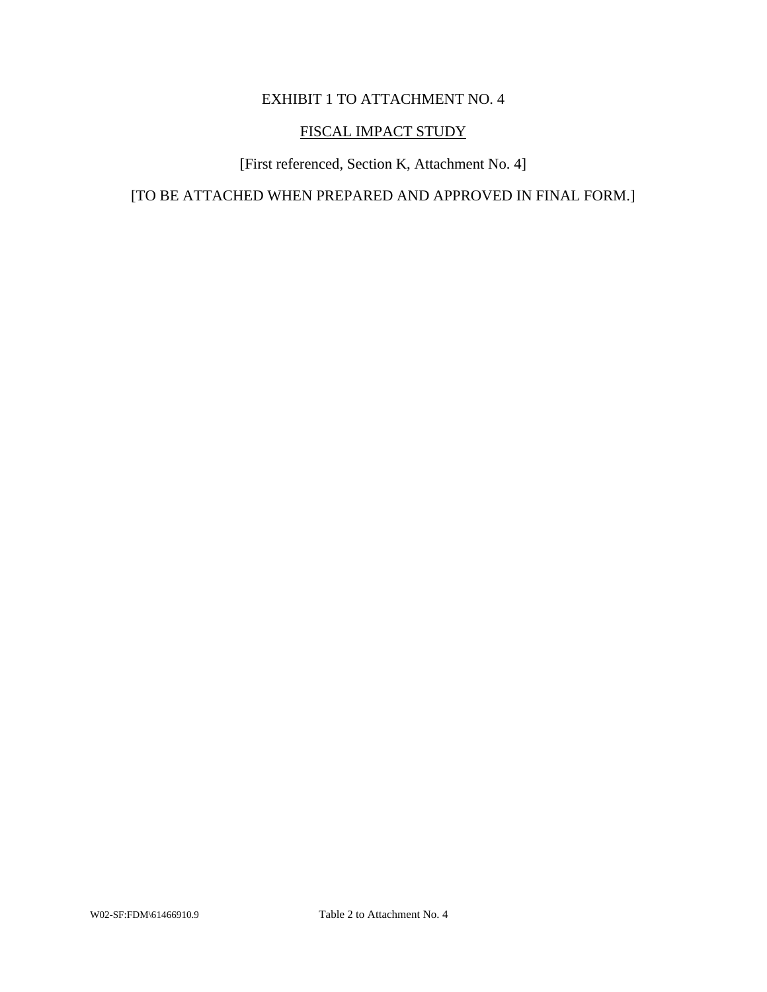# EXHIBIT 1 TO ATTACHMENT NO. 4

## FISCAL IMPACT STUDY

[First referenced, Section K, Attachment No. 4]

[TO BE ATTACHED WHEN PREPARED AND APPROVED IN FINAL FORM.]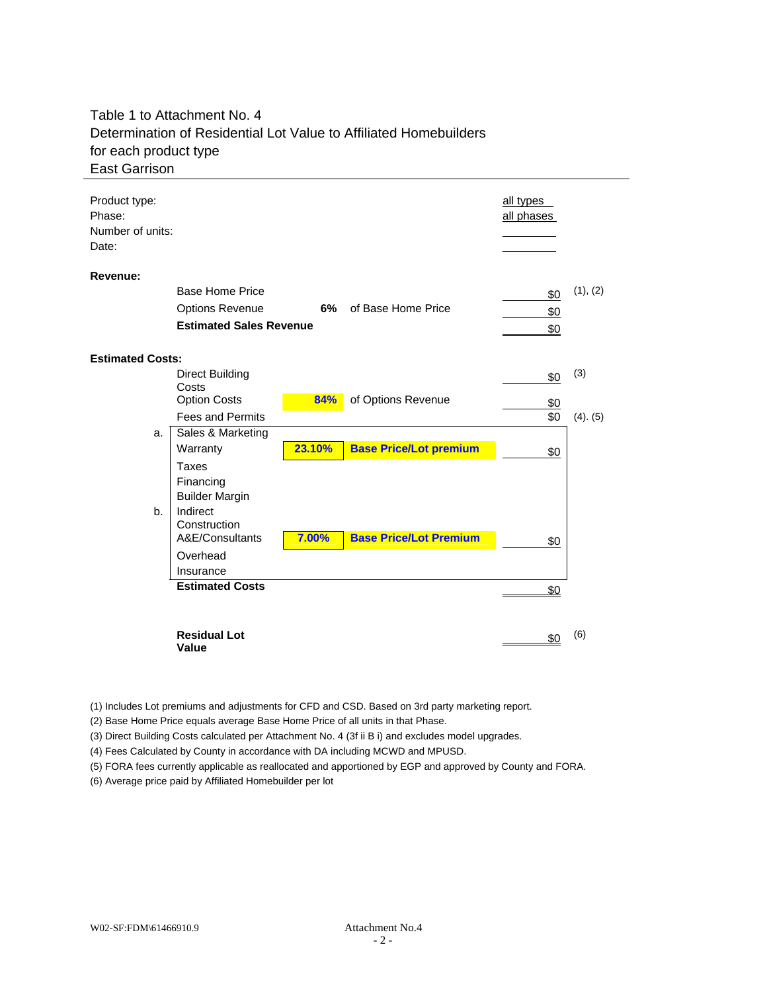## Table 1 to Attachment No. 4 Determination of Residential Lot Value to Affiliated Homebuilders for each product type East Garrison

| Product type:<br>Phase:<br>Number of units:<br>Date: |                                                                                            |        |                               | all types<br>all phases |               |
|------------------------------------------------------|--------------------------------------------------------------------------------------------|--------|-------------------------------|-------------------------|---------------|
| Revenue:                                             | <b>Base Home Price</b><br><b>Options Revenue</b><br><b>Estimated Sales Revenue</b>         |        | 6% of Base Home Price         | \$0<br>\$0<br>\$0       | (1), (2)      |
| <b>Estimated Costs:</b>                              |                                                                                            |        |                               |                         |               |
|                                                      | <b>Direct Building</b><br>Costs<br><b>Option Costs</b>                                     | 84%    | of Options Revenue            | \$0                     | (3)           |
|                                                      | <b>Fees and Permits</b>                                                                    |        |                               | \$0<br>\$0              | $(4)$ . $(5)$ |
| a.                                                   | Sales & Marketing<br>Warranty                                                              | 23.10% | <b>Base Price/Lot premium</b> | \$0                     |               |
| b.                                                   | Taxes<br>Financing<br><b>Builder Margin</b><br>Indirect<br>Construction<br>A&E/Consultants | 7.00%  | <b>Base Price/Lot Premium</b> |                         |               |
|                                                      | Overhead<br>Insurance                                                                      |        |                               | \$0                     |               |
|                                                      | <b>Estimated Costs</b>                                                                     |        |                               | \$0                     |               |
|                                                      | <b>Residual Lot</b><br>Value                                                               |        |                               | \$0                     | (6)           |

(1) Includes Lot premiums and adjustments for CFD and CSD. Based on 3rd party marketing report.

(2) Base Home Price equals average Base Home Price of all units in that Phase.

(3) Direct Building Costs calculated per Attachment No. 4 (3f ii B i) and excludes model upgrades.

(4) Fees Calculated by County in accordance with DA including MCWD and MPUSD.

(5) FORA fees currently applicable as reallocated and apportioned by EGP and approved by County and FORA.

(6) Average price paid by Affiliated Homebuilder per lot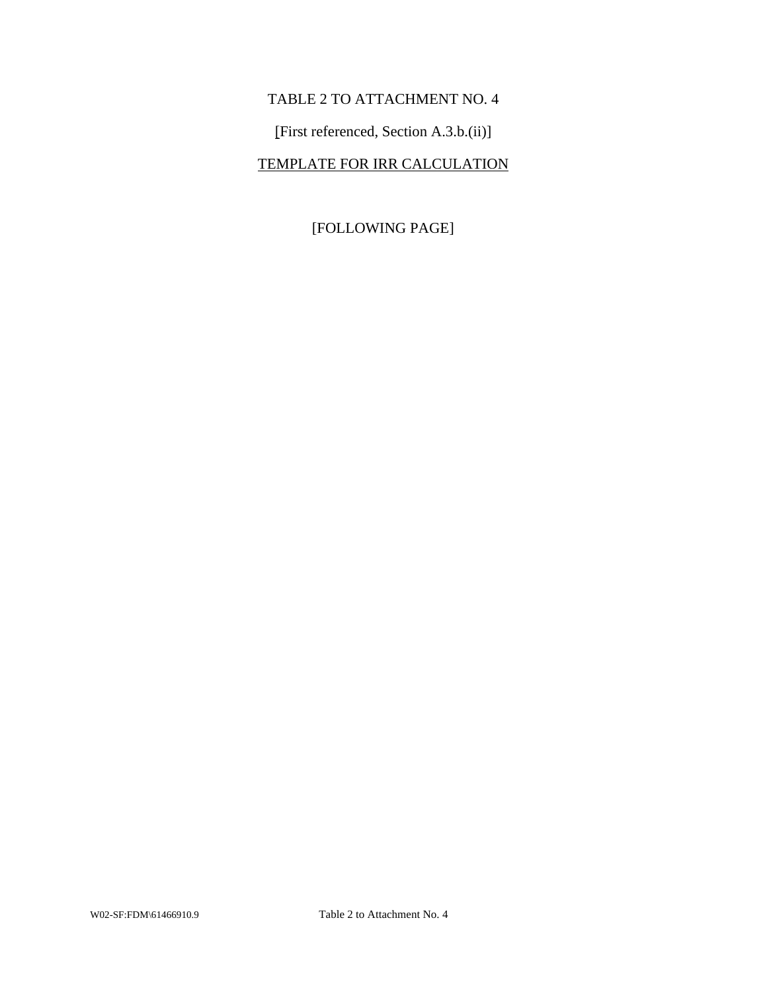# TABLE 2 TO ATTACHMENT NO. 4

[First referenced, Section A.3.b.(ii)]

# TEMPLATE FOR IRR CALCULATION

[FOLLOWING PAGE]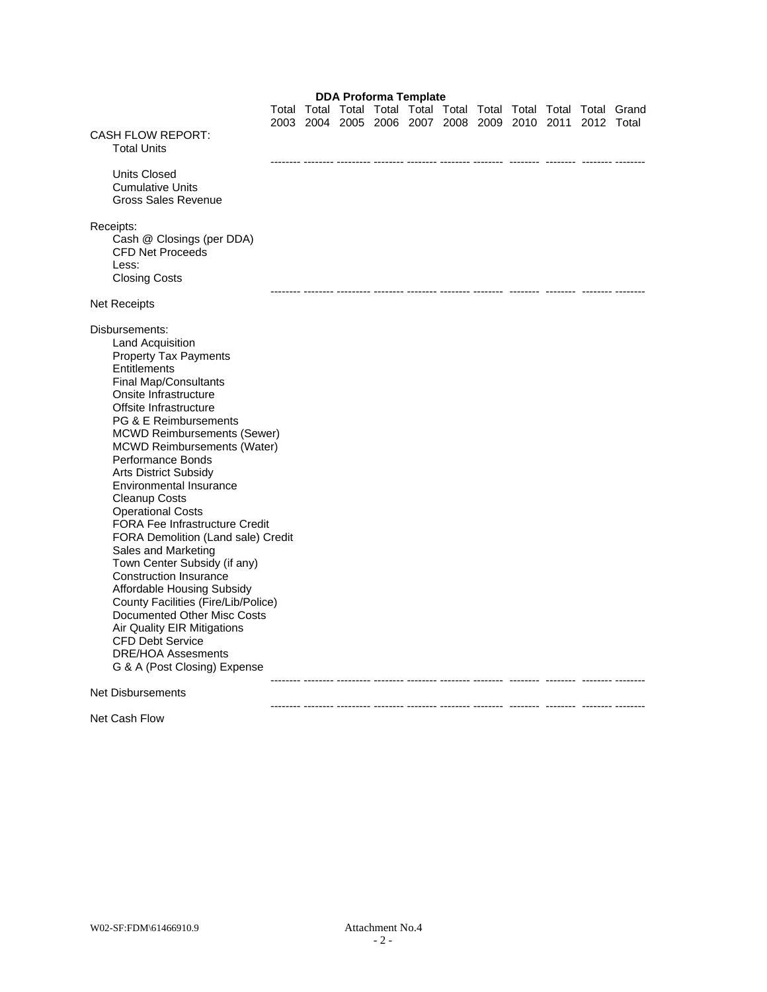#### **DDA Proforma Template**

 Total Total Total Total Total Total Total Total Total Total Grand 2003 2004 2005 2006 2007 2008 2009 2010 2011 2012 Total CASH FLOW REPORT: Total Units -------- -------- --------- -------- -------- -------- -------- -------- -------- -------- -------- Units Closed Cumulative Units Gross Sales Revenue Receipts: Cash @ Closings (per DDA) CFD Net Proceeds Less: Closing Costs -------- -------- --------- -------- -------- -------- -------- -------- -------- -------- -------- Net Receipts Disbursements: Land Acquisition Property Tax Payments **Entitlements** Final Map/Consultants Onsite Infrastructure Offsite Infrastructure PG & E Reimbursements MCWD Reimbursements (Sewer) MCWD Reimbursements (Water) Performance Bonds Arts District Subsidy Environmental Insurance Cleanup Costs Operational Costs FORA Fee Infrastructure Credit FORA Demolition (Land sale) Credit Sales and Marketing Town Center Subsidy (if any) Construction Insurance Affordable Housing Subsidy County Facilities (Fire/Lib/Police) Documented Other Misc Costs Air Quality EIR Mitigations CFD Debt Service DRE/HOA Assesments G & A (Post Closing) Expense -------- -------- --------- -------- -------- -------- -------- -------- -------- -------- -------- Net Disbursements -------- -------- --------- -------- -------- -------- -------- -------- -------- -------- --------

Net Cash Flow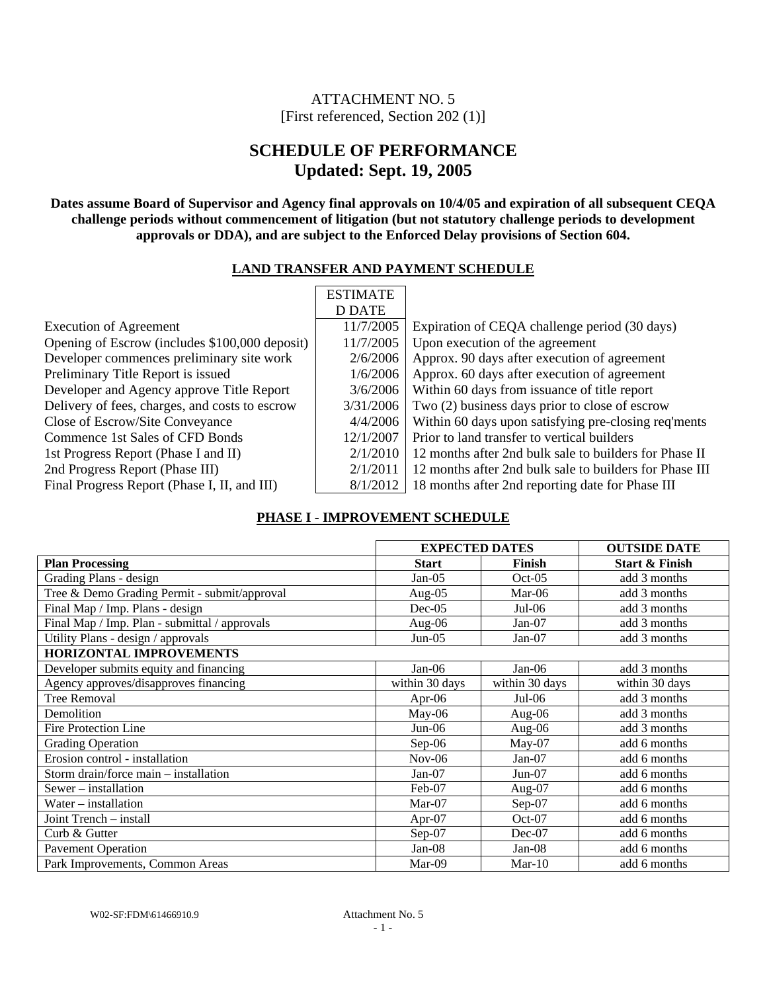## ATTACHMENT NO. 5 [First referenced, Section 202 (1)]

# **SCHEDULE OF PERFORMANCE Updated: Sept. 19, 2005**

**Dates assume Board of Supervisor and Agency final approvals on 10/4/05 and expiration of all subsequent CEQA challenge periods without commencement of litigation (but not statutory challenge periods to development approvals or DDA), and are subject to the Enforced Delay provisions of Section 604.** 

### **LAND TRANSFER AND PAYMENT SCHEDULE**

| <b>ESTIMATE</b> |                                                         |
|-----------------|---------------------------------------------------------|
| D DATE          |                                                         |
| 11/7/2005       | Expiration of CEQA challenge period (30 days)           |
| 11/7/2005       | Upon execution of the agreement                         |
| 2/6/2006        | Approx. 90 days after execution of agreement            |
| 1/6/2006        | Approx. 60 days after execution of agreement            |
| 3/6/2006        | Within 60 days from issuance of title report            |
| 3/31/2006       | Two (2) business days prior to close of escrow          |
| 4/4/2006        | Within 60 days upon satisfying pre-closing req'ments    |
| 12/1/2007       | Prior to land transfer to vertical builders             |
| 2/1/2010        | 12 months after 2nd bulk sale to builders for Phase II  |
| 2/1/2011        | 12 months after 2nd bulk sale to builders for Phase III |
| 8/1/2012        | 18 months after 2nd reporting date for Phase III        |
|                 |                                                         |

## **PHASE I - IMPROVEMENT SCHEDULE**

|                                               | <b>EXPECTED DATES</b> |                | <b>OUTSIDE DATE</b>       |
|-----------------------------------------------|-----------------------|----------------|---------------------------|
| <b>Plan Processing</b>                        | <b>Start</b>          | Finish         | <b>Start &amp; Finish</b> |
| Grading Plans - design                        | $Jan-05$              | $Oct-05$       | add 3 months              |
| Tree & Demo Grading Permit - submit/approval  | Aug- $05$             | $Mar-06$       | add 3 months              |
| Final Map / Imp. Plans - design               | $Dec-05$              | $Jul-06$       | add 3 months              |
| Final Map / Imp. Plan - submittal / approvals | Aug- $06$             | $Jan-07$       | add 3 months              |
| Utility Plans - design / approvals            | $Jun-05$              | $Jan-07$       | add 3 months              |
| <b>HORIZONTAL IMPROVEMENTS</b>                |                       |                |                           |
| Developer submits equity and financing        | $Jan-06$              | $Jan-06$       | add 3 months              |
| Agency approves/disapproves financing         | within 30 days        | within 30 days | within 30 days            |
| Tree Removal                                  | Apr- $06$             | $Jul-06$       | add 3 months              |
| Demolition                                    | $May-06$              | Aug-06         | add 3 months              |
| <b>Fire Protection Line</b>                   | $Jun-06$              | Aug- $06$      | add 3 months              |
| <b>Grading Operation</b>                      | $Sep-06$              | $May-07$       | add 6 months              |
| Erosion control - installation                | $Nov-06$              | $Jan-07$       | add 6 months              |
| Storm drain/force main - installation         | Jan-07                | $Jun-07$       | add 6 months              |
| Sewer – installation                          | Feb-07                | Aug- $07$      | add 6 months              |
| Water – installation                          | Mar-07                | Sep-07         | add 6 months              |
| Joint Trench - install                        | Apr- $07$             | $Oct-07$       | add 6 months              |
| Curb & Gutter                                 | $Sep-07$              | $Dec-07$       | add 6 months              |
| <b>Pavement Operation</b>                     | Jan-08                | $Jan-08$       | add 6 months              |
| Park Improvements, Common Areas               | Mar-09                | $Mar-10$       | add 6 months              |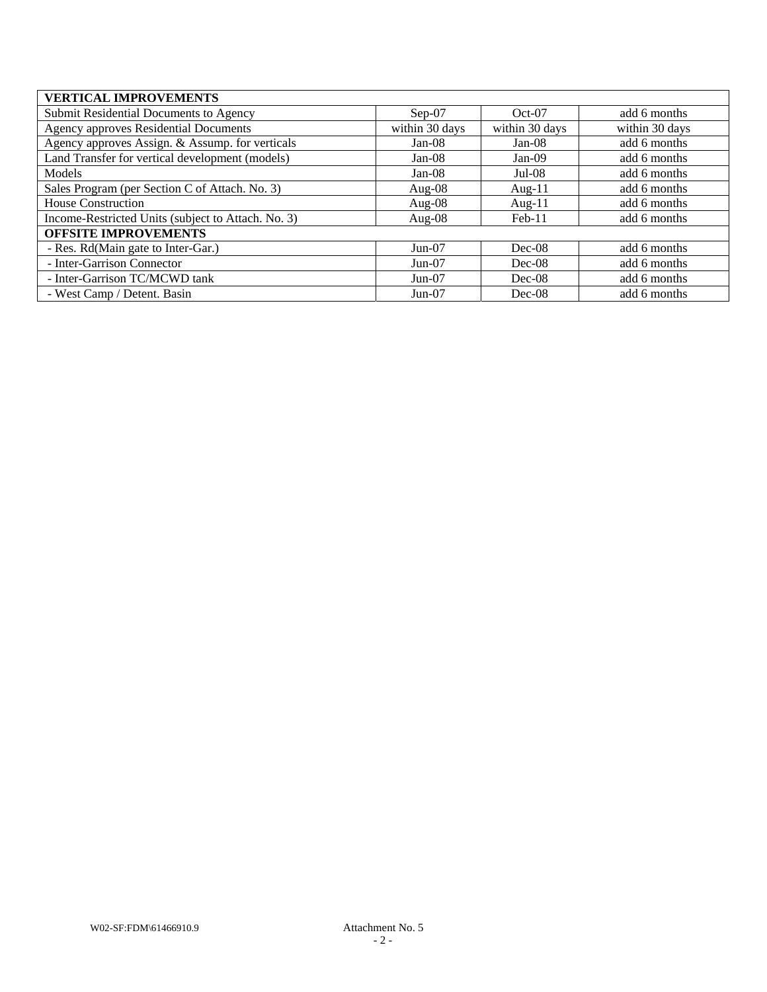| <b>VERTICAL IMPROVEMENTS</b>                       |                |                |                |
|----------------------------------------------------|----------------|----------------|----------------|
| Submit Residential Documents to Agency             | $Sep-07$       | $Oct-07$       | add 6 months   |
| <b>Agency approves Residential Documents</b>       | within 30 days | within 30 days | within 30 days |
| Agency approves Assign. & Assump. for verticals    | $Jan-08$       | $Jan-08$       | add 6 months   |
| Land Transfer for vertical development (models)    | $Jan-08$       | Jan-09         | add 6 months   |
| Models                                             | $Jan-08$       | $Jul-08$       | add 6 months   |
| Sales Program (per Section C of Attach. No. 3)     | Aug- $08$      | Aug- $11$      | add 6 months   |
| House Construction                                 | Aug- $08$      | Aug- $11$      | add 6 months   |
| Income-Restricted Units (subject to Attach. No. 3) | Aug- $08$      | $Feb-11$       | add 6 months   |
| <b>OFFSITE IMPROVEMENTS</b>                        |                |                |                |
| - Res. Rd(Main gate to Inter-Gar.)                 | $Jun-07$       | $Dec-08$       | add 6 months   |
| - Inter-Garrison Connector                         | $Jun-07$       | $Dec-08$       | add 6 months   |
| - Inter-Garrison TC/MCWD tank                      | $Jun-07$       | $Dec-08$       | add 6 months   |
| - West Camp / Detent. Basin                        | $Jun-07$       | $Dec-08$       | add 6 months   |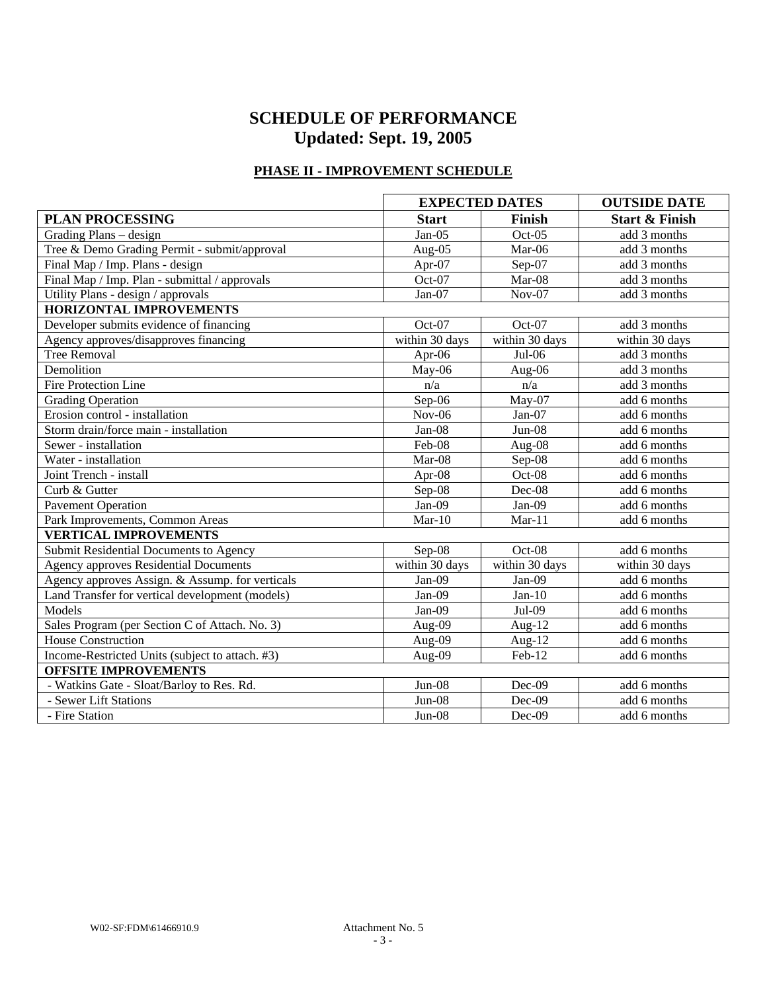# **SCHEDULE OF PERFORMANCE Updated: Sept. 19, 2005**

## **PHASE II - IMPROVEMENT SCHEDULE**

|                                                 | <b>EXPECTED DATES</b> |                | <b>OUTSIDE DATE</b>       |
|-------------------------------------------------|-----------------------|----------------|---------------------------|
| <b>PLAN PROCESSING</b>                          | <b>Start</b>          | Finish         | <b>Start &amp; Finish</b> |
| Grading Plans - design                          | Jan-05                | $Oct-05$       | add 3 months              |
| Tree & Demo Grading Permit - submit/approval    | Aug-05                | Mar-06         | add 3 months              |
| Final Map / Imp. Plans - design                 | Apr-07                | Sep-07         | add 3 months              |
| Final Map / Imp. Plan - submittal / approvals   | Oct-07                | Mar-08         | add 3 months              |
| Utility Plans - design / approvals              | $Jan-07$              | $Nov-07$       | add 3 months              |
| <b>HORIZONTAL IMPROVEMENTS</b>                  |                       |                |                           |
| Developer submits evidence of financing         | Oct-07                | Oct-07         | add 3 months              |
| Agency approves/disapproves financing           | within 30 days        | within 30 days | within 30 days            |
| <b>Tree Removal</b>                             | Apr-06                | $Jul-06$       | add 3 months              |
| Demolition                                      | May-06                | Aug-06         | add 3 months              |
| <b>Fire Protection Line</b>                     | n/a                   | n/a            | add 3 months              |
| <b>Grading Operation</b>                        | Sep-06                | May-07         | add 6 months              |
| Erosion control - installation                  | $Nov-06$              | Jan-07         | add 6 months              |
| Storm drain/force main - installation           | Jan-08                | $Jun-08$       | add 6 months              |
| Sewer - installation                            | Feb-08                | Aug-08         | add 6 months              |
| Water - installation                            | Mar-08                | Sep-08         | add 6 months              |
| Joint Trench - install                          | Apr-08                | Oct-08         | add 6 months              |
| Curb & Gutter                                   | Sep-08                | Dec-08         | add 6 months              |
| <b>Pavement Operation</b>                       | Jan- $0\overline{9}$  | $Jan-09$       | add 6 months              |
| Park Improvements, Common Areas                 | $Mar-10$              | $Mar-11$       | add 6 months              |
| <b>VERTICAL IMPROVEMENTS</b>                    |                       |                |                           |
| Submit Residential Documents to Agency          | Sep-08                | Oct-08         | add 6 months              |
| <b>Agency approves Residential Documents</b>    | within 30 days        | within 30 days | within 30 days            |
| Agency approves Assign. & Assump. for verticals | Jan-09                | $Jan-09$       | add 6 months              |
| Land Transfer for vertical development (models) | Jan-09                | $Jan-10$       | add 6 months              |
| Models                                          | $Jan-09$              | Jul-09         | add 6 months              |
| Sales Program (per Section C of Attach. No. 3)  | Aug-09                | Aug- $12$      | add 6 months              |
| <b>House Construction</b>                       | Aug-09                | Aug-12         | add 6 months              |
| Income-Restricted Units (subject to attach. #3) | Aug-09                | Feb-12         | add 6 months              |
| <b>OFFSITE IMPROVEMENTS</b>                     |                       |                |                           |
| - Watkins Gate - Sloat/Barloy to Res. Rd.       | $Jun-08$              | $Dec-09$       | add 6 months              |
| - Sewer Lift Stations                           | $Jun-08$              | Dec-09         | add 6 months              |
| - Fire Station                                  | $Jun-08$              | Dec-09         | add 6 months              |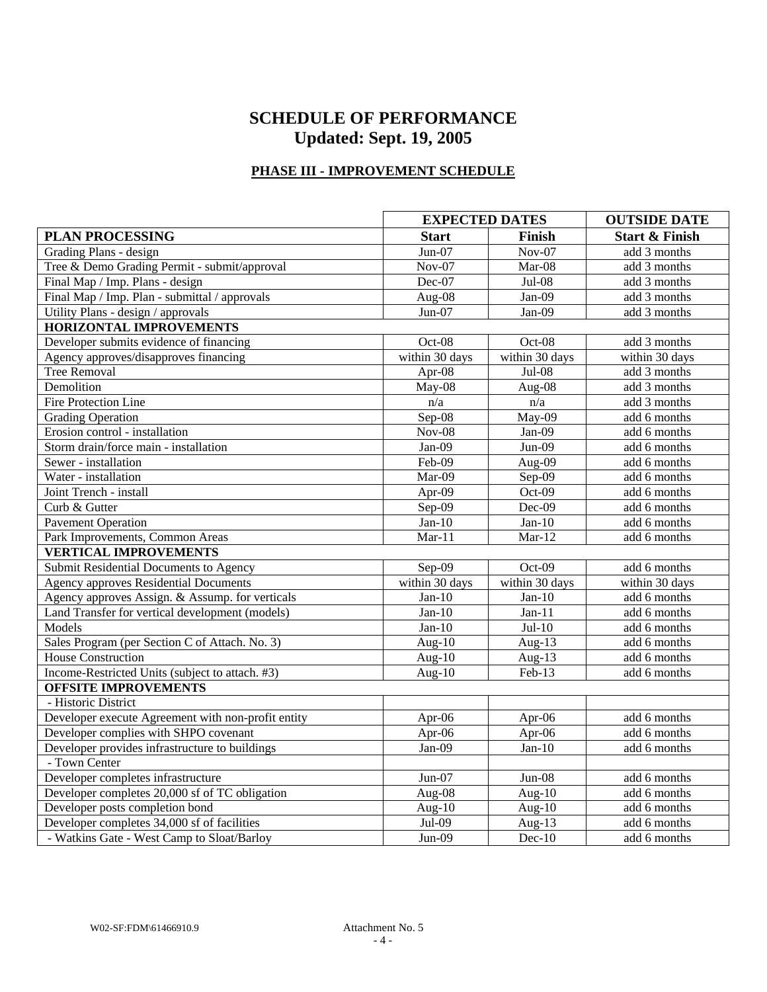# **SCHEDULE OF PERFORMANCE Updated: Sept. 19, 2005**

## **PHASE III - IMPROVEMENT SCHEDULE**

|                                                    |                | <b>EXPECTED DATES</b> |                           |  |
|----------------------------------------------------|----------------|-----------------------|---------------------------|--|
| <b>PLAN PROCESSING</b>                             | <b>Start</b>   | Finish                | <b>Start &amp; Finish</b> |  |
| Grading Plans - design                             | $Jun-07$       | $Nov-07$              | add 3 months              |  |
| Tree & Demo Grading Permit - submit/approval       | $Nov-07$       | $Mar-08$              | add 3 months              |  |
| Final Map / Imp. Plans - design                    | Dec-07         | $Jul-08$              | add 3 months              |  |
| Final Map / Imp. Plan - submittal / approvals      | Aug-08         | Jan-09                | add 3 months              |  |
| Utility Plans - design / approvals                 | $Jun-07$       | Jan-09                | add 3 months              |  |
| <b>HORIZONTAL IMPROVEMENTS</b>                     |                |                       |                           |  |
| Developer submits evidence of financing            | Oct-08         | Oct-08                | add 3 months              |  |
| Agency approves/disapproves financing              | within 30 days | within 30 days        | within 30 days            |  |
| <b>Tree Removal</b>                                | Apr-08         | $Jul-08$              | add 3 months              |  |
| Demolition                                         | May-08         | Aug-08                | add 3 months              |  |
| Fire Protection Line                               | n/a            | n/a                   | add 3 months              |  |
| <b>Grading Operation</b>                           | Sep-08         | $\overline{$ May-09   | add 6 months              |  |
| Erosion control - installation                     | $Nov-08$       | Jan-09                | add 6 months              |  |
| Storm drain/force main - installation              | Jan-09         | $Jun-09$              | add 6 months              |  |
| Sewer - installation                               | Feb-09         | Aug-09                | add 6 months              |  |
| Water - installation                               | Mar-09         | Sep-09                | add 6 months              |  |
| Joint Trench - install                             | Apr-09         | Oct-09                | add 6 months              |  |
| Curb & Gutter                                      | Sep-09         | $Dec-09$              | add 6 months              |  |
| <b>Pavement Operation</b>                          | $Jan-10$       | Jan- $10$             | add 6 months              |  |
| Park Improvements, Common Areas                    | $Mar-11$       | $Mar-12$              | add 6 months              |  |
| <b>VERTICAL IMPROVEMENTS</b>                       |                |                       |                           |  |
| Submit Residential Documents to Agency             | Sep-09         | Oct-09                | add 6 months              |  |
| <b>Agency approves Residential Documents</b>       | within 30 days | within 30 days        | within 30 days            |  |
| Agency approves Assign. & Assump. for verticals    | $Jan-10$       | $Jan-10$              | add 6 months              |  |
| Land Transfer for vertical development (models)    | $Jan-10$       | $Jan-11$              | add 6 months              |  |
| Models                                             | $Jan-10$       | $Jul-10$              | add 6 months              |  |
| Sales Program (per Section C of Attach. No. 3)     | Aug- $10$      | Aug- $13$             | add 6 months              |  |
| House Construction                                 | Aug- $10$      | Aug- $13$             | add 6 months              |  |
| Income-Restricted Units (subject to attach. #3)    | Aug- $10$      | Feb-13                | add 6 months              |  |
| <b>OFFSITE IMPROVEMENTS</b>                        |                |                       |                           |  |
| - Historic District                                |                |                       |                           |  |
| Developer execute Agreement with non-profit entity | Apr-06         | Apr-06                | add 6 months              |  |
| Developer complies with SHPO covenant              | Apr-06         | Apr-06                | add 6 months              |  |
| Developer provides infrastructure to buildings     | Jan-09         | $Jan-10$              | add 6 months              |  |
| - Town Center                                      |                |                       |                           |  |
| Developer completes infrastructure                 | $Jun-07$       | $Jun-08$              | add 6 months              |  |
| Developer completes 20,000 sf of TC obligation     | Aug-08         | Aug- $10$             | add 6 months              |  |
| Developer posts completion bond                    | Aug- $10$      | Aug- $10$             | add 6 months              |  |
| Developer completes 34,000 sf of facilities        | Jul-09         | Aug- $13$             | add 6 months              |  |
| - Watkins Gate - West Camp to Sloat/Barloy         | $Jun-09$       | $Dec-10$              | add 6 months              |  |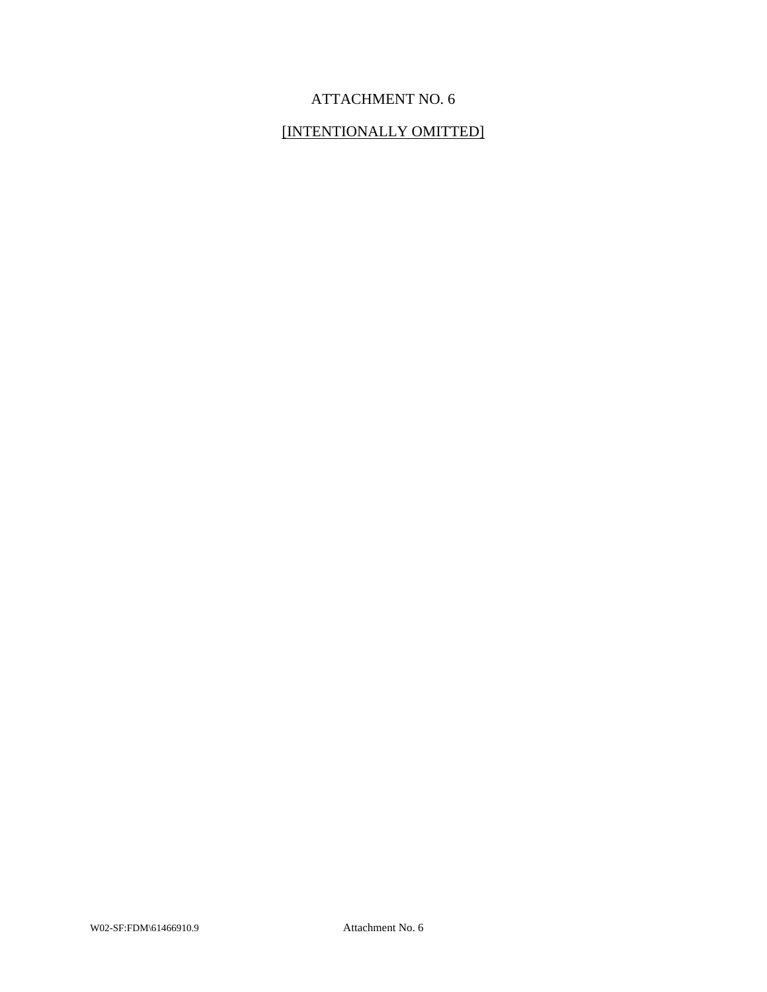# ATTACHMENT NO. 6

## [INTENTIONALLY OMITTED]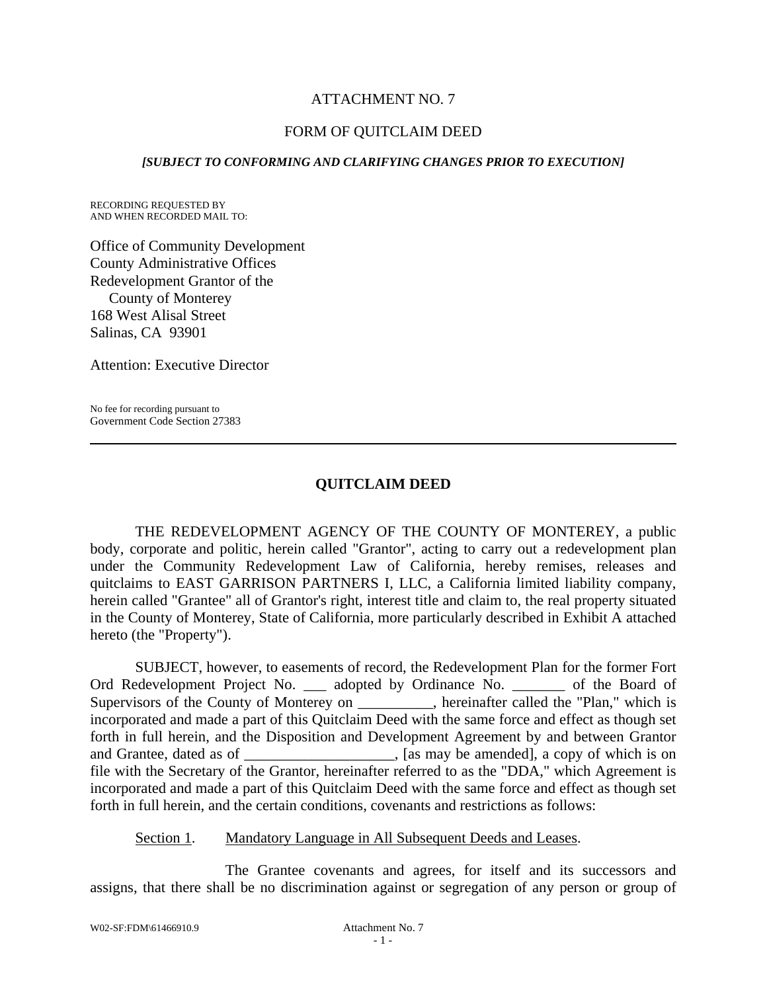### ATTACHMENT NO. 7

### FORM OF QUITCLAIM DEED

#### *[SUBJECT TO CONFORMING AND CLARIFYING CHANGES PRIOR TO EXECUTION]*

RECORDING REQUESTED BY AND WHEN RECORDED MAIL TO:

Office of Community Development County Administrative Offices Redevelopment Grantor of the County of Monterey 168 West Alisal Street Salinas, CA 93901

Attention: Executive Director

No fee for recording pursuant to Government Code Section 27383

### **QUITCLAIM DEED**

THE REDEVELOPMENT AGENCY OF THE COUNTY OF MONTEREY, a public body, corporate and politic, herein called "Grantor", acting to carry out a redevelopment plan under the Community Redevelopment Law of California, hereby remises, releases and quitclaims to EAST GARRISON PARTNERS I, LLC, a California limited liability company, herein called "Grantee" all of Grantor's right, interest title and claim to, the real property situated in the County of Monterey, State of California, more particularly described in Exhibit A attached hereto (the "Property").

SUBJECT, however, to easements of record, the Redevelopment Plan for the former Fort Ord Redevelopment Project No. \_\_\_ adopted by Ordinance No. \_\_\_\_\_\_\_ of the Board of Supervisors of the County of Monterey on \_\_\_\_\_\_\_\_, hereinafter called the "Plan," which is incorporated and made a part of this Quitclaim Deed with the same force and effect as though set forth in full herein, and the Disposition and Development Agreement by and between Grantor and Grantee, dated as of \_\_\_\_\_\_\_\_\_\_\_\_\_\_\_\_\_\_\_\_\_, [as may be amended], a copy of which is on file with the Secretary of the Grantor, hereinafter referred to as the "DDA," which Agreement is incorporated and made a part of this Quitclaim Deed with the same force and effect as though set forth in full herein, and the certain conditions, covenants and restrictions as follows:

#### Section 1. Mandatory Language in All Subsequent Deeds and Leases.

The Grantee covenants and agrees, for itself and its successors and assigns, that there shall be no discrimination against or segregation of any person or group of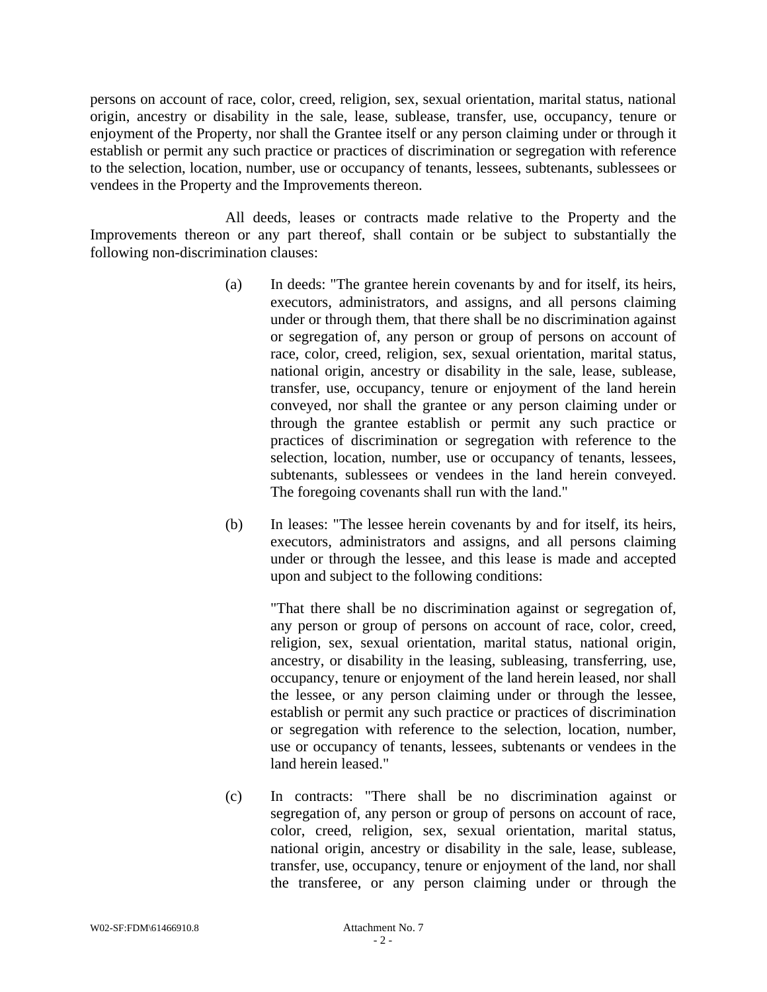persons on account of race, color, creed, religion, sex, sexual orientation, marital status, national origin, ancestry or disability in the sale, lease, sublease, transfer, use, occupancy, tenure or enjoyment of the Property, nor shall the Grantee itself or any person claiming under or through it establish or permit any such practice or practices of discrimination or segregation with reference to the selection, location, number, use or occupancy of tenants, lessees, subtenants, sublessees or vendees in the Property and the Improvements thereon.

All deeds, leases or contracts made relative to the Property and the Improvements thereon or any part thereof, shall contain or be subject to substantially the following non-discrimination clauses:

- (a) In deeds: "The grantee herein covenants by and for itself, its heirs, executors, administrators, and assigns, and all persons claiming under or through them, that there shall be no discrimination against or segregation of, any person or group of persons on account of race, color, creed, religion, sex, sexual orientation, marital status, national origin, ancestry or disability in the sale, lease, sublease, transfer, use, occupancy, tenure or enjoyment of the land herein conveyed, nor shall the grantee or any person claiming under or through the grantee establish or permit any such practice or practices of discrimination or segregation with reference to the selection, location, number, use or occupancy of tenants, lessees, subtenants, sublessees or vendees in the land herein conveyed. The foregoing covenants shall run with the land."
- (b) In leases: "The lessee herein covenants by and for itself, its heirs, executors, administrators and assigns, and all persons claiming under or through the lessee, and this lease is made and accepted upon and subject to the following conditions:

 "That there shall be no discrimination against or segregation of, any person or group of persons on account of race, color, creed, religion, sex, sexual orientation, marital status, national origin, ancestry, or disability in the leasing, subleasing, transferring, use, occupancy, tenure or enjoyment of the land herein leased, nor shall the lessee, or any person claiming under or through the lessee, establish or permit any such practice or practices of discrimination or segregation with reference to the selection, location, number, use or occupancy of tenants, lessees, subtenants or vendees in the land herein leased."

(c) In contracts: "There shall be no discrimination against or segregation of, any person or group of persons on account of race, color, creed, religion, sex, sexual orientation, marital status, national origin, ancestry or disability in the sale, lease, sublease, transfer, use, occupancy, tenure or enjoyment of the land, nor shall the transferee, or any person claiming under or through the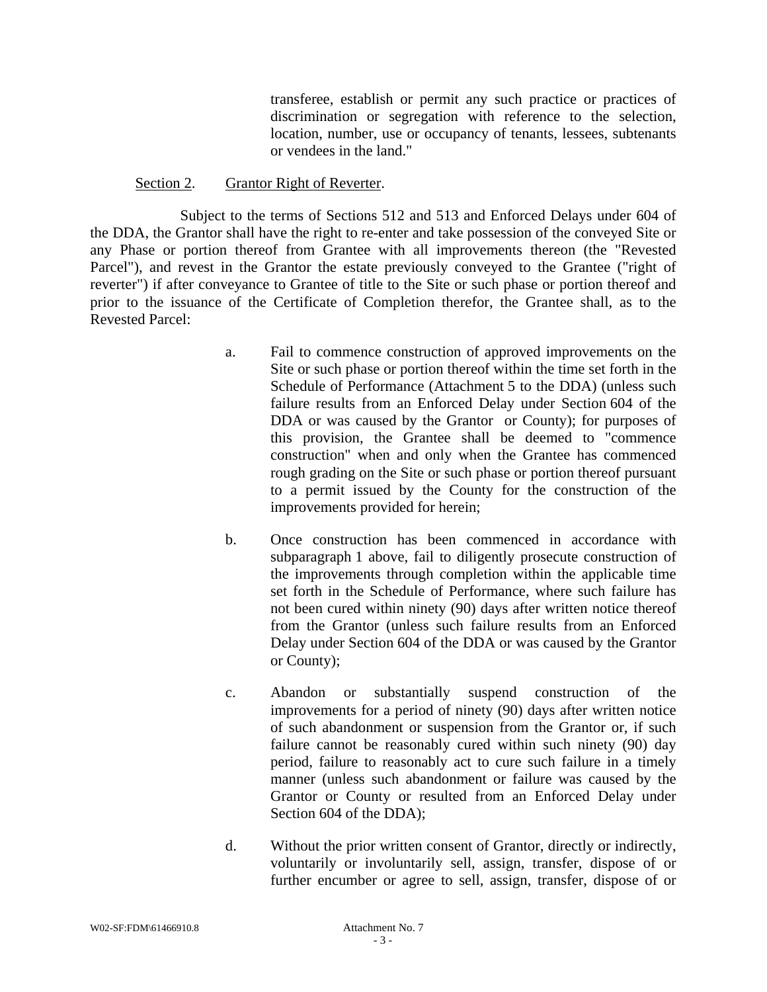transferee, establish or permit any such practice or practices of discrimination or segregation with reference to the selection, location, number, use or occupancy of tenants, lessees, subtenants or vendees in the land."

#### Section 2. Grantor Right of Reverter.

Subject to the terms of Sections 512 and 513 and Enforced Delays under 604 of the DDA, the Grantor shall have the right to re-enter and take possession of the conveyed Site or any Phase or portion thereof from Grantee with all improvements thereon (the "Revested Parcel"), and revest in the Grantor the estate previously conveyed to the Grantee ("right of reverter") if after conveyance to Grantee of title to the Site or such phase or portion thereof and prior to the issuance of the Certificate of Completion therefor, the Grantee shall, as to the Revested Parcel:

- a. Fail to commence construction of approved improvements on the Site or such phase or portion thereof within the time set forth in the Schedule of Performance (Attachment 5 to the DDA) (unless such failure results from an Enforced Delay under Section 604 of the DDA or was caused by the Grantor or County); for purposes of this provision, the Grantee shall be deemed to "commence construction" when and only when the Grantee has commenced rough grading on the Site or such phase or portion thereof pursuant to a permit issued by the County for the construction of the improvements provided for herein;
- b. Once construction has been commenced in accordance with subparagraph 1 above, fail to diligently prosecute construction of the improvements through completion within the applicable time set forth in the Schedule of Performance, where such failure has not been cured within ninety (90) days after written notice thereof from the Grantor (unless such failure results from an Enforced Delay under Section 604 of the DDA or was caused by the Grantor or County);
- c. Abandon or substantially suspend construction of the improvements for a period of ninety (90) days after written notice of such abandonment or suspension from the Grantor or, if such failure cannot be reasonably cured within such ninety (90) day period, failure to reasonably act to cure such failure in a timely manner (unless such abandonment or failure was caused by the Grantor or County or resulted from an Enforced Delay under Section 604 of the DDA);
- d. Without the prior written consent of Grantor, directly or indirectly, voluntarily or involuntarily sell, assign, transfer, dispose of or further encumber or agree to sell, assign, transfer, dispose of or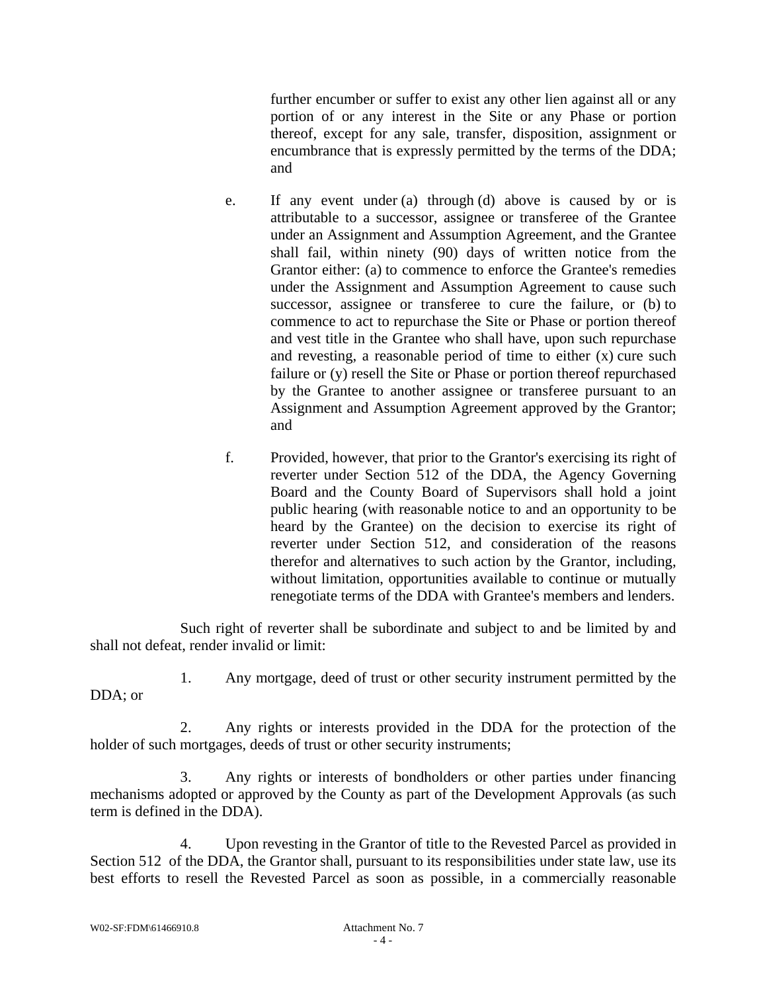further encumber or suffer to exist any other lien against all or any portion of or any interest in the Site or any Phase or portion thereof, except for any sale, transfer, disposition, assignment or encumbrance that is expressly permitted by the terms of the DDA; and

- e. If any event under (a) through (d) above is caused by or is attributable to a successor, assignee or transferee of the Grantee under an Assignment and Assumption Agreement, and the Grantee shall fail, within ninety (90) days of written notice from the Grantor either: (a) to commence to enforce the Grantee's remedies under the Assignment and Assumption Agreement to cause such successor, assignee or transferee to cure the failure, or (b) to commence to act to repurchase the Site or Phase or portion thereof and vest title in the Grantee who shall have, upon such repurchase and revesting, a reasonable period of time to either (x) cure such failure or (y) resell the Site or Phase or portion thereof repurchased by the Grantee to another assignee or transferee pursuant to an Assignment and Assumption Agreement approved by the Grantor; and
- f. Provided, however, that prior to the Grantor's exercising its right of reverter under Section 512 of the DDA, the Agency Governing Board and the County Board of Supervisors shall hold a joint public hearing (with reasonable notice to and an opportunity to be heard by the Grantee) on the decision to exercise its right of reverter under Section 512, and consideration of the reasons therefor and alternatives to such action by the Grantor, including, without limitation, opportunities available to continue or mutually renegotiate terms of the DDA with Grantee's members and lenders.

Such right of reverter shall be subordinate and subject to and be limited by and shall not defeat, render invalid or limit:

1. Any mortgage, deed of trust or other security instrument permitted by the DDA; or

2. Any rights or interests provided in the DDA for the protection of the holder of such mortgages, deeds of trust or other security instruments;

3. Any rights or interests of bondholders or other parties under financing mechanisms adopted or approved by the County as part of the Development Approvals (as such term is defined in the DDA).

4. Upon revesting in the Grantor of title to the Revested Parcel as provided in Section 512 of the DDA, the Grantor shall, pursuant to its responsibilities under state law, use its best efforts to resell the Revested Parcel as soon as possible, in a commercially reasonable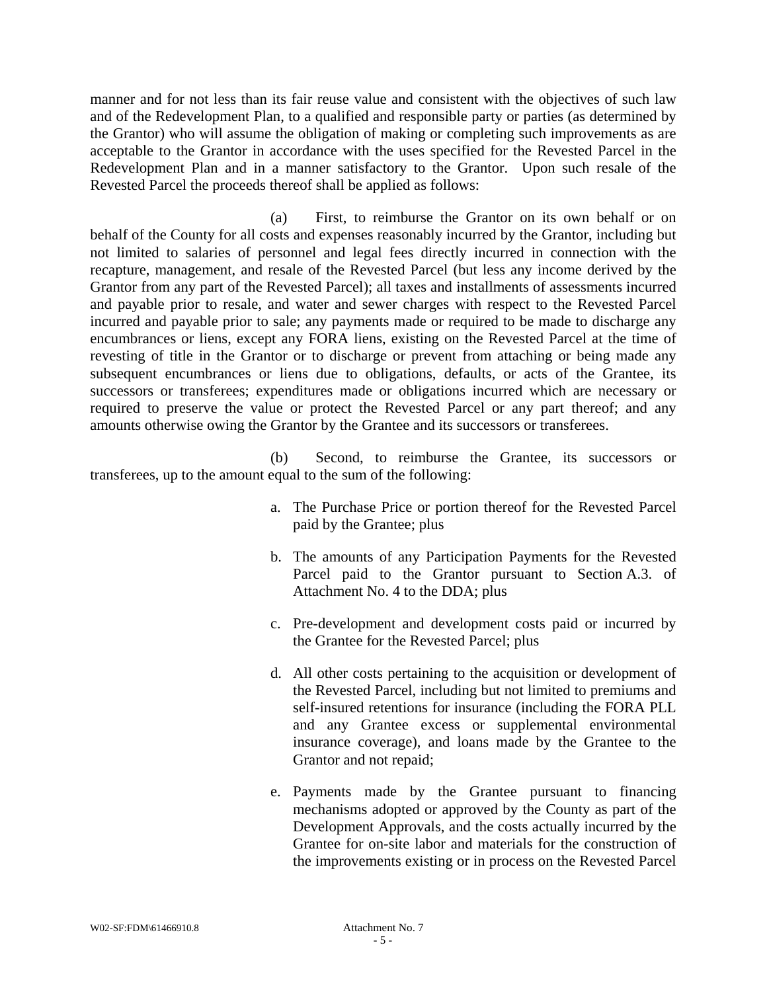manner and for not less than its fair reuse value and consistent with the objectives of such law and of the Redevelopment Plan, to a qualified and responsible party or parties (as determined by the Grantor) who will assume the obligation of making or completing such improvements as are acceptable to the Grantor in accordance with the uses specified for the Revested Parcel in the Redevelopment Plan and in a manner satisfactory to the Grantor. Upon such resale of the Revested Parcel the proceeds thereof shall be applied as follows:

(a) First, to reimburse the Grantor on its own behalf or on behalf of the County for all costs and expenses reasonably incurred by the Grantor, including but not limited to salaries of personnel and legal fees directly incurred in connection with the recapture, management, and resale of the Revested Parcel (but less any income derived by the Grantor from any part of the Revested Parcel); all taxes and installments of assessments incurred and payable prior to resale, and water and sewer charges with respect to the Revested Parcel incurred and payable prior to sale; any payments made or required to be made to discharge any encumbrances or liens, except any FORA liens, existing on the Revested Parcel at the time of revesting of title in the Grantor or to discharge or prevent from attaching or being made any subsequent encumbrances or liens due to obligations, defaults, or acts of the Grantee, its successors or transferees; expenditures made or obligations incurred which are necessary or required to preserve the value or protect the Revested Parcel or any part thereof; and any amounts otherwise owing the Grantor by the Grantee and its successors or transferees.

(b) Second, to reimburse the Grantee, its successors or transferees, up to the amount equal to the sum of the following:

- a. The Purchase Price or portion thereof for the Revested Parcel paid by the Grantee; plus
- b. The amounts of any Participation Payments for the Revested Parcel paid to the Grantor pursuant to Section A.3. of Attachment No. 4 to the DDA; plus
- c. Pre-development and development costs paid or incurred by the Grantee for the Revested Parcel; plus
- d. All other costs pertaining to the acquisition or development of the Revested Parcel, including but not limited to premiums and self-insured retentions for insurance (including the FORA PLL and any Grantee excess or supplemental environmental insurance coverage), and loans made by the Grantee to the Grantor and not repaid;
- e. Payments made by the Grantee pursuant to financing mechanisms adopted or approved by the County as part of the Development Approvals, and the costs actually incurred by the Grantee for on-site labor and materials for the construction of the improvements existing or in process on the Revested Parcel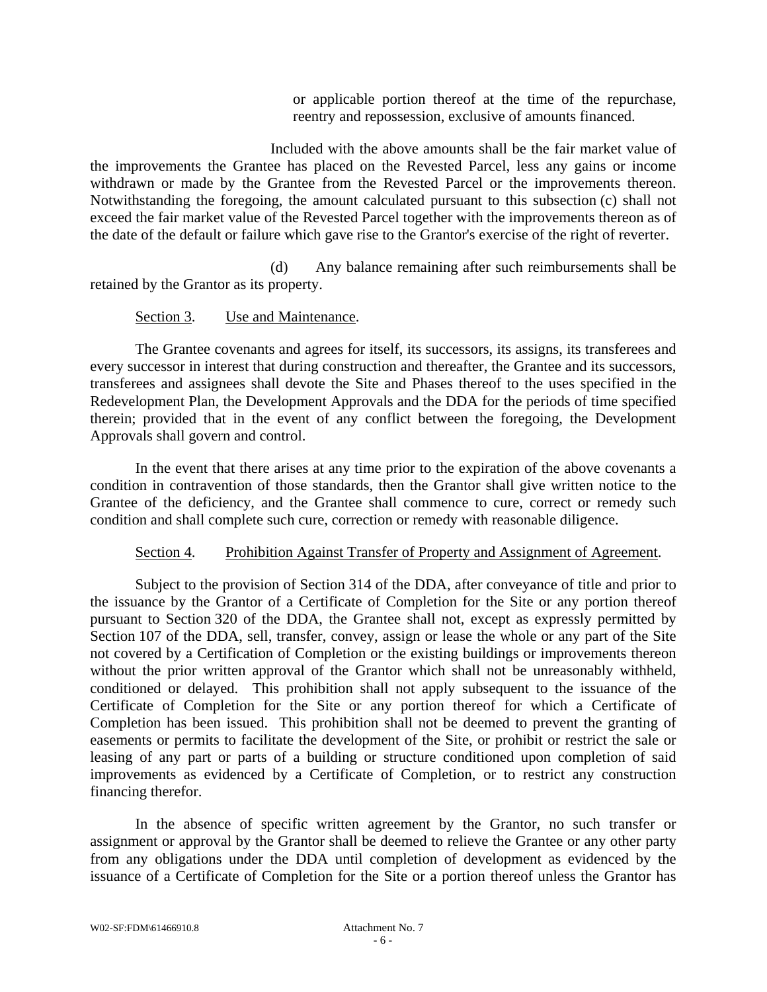or applicable portion thereof at the time of the repurchase, reentry and repossession, exclusive of amounts financed.

Included with the above amounts shall be the fair market value of the improvements the Grantee has placed on the Revested Parcel, less any gains or income withdrawn or made by the Grantee from the Revested Parcel or the improvements thereon. Notwithstanding the foregoing, the amount calculated pursuant to this subsection (c) shall not exceed the fair market value of the Revested Parcel together with the improvements thereon as of the date of the default or failure which gave rise to the Grantor's exercise of the right of reverter.

(d) Any balance remaining after such reimbursements shall be retained by the Grantor as its property.

### Section 3. Use and Maintenance.

The Grantee covenants and agrees for itself, its successors, its assigns, its transferees and every successor in interest that during construction and thereafter, the Grantee and its successors, transferees and assignees shall devote the Site and Phases thereof to the uses specified in the Redevelopment Plan, the Development Approvals and the DDA for the periods of time specified therein; provided that in the event of any conflict between the foregoing, the Development Approvals shall govern and control.

In the event that there arises at any time prior to the expiration of the above covenants a condition in contravention of those standards, then the Grantor shall give written notice to the Grantee of the deficiency, and the Grantee shall commence to cure, correct or remedy such condition and shall complete such cure, correction or remedy with reasonable diligence.

#### Section 4. Prohibition Against Transfer of Property and Assignment of Agreement.

Subject to the provision of Section 314 of the DDA, after conveyance of title and prior to the issuance by the Grantor of a Certificate of Completion for the Site or any portion thereof pursuant to Section 320 of the DDA, the Grantee shall not, except as expressly permitted by Section 107 of the DDA, sell, transfer, convey, assign or lease the whole or any part of the Site not covered by a Certification of Completion or the existing buildings or improvements thereon without the prior written approval of the Grantor which shall not be unreasonably withheld, conditioned or delayed. This prohibition shall not apply subsequent to the issuance of the Certificate of Completion for the Site or any portion thereof for which a Certificate of Completion has been issued. This prohibition shall not be deemed to prevent the granting of easements or permits to facilitate the development of the Site, or prohibit or restrict the sale or leasing of any part or parts of a building or structure conditioned upon completion of said improvements as evidenced by a Certificate of Completion, or to restrict any construction financing therefor.

In the absence of specific written agreement by the Grantor, no such transfer or assignment or approval by the Grantor shall be deemed to relieve the Grantee or any other party from any obligations under the DDA until completion of development as evidenced by the issuance of a Certificate of Completion for the Site or a portion thereof unless the Grantor has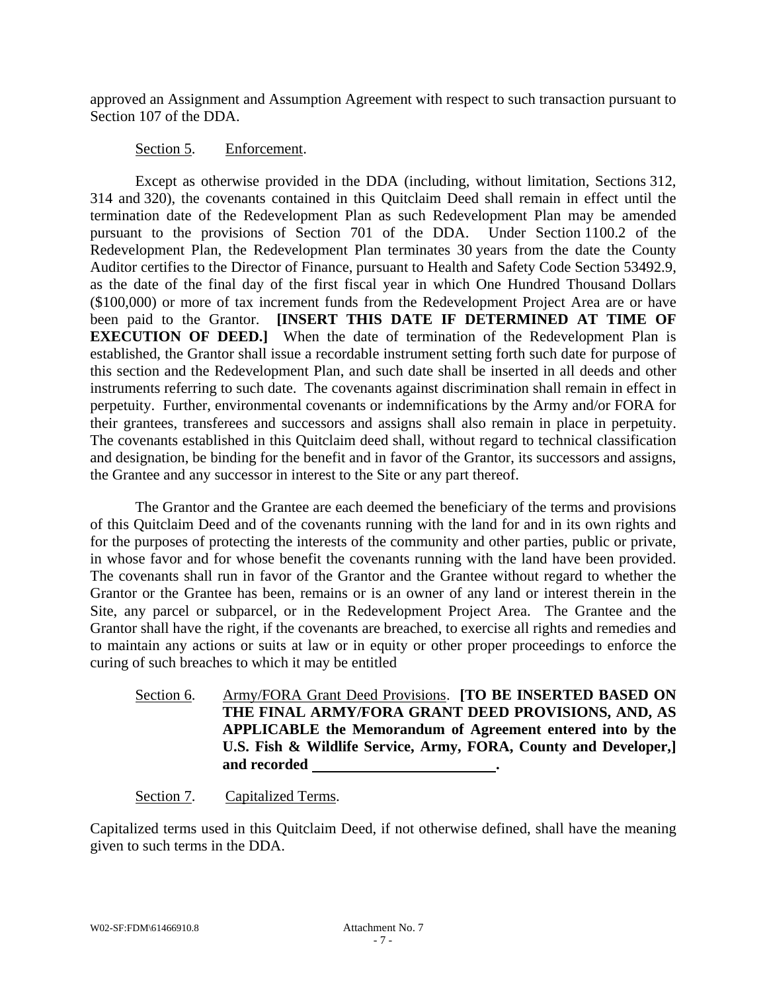approved an Assignment and Assumption Agreement with respect to such transaction pursuant to Section 107 of the DDA.

### Section 5. Enforcement.

Except as otherwise provided in the DDA (including, without limitation, Sections 312, 314 and 320), the covenants contained in this Quitclaim Deed shall remain in effect until the termination date of the Redevelopment Plan as such Redevelopment Plan may be amended pursuant to the provisions of Section 701 of the DDA. Under Section 1100.2 of the Redevelopment Plan, the Redevelopment Plan terminates 30 years from the date the County Auditor certifies to the Director of Finance, pursuant to Health and Safety Code Section 53492.9, as the date of the final day of the first fiscal year in which One Hundred Thousand Dollars (\$100,000) or more of tax increment funds from the Redevelopment Project Area are or have been paid to the Grantor. **[INSERT THIS DATE IF DETERMINED AT TIME OF EXECUTION OF DEED.]** When the date of termination of the Redevelopment Plan is established, the Grantor shall issue a recordable instrument setting forth such date for purpose of this section and the Redevelopment Plan, and such date shall be inserted in all deeds and other instruments referring to such date. The covenants against discrimination shall remain in effect in perpetuity. Further, environmental covenants or indemnifications by the Army and/or FORA for their grantees, transferees and successors and assigns shall also remain in place in perpetuity. The covenants established in this Quitclaim deed shall, without regard to technical classification and designation, be binding for the benefit and in favor of the Grantor, its successors and assigns, the Grantee and any successor in interest to the Site or any part thereof.

The Grantor and the Grantee are each deemed the beneficiary of the terms and provisions of this Quitclaim Deed and of the covenants running with the land for and in its own rights and for the purposes of protecting the interests of the community and other parties, public or private, in whose favor and for whose benefit the covenants running with the land have been provided. The covenants shall run in favor of the Grantor and the Grantee without regard to whether the Grantor or the Grantee has been, remains or is an owner of any land or interest therein in the Site, any parcel or subparcel, or in the Redevelopment Project Area. The Grantee and the Grantor shall have the right, if the covenants are breached, to exercise all rights and remedies and to maintain any actions or suits at law or in equity or other proper proceedings to enforce the curing of such breaches to which it may be entitled

Section 6. Army/FORA Grant Deed Provisions. **[TO BE INSERTED BASED ON THE FINAL ARMY/FORA GRANT DEED PROVISIONS, AND, AS APPLICABLE the Memorandum of Agreement entered into by the U.S. Fish & Wildlife Service, Army, FORA, County and Developer,] and recorded .**

## Section 7. Capitalized Terms.

Capitalized terms used in this Quitclaim Deed, if not otherwise defined, shall have the meaning given to such terms in the DDA.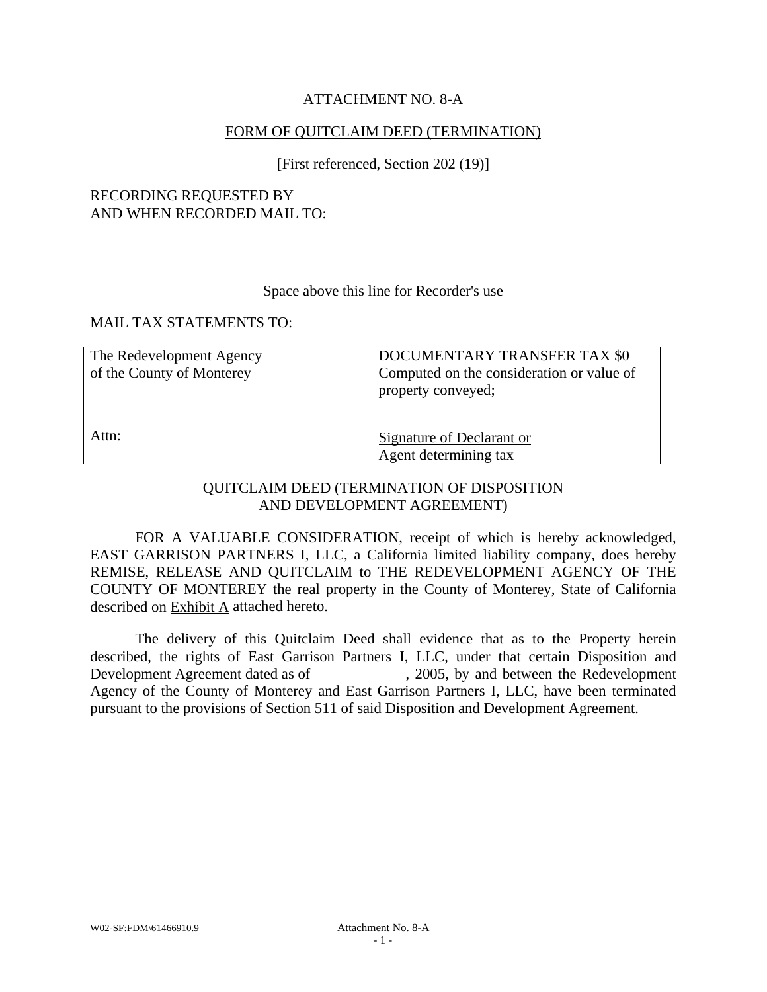## ATTACHMENT NO. 8-A

## FORM OF QUITCLAIM DEED (TERMINATION)

[First referenced, Section 202 (19)]

## RECORDING REQUESTED BY AND WHEN RECORDED MAIL TO:

#### Space above this line for Recorder's use

#### MAIL TAX STATEMENTS TO:

| The Redevelopment Agency  | DOCUMENTARY TRANSFER TAX \$0              |
|---------------------------|-------------------------------------------|
| of the County of Monterey | Computed on the consideration or value of |
|                           | property conveyed;                        |
|                           |                                           |
|                           |                                           |
| Attn:                     | Signature of Declarant or                 |
|                           | Agent determining tax                     |

## QUITCLAIM DEED (TERMINATION OF DISPOSITION AND DEVELOPMENT AGREEMENT)

FOR A VALUABLE CONSIDERATION, receipt of which is hereby acknowledged, EAST GARRISON PARTNERS I, LLC, a California limited liability company, does hereby REMISE, RELEASE AND QUITCLAIM to THE REDEVELOPMENT AGENCY OF THE COUNTY OF MONTEREY the real property in the County of Monterey, State of California described on Exhibit A attached hereto.

The delivery of this Quitclaim Deed shall evidence that as to the Property herein described, the rights of East Garrison Partners I, LLC, under that certain Disposition and Development Agreement dated as of , 2005, by and between the Redevelopment Agency of the County of Monterey and East Garrison Partners I, LLC, have been terminated pursuant to the provisions of Section 511 of said Disposition and Development Agreement.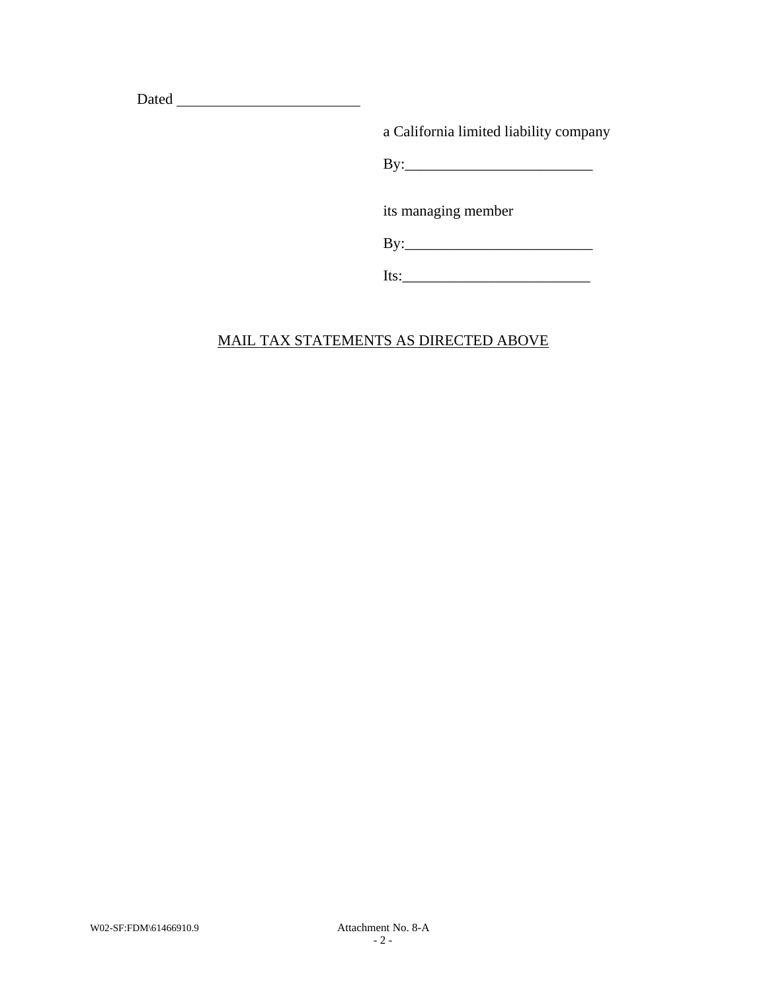Dated

a California limited liability company

By:\_\_\_\_\_\_\_\_\_\_\_\_\_\_\_\_\_\_\_\_\_\_\_\_\_

its managing member

By:\_\_\_\_\_\_\_\_\_\_\_\_\_\_\_\_\_\_\_\_\_\_\_\_\_

| Its: |  |  |  |  |
|------|--|--|--|--|
|      |  |  |  |  |

# MAIL TAX STATEMENTS AS DIRECTED ABOVE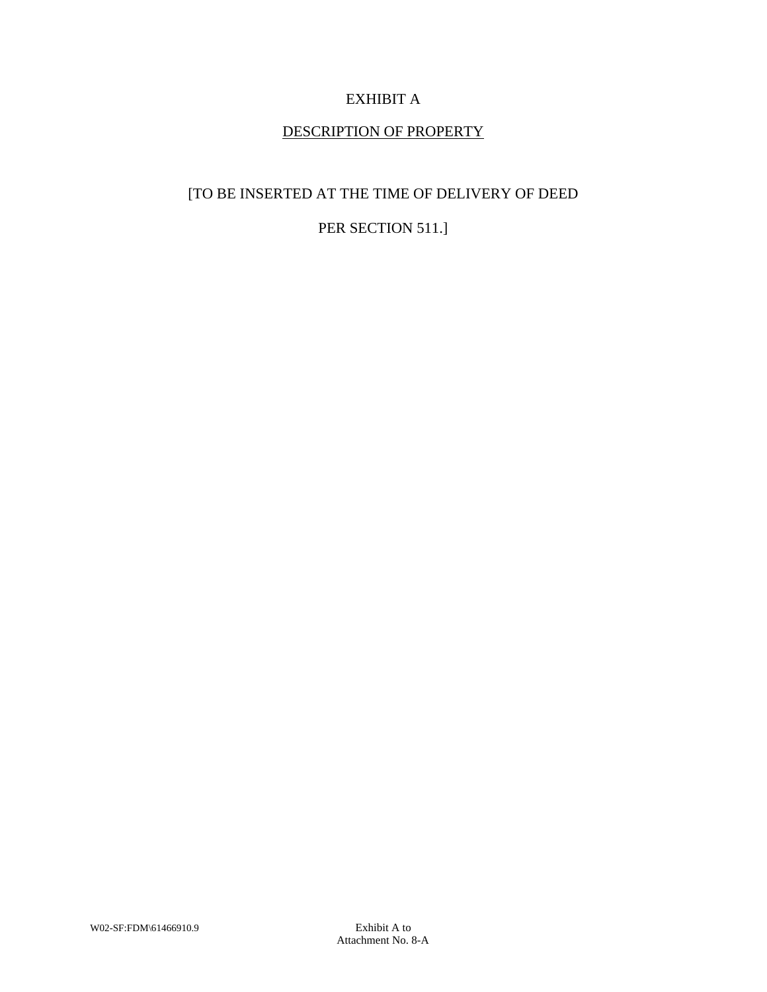# EXHIBIT A

## DESCRIPTION OF PROPERTY

## [TO BE INSERTED AT THE TIME OF DELIVERY OF DEED

## PER SECTION 511.]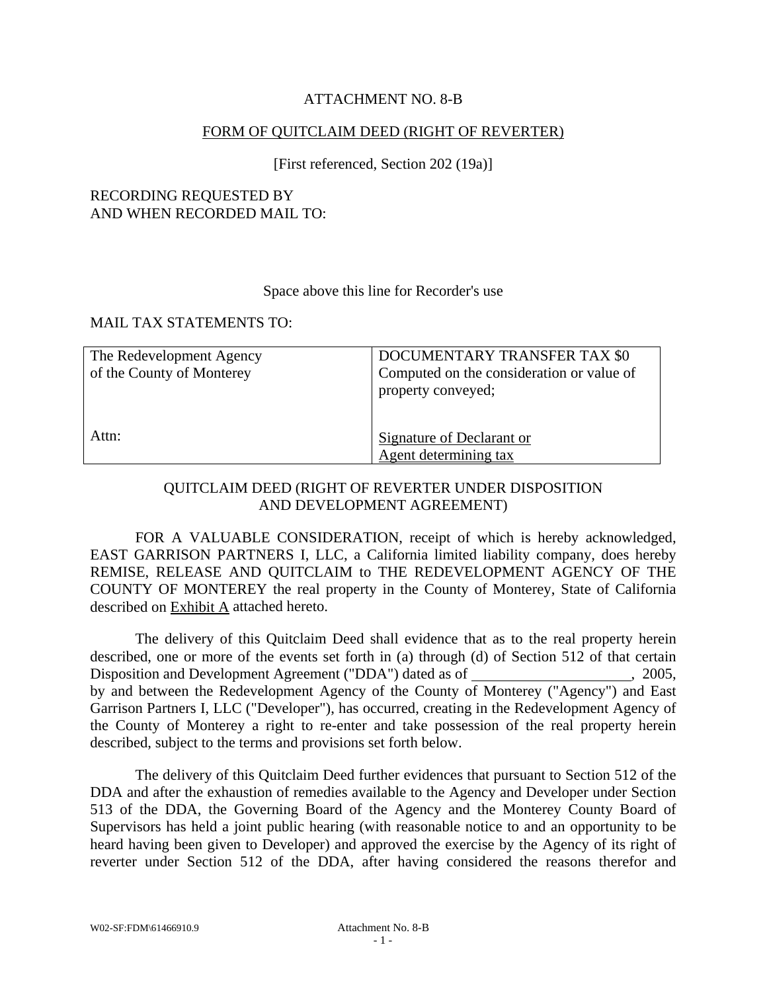## ATTACHMENT NO. 8-B

### FORM OF QUITCLAIM DEED (RIGHT OF REVERTER)

### [First referenced, Section 202 (19a)]

### RECORDING REQUESTED BY AND WHEN RECORDED MAIL TO:

#### Space above this line for Recorder's use

#### MAIL TAX STATEMENTS TO:

| The Redevelopment Agency  | DOCUMENTARY TRANSFER TAX \$0              |
|---------------------------|-------------------------------------------|
| of the County of Monterey | Computed on the consideration or value of |
|                           | property conveyed;                        |
|                           |                                           |
|                           |                                           |
| Attn:                     | <b>Signature of Declarant or</b>          |
|                           | Agent determining tax                     |

## QUITCLAIM DEED (RIGHT OF REVERTER UNDER DISPOSITION AND DEVELOPMENT AGREEMENT)

FOR A VALUABLE CONSIDERATION, receipt of which is hereby acknowledged, EAST GARRISON PARTNERS I, LLC, a California limited liability company, does hereby REMISE, RELEASE AND QUITCLAIM to THE REDEVELOPMENT AGENCY OF THE COUNTY OF MONTEREY the real property in the County of Monterey, State of California described on Exhibit A attached hereto.

The delivery of this Quitclaim Deed shall evidence that as to the real property herein described, one or more of the events set forth in (a) through (d) of Section 512 of that certain Disposition and Development Agreement ("DDA") dated as of , 2005, by and between the Redevelopment Agency of the County of Monterey ("Agency") and East Garrison Partners I, LLC ("Developer"), has occurred, creating in the Redevelopment Agency of the County of Monterey a right to re-enter and take possession of the real property herein described, subject to the terms and provisions set forth below.

The delivery of this Quitclaim Deed further evidences that pursuant to Section 512 of the DDA and after the exhaustion of remedies available to the Agency and Developer under Section 513 of the DDA, the Governing Board of the Agency and the Monterey County Board of Supervisors has held a joint public hearing (with reasonable notice to and an opportunity to be heard having been given to Developer) and approved the exercise by the Agency of its right of reverter under Section 512 of the DDA, after having considered the reasons therefor and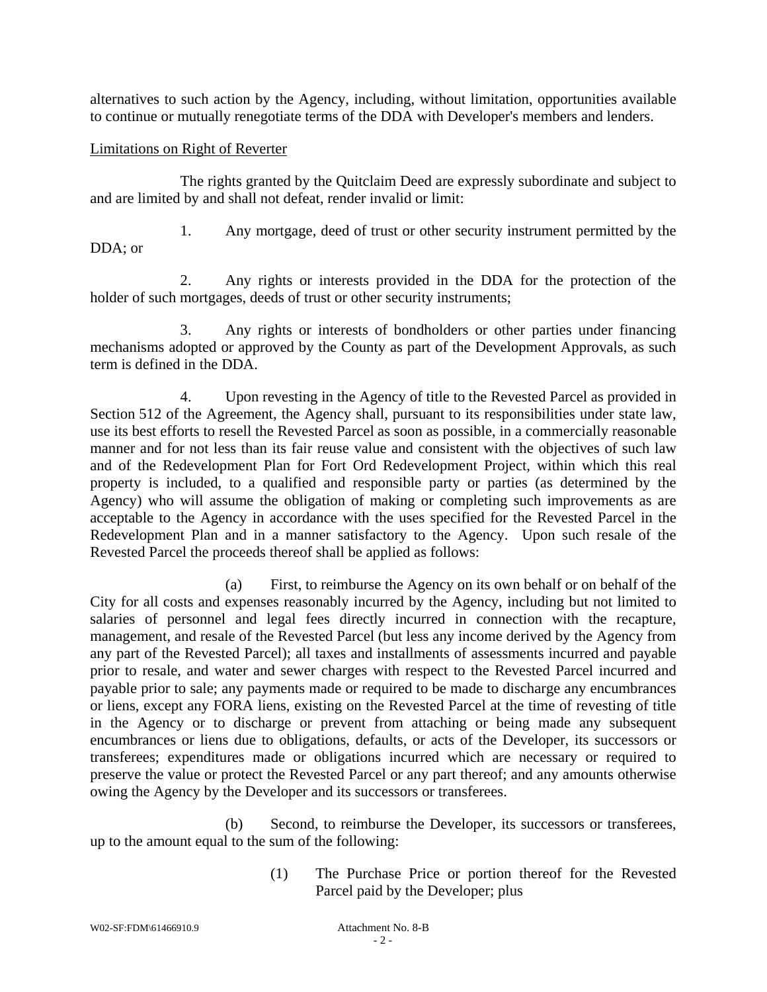alternatives to such action by the Agency, including, without limitation, opportunities available to continue or mutually renegotiate terms of the DDA with Developer's members and lenders.

## Limitations on Right of Reverter

The rights granted by the Quitclaim Deed are expressly subordinate and subject to and are limited by and shall not defeat, render invalid or limit:

DDA; or

1. Any mortgage, deed of trust or other security instrument permitted by the

2. Any rights or interests provided in the DDA for the protection of the holder of such mortgages, deeds of trust or other security instruments;

3. Any rights or interests of bondholders or other parties under financing mechanisms adopted or approved by the County as part of the Development Approvals, as such term is defined in the DDA.

4. Upon revesting in the Agency of title to the Revested Parcel as provided in Section 512 of the Agreement, the Agency shall, pursuant to its responsibilities under state law, use its best efforts to resell the Revested Parcel as soon as possible, in a commercially reasonable manner and for not less than its fair reuse value and consistent with the objectives of such law and of the Redevelopment Plan for Fort Ord Redevelopment Project, within which this real property is included, to a qualified and responsible party or parties (as determined by the Agency) who will assume the obligation of making or completing such improvements as are acceptable to the Agency in accordance with the uses specified for the Revested Parcel in the Redevelopment Plan and in a manner satisfactory to the Agency. Upon such resale of the Revested Parcel the proceeds thereof shall be applied as follows:

(a) First, to reimburse the Agency on its own behalf or on behalf of the City for all costs and expenses reasonably incurred by the Agency, including but not limited to salaries of personnel and legal fees directly incurred in connection with the recapture, management, and resale of the Revested Parcel (but less any income derived by the Agency from any part of the Revested Parcel); all taxes and installments of assessments incurred and payable prior to resale, and water and sewer charges with respect to the Revested Parcel incurred and payable prior to sale; any payments made or required to be made to discharge any encumbrances or liens, except any FORA liens, existing on the Revested Parcel at the time of revesting of title in the Agency or to discharge or prevent from attaching or being made any subsequent encumbrances or liens due to obligations, defaults, or acts of the Developer, its successors or transferees; expenditures made or obligations incurred which are necessary or required to preserve the value or protect the Revested Parcel or any part thereof; and any amounts otherwise owing the Agency by the Developer and its successors or transferees.

(b) Second, to reimburse the Developer, its successors or transferees, up to the amount equal to the sum of the following:

> (1) The Purchase Price or portion thereof for the Revested Parcel paid by the Developer; plus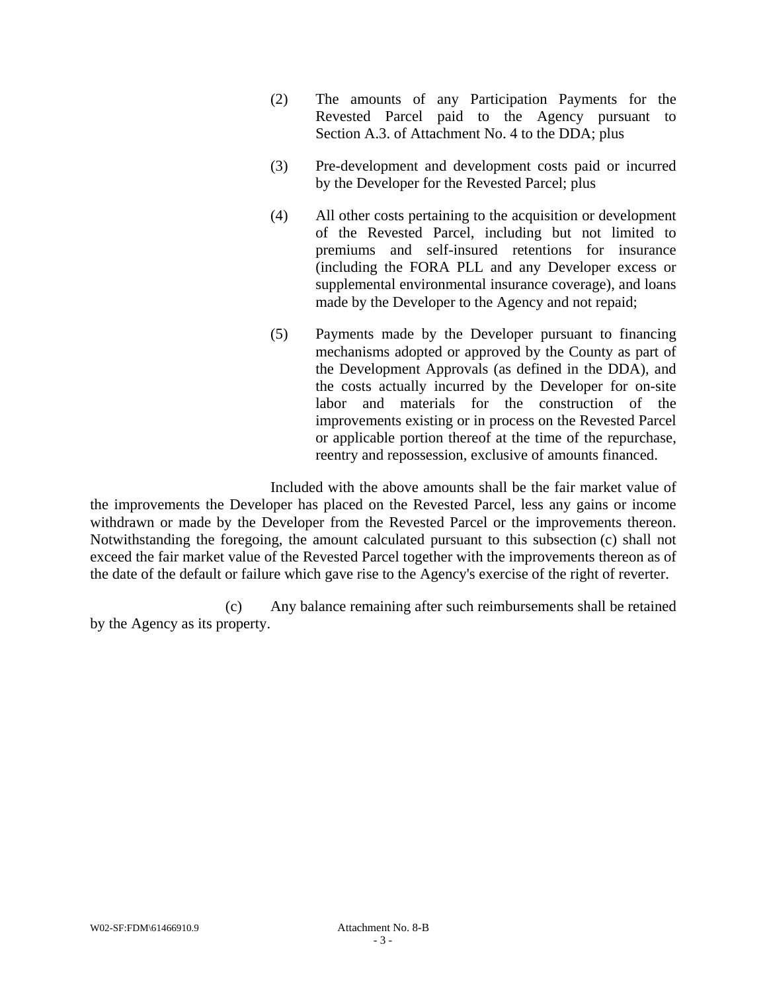- (2) The amounts of any Participation Payments for the Revested Parcel paid to the Agency pursuant to Section A.3. of Attachment No. 4 to the DDA; plus
- (3) Pre-development and development costs paid or incurred by the Developer for the Revested Parcel; plus
- (4) All other costs pertaining to the acquisition or development of the Revested Parcel, including but not limited to premiums and self-insured retentions for insurance (including the FORA PLL and any Developer excess or supplemental environmental insurance coverage), and loans made by the Developer to the Agency and not repaid;
- (5) Payments made by the Developer pursuant to financing mechanisms adopted or approved by the County as part of the Development Approvals (as defined in the DDA), and the costs actually incurred by the Developer for on-site labor and materials for the construction of the improvements existing or in process on the Revested Parcel or applicable portion thereof at the time of the repurchase, reentry and repossession, exclusive of amounts financed.

Included with the above amounts shall be the fair market value of the improvements the Developer has placed on the Revested Parcel, less any gains or income withdrawn or made by the Developer from the Revested Parcel or the improvements thereon. Notwithstanding the foregoing, the amount calculated pursuant to this subsection (c) shall not exceed the fair market value of the Revested Parcel together with the improvements thereon as of the date of the default or failure which gave rise to the Agency's exercise of the right of reverter.

(c) Any balance remaining after such reimbursements shall be retained by the Agency as its property.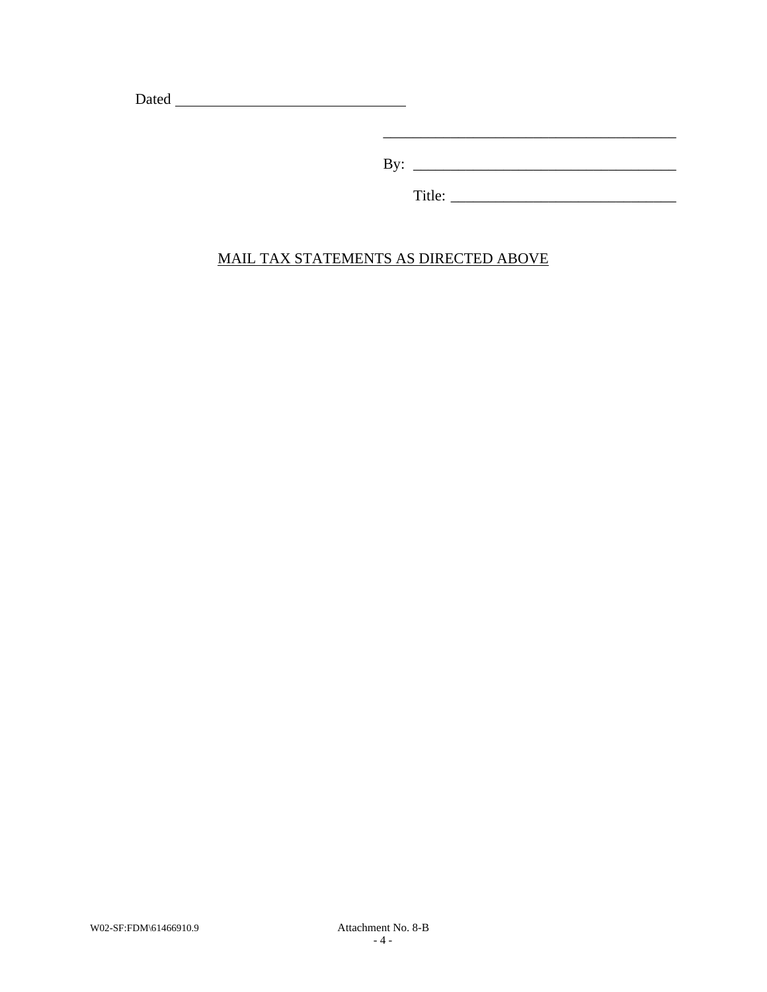Dated

By: \_\_\_\_\_\_\_\_\_\_\_\_\_\_\_\_\_\_\_\_\_\_\_\_\_\_\_\_\_\_\_\_\_\_\_

Title: \_\_\_\_\_\_\_\_\_\_\_\_\_\_\_\_\_\_\_\_\_\_\_\_\_\_\_\_\_\_

# MAIL TAX STATEMENTS AS DIRECTED ABOVE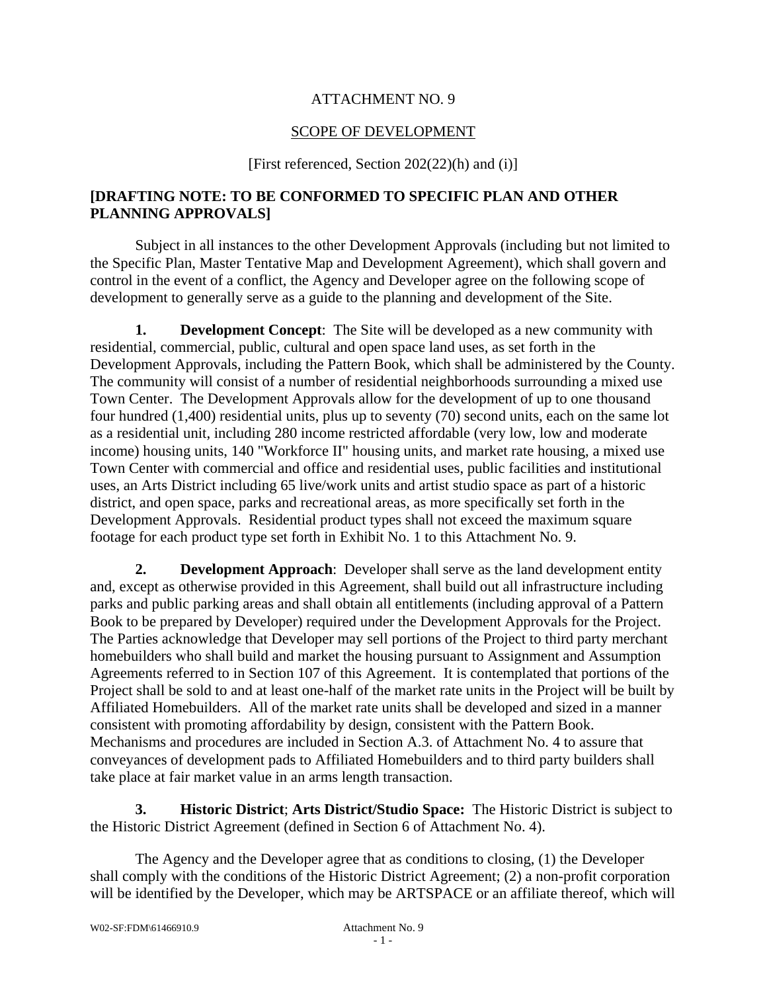## ATTACHMENT NO. 9

## SCOPE OF DEVELOPMENT

[First referenced, Section 202(22)(h) and (i)]

## **[DRAFTING NOTE: TO BE CONFORMED TO SPECIFIC PLAN AND OTHER PLANNING APPROVALS]**

Subject in all instances to the other Development Approvals (including but not limited to the Specific Plan, Master Tentative Map and Development Agreement), which shall govern and control in the event of a conflict, the Agency and Developer agree on the following scope of development to generally serve as a guide to the planning and development of the Site.

**1. Development Concept**: The Site will be developed as a new community with residential, commercial, public, cultural and open space land uses, as set forth in the Development Approvals, including the Pattern Book, which shall be administered by the County. The community will consist of a number of residential neighborhoods surrounding a mixed use Town Center. The Development Approvals allow for the development of up to one thousand four hundred (1,400) residential units, plus up to seventy (70) second units, each on the same lot as a residential unit, including 280 income restricted affordable (very low, low and moderate income) housing units, 140 "Workforce II" housing units, and market rate housing, a mixed use Town Center with commercial and office and residential uses, public facilities and institutional uses, an Arts District including 65 live/work units and artist studio space as part of a historic district, and open space, parks and recreational areas, as more specifically set forth in the Development Approvals. Residential product types shall not exceed the maximum square footage for each product type set forth in Exhibit No. 1 to this Attachment No. 9.

**2. Development Approach**: Developer shall serve as the land development entity and, except as otherwise provided in this Agreement, shall build out all infrastructure including parks and public parking areas and shall obtain all entitlements (including approval of a Pattern Book to be prepared by Developer) required under the Development Approvals for the Project. The Parties acknowledge that Developer may sell portions of the Project to third party merchant homebuilders who shall build and market the housing pursuant to Assignment and Assumption Agreements referred to in Section 107 of this Agreement. It is contemplated that portions of the Project shall be sold to and at least one-half of the market rate units in the Project will be built by Affiliated Homebuilders. All of the market rate units shall be developed and sized in a manner consistent with promoting affordability by design, consistent with the Pattern Book. Mechanisms and procedures are included in Section A.3. of Attachment No. 4 to assure that conveyances of development pads to Affiliated Homebuilders and to third party builders shall take place at fair market value in an arms length transaction.

**3. Historic District**; **Arts District/Studio Space:** The Historic District is subject to the Historic District Agreement (defined in Section 6 of Attachment No. 4).

The Agency and the Developer agree that as conditions to closing, (1) the Developer shall comply with the conditions of the Historic District Agreement; (2) a non-profit corporation will be identified by the Developer, which may be ARTSPACE or an affiliate thereof, which will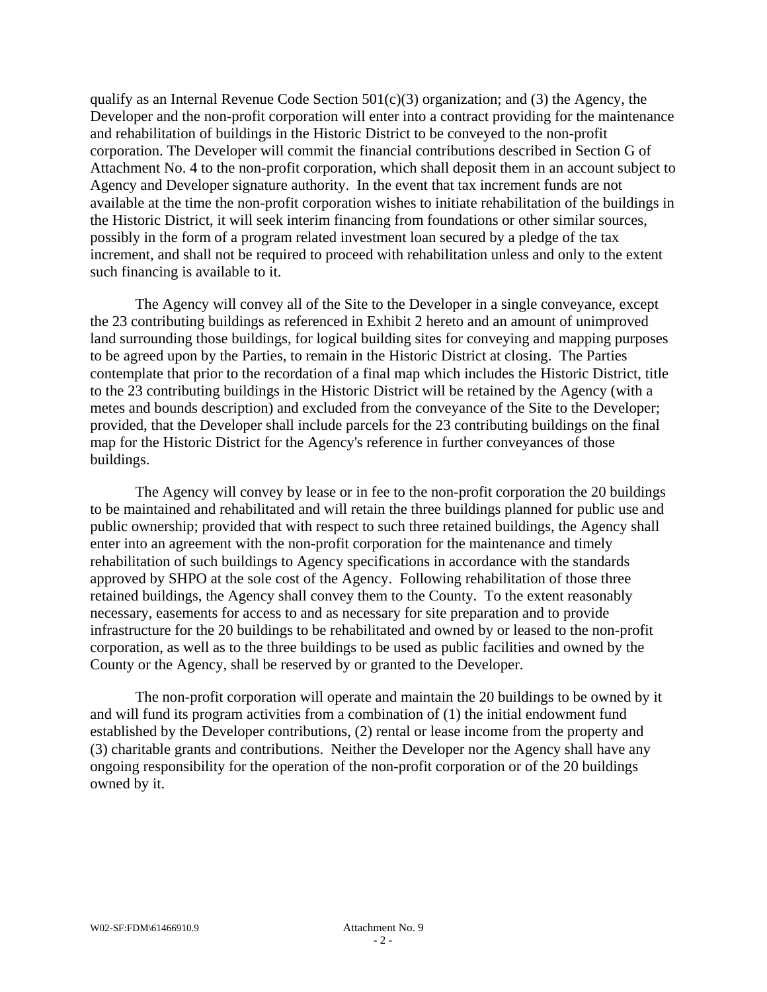qualify as an Internal Revenue Code Section  $501(c)(3)$  organization; and (3) the Agency, the Developer and the non-profit corporation will enter into a contract providing for the maintenance and rehabilitation of buildings in the Historic District to be conveyed to the non-profit corporation. The Developer will commit the financial contributions described in Section G of Attachment No. 4 to the non-profit corporation, which shall deposit them in an account subject to Agency and Developer signature authority. In the event that tax increment funds are not available at the time the non-profit corporation wishes to initiate rehabilitation of the buildings in the Historic District, it will seek interim financing from foundations or other similar sources, possibly in the form of a program related investment loan secured by a pledge of the tax increment, and shall not be required to proceed with rehabilitation unless and only to the extent such financing is available to it.

The Agency will convey all of the Site to the Developer in a single conveyance, except the 23 contributing buildings as referenced in Exhibit 2 hereto and an amount of unimproved land surrounding those buildings, for logical building sites for conveying and mapping purposes to be agreed upon by the Parties, to remain in the Historic District at closing. The Parties contemplate that prior to the recordation of a final map which includes the Historic District, title to the 23 contributing buildings in the Historic District will be retained by the Agency (with a metes and bounds description) and excluded from the conveyance of the Site to the Developer; provided, that the Developer shall include parcels for the 23 contributing buildings on the final map for the Historic District for the Agency's reference in further conveyances of those buildings.

The Agency will convey by lease or in fee to the non-profit corporation the 20 buildings to be maintained and rehabilitated and will retain the three buildings planned for public use and public ownership; provided that with respect to such three retained buildings, the Agency shall enter into an agreement with the non-profit corporation for the maintenance and timely rehabilitation of such buildings to Agency specifications in accordance with the standards approved by SHPO at the sole cost of the Agency. Following rehabilitation of those three retained buildings, the Agency shall convey them to the County. To the extent reasonably necessary, easements for access to and as necessary for site preparation and to provide infrastructure for the 20 buildings to be rehabilitated and owned by or leased to the non-profit corporation, as well as to the three buildings to be used as public facilities and owned by the County or the Agency, shall be reserved by or granted to the Developer.

The non-profit corporation will operate and maintain the 20 buildings to be owned by it and will fund its program activities from a combination of (1) the initial endowment fund established by the Developer contributions, (2) rental or lease income from the property and (3) charitable grants and contributions. Neither the Developer nor the Agency shall have any ongoing responsibility for the operation of the non-profit corporation or of the 20 buildings owned by it.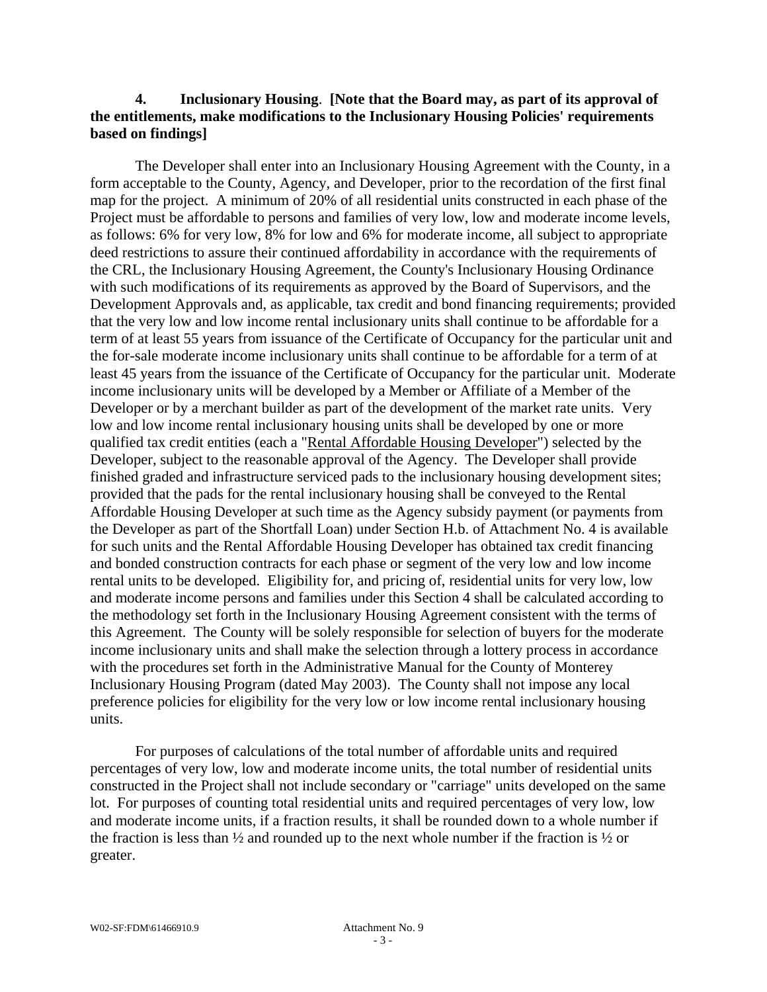## **4. Inclusionary Housing**. **[Note that the Board may, as part of its approval of the entitlements, make modifications to the Inclusionary Housing Policies' requirements based on findings]**

The Developer shall enter into an Inclusionary Housing Agreement with the County, in a form acceptable to the County, Agency, and Developer, prior to the recordation of the first final map for the project. A minimum of 20% of all residential units constructed in each phase of the Project must be affordable to persons and families of very low, low and moderate income levels, as follows: 6% for very low, 8% for low and 6% for moderate income, all subject to appropriate deed restrictions to assure their continued affordability in accordance with the requirements of the CRL, the Inclusionary Housing Agreement, the County's Inclusionary Housing Ordinance with such modifications of its requirements as approved by the Board of Supervisors, and the Development Approvals and, as applicable, tax credit and bond financing requirements; provided that the very low and low income rental inclusionary units shall continue to be affordable for a term of at least 55 years from issuance of the Certificate of Occupancy for the particular unit and the for-sale moderate income inclusionary units shall continue to be affordable for a term of at least 45 years from the issuance of the Certificate of Occupancy for the particular unit. Moderate income inclusionary units will be developed by a Member or Affiliate of a Member of the Developer or by a merchant builder as part of the development of the market rate units. Very low and low income rental inclusionary housing units shall be developed by one or more qualified tax credit entities (each a "Rental Affordable Housing Developer") selected by the Developer, subject to the reasonable approval of the Agency. The Developer shall provide finished graded and infrastructure serviced pads to the inclusionary housing development sites; provided that the pads for the rental inclusionary housing shall be conveyed to the Rental Affordable Housing Developer at such time as the Agency subsidy payment (or payments from the Developer as part of the Shortfall Loan) under Section H.b. of Attachment No. 4 is available for such units and the Rental Affordable Housing Developer has obtained tax credit financing and bonded construction contracts for each phase or segment of the very low and low income rental units to be developed. Eligibility for, and pricing of, residential units for very low, low and moderate income persons and families under this Section 4 shall be calculated according to the methodology set forth in the Inclusionary Housing Agreement consistent with the terms of this Agreement. The County will be solely responsible for selection of buyers for the moderate income inclusionary units and shall make the selection through a lottery process in accordance with the procedures set forth in the Administrative Manual for the County of Monterey Inclusionary Housing Program (dated May 2003). The County shall not impose any local preference policies for eligibility for the very low or low income rental inclusionary housing units.

For purposes of calculations of the total number of affordable units and required percentages of very low, low and moderate income units, the total number of residential units constructed in the Project shall not include secondary or "carriage" units developed on the same lot. For purposes of counting total residential units and required percentages of very low, low and moderate income units, if a fraction results, it shall be rounded down to a whole number if the fraction is less than  $\frac{1}{2}$  and rounded up to the next whole number if the fraction is  $\frac{1}{2}$  or greater.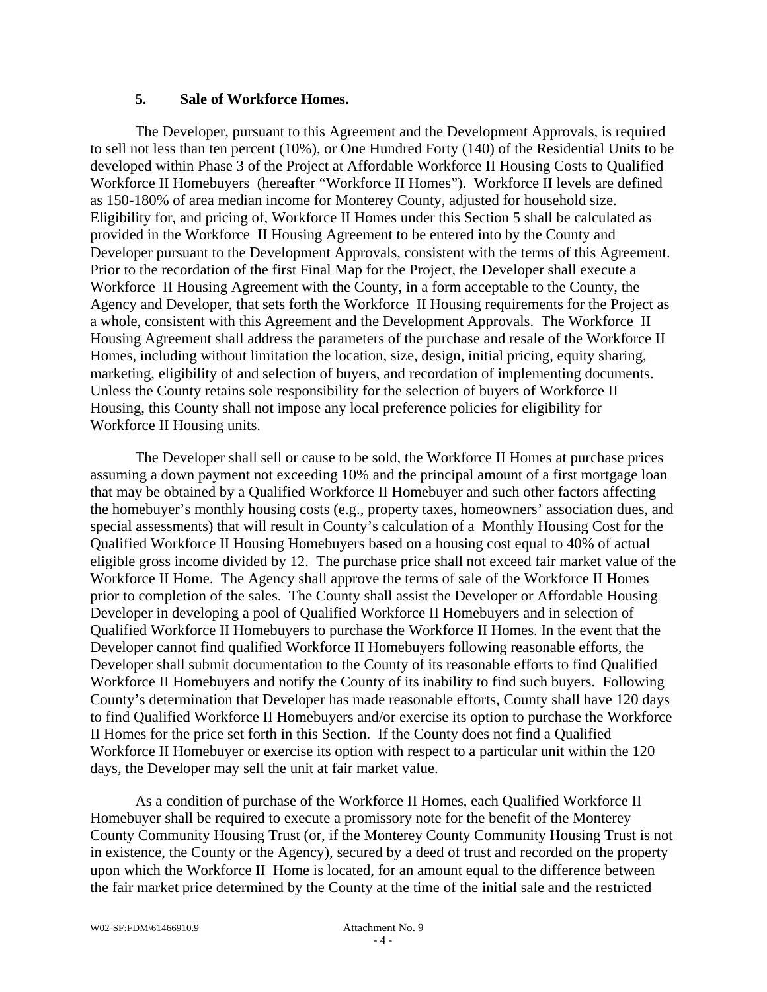### **5. Sale of Workforce Homes.**

The Developer, pursuant to this Agreement and the Development Approvals, is required to sell not less than ten percent (10%), or One Hundred Forty (140) of the Residential Units to be developed within Phase 3 of the Project at Affordable Workforce II Housing Costs to Qualified Workforce II Homebuyers (hereafter "Workforce II Homes"). Workforce II levels are defined as 150-180% of area median income for Monterey County, adjusted for household size. Eligibility for, and pricing of, Workforce II Homes under this Section 5 shall be calculated as provided in the Workforce II Housing Agreement to be entered into by the County and Developer pursuant to the Development Approvals, consistent with the terms of this Agreement. Prior to the recordation of the first Final Map for the Project, the Developer shall execute a Workforce II Housing Agreement with the County, in a form acceptable to the County, the Agency and Developer, that sets forth the Workforce II Housing requirements for the Project as a whole, consistent with this Agreement and the Development Approvals. The Workforce II Housing Agreement shall address the parameters of the purchase and resale of the Workforce II Homes, including without limitation the location, size, design, initial pricing, equity sharing, marketing, eligibility of and selection of buyers, and recordation of implementing documents. Unless the County retains sole responsibility for the selection of buyers of Workforce II Housing, this County shall not impose any local preference policies for eligibility for Workforce II Housing units.

The Developer shall sell or cause to be sold, the Workforce II Homes at purchase prices assuming a down payment not exceeding 10% and the principal amount of a first mortgage loan that may be obtained by a Qualified Workforce II Homebuyer and such other factors affecting the homebuyer's monthly housing costs (e.g., property taxes, homeowners' association dues, and special assessments) that will result in County's calculation of a Monthly Housing Cost for the Qualified Workforce II Housing Homebuyers based on a housing cost equal to 40% of actual eligible gross income divided by 12. The purchase price shall not exceed fair market value of the Workforce II Home. The Agency shall approve the terms of sale of the Workforce II Homes prior to completion of the sales. The County shall assist the Developer or Affordable Housing Developer in developing a pool of Qualified Workforce II Homebuyers and in selection of Qualified Workforce II Homebuyers to purchase the Workforce II Homes. In the event that the Developer cannot find qualified Workforce II Homebuyers following reasonable efforts, the Developer shall submit documentation to the County of its reasonable efforts to find Qualified Workforce II Homebuyers and notify the County of its inability to find such buyers. Following County's determination that Developer has made reasonable efforts, County shall have 120 days to find Qualified Workforce II Homebuyers and/or exercise its option to purchase the Workforce II Homes for the price set forth in this Section. If the County does not find a Qualified Workforce II Homebuyer or exercise its option with respect to a particular unit within the 120 days, the Developer may sell the unit at fair market value.

As a condition of purchase of the Workforce II Homes, each Qualified Workforce II Homebuyer shall be required to execute a promissory note for the benefit of the Monterey County Community Housing Trust (or, if the Monterey County Community Housing Trust is not in existence, the County or the Agency), secured by a deed of trust and recorded on the property upon which the Workforce II Home is located, for an amount equal to the difference between the fair market price determined by the County at the time of the initial sale and the restricted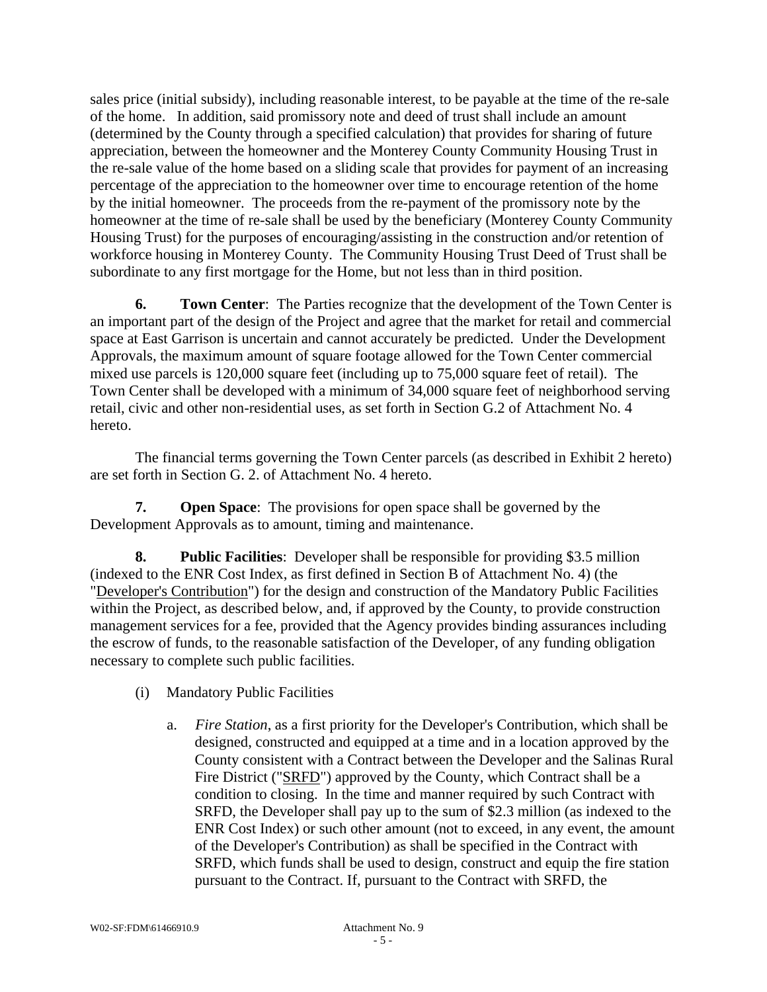sales price (initial subsidy), including reasonable interest, to be payable at the time of the re-sale of the home. In addition, said promissory note and deed of trust shall include an amount (determined by the County through a specified calculation) that provides for sharing of future appreciation, between the homeowner and the Monterey County Community Housing Trust in the re-sale value of the home based on a sliding scale that provides for payment of an increasing percentage of the appreciation to the homeowner over time to encourage retention of the home by the initial homeowner. The proceeds from the re-payment of the promissory note by the homeowner at the time of re-sale shall be used by the beneficiary (Monterey County Community Housing Trust) for the purposes of encouraging/assisting in the construction and/or retention of workforce housing in Monterey County. The Community Housing Trust Deed of Trust shall be subordinate to any first mortgage for the Home, but not less than in third position.

**6. Town Center**: The Parties recognize that the development of the Town Center is an important part of the design of the Project and agree that the market for retail and commercial space at East Garrison is uncertain and cannot accurately be predicted. Under the Development Approvals, the maximum amount of square footage allowed for the Town Center commercial mixed use parcels is 120,000 square feet (including up to 75,000 square feet of retail). The Town Center shall be developed with a minimum of 34,000 square feet of neighborhood serving retail, civic and other non-residential uses, as set forth in Section G.2 of Attachment No. 4 hereto.

The financial terms governing the Town Center parcels (as described in Exhibit 2 hereto) are set forth in Section G. 2. of Attachment No. 4 hereto.

**7. Open Space**: The provisions for open space shall be governed by the Development Approvals as to amount, timing and maintenance.

**8. Public Facilities**: Developer shall be responsible for providing \$3.5 million (indexed to the ENR Cost Index, as first defined in Section B of Attachment No. 4) (the "Developer's Contribution") for the design and construction of the Mandatory Public Facilities within the Project, as described below, and, if approved by the County, to provide construction management services for a fee, provided that the Agency provides binding assurances including the escrow of funds, to the reasonable satisfaction of the Developer, of any funding obligation necessary to complete such public facilities.

- (i) Mandatory Public Facilities
	- a. *Fire Station*, as a first priority for the Developer's Contribution, which shall be designed, constructed and equipped at a time and in a location approved by the County consistent with a Contract between the Developer and the Salinas Rural Fire District ("SRFD") approved by the County, which Contract shall be a condition to closing. In the time and manner required by such Contract with SRFD, the Developer shall pay up to the sum of \$2.3 million (as indexed to the ENR Cost Index) or such other amount (not to exceed, in any event, the amount of the Developer's Contribution) as shall be specified in the Contract with SRFD, which funds shall be used to design, construct and equip the fire station pursuant to the Contract. If, pursuant to the Contract with SRFD, the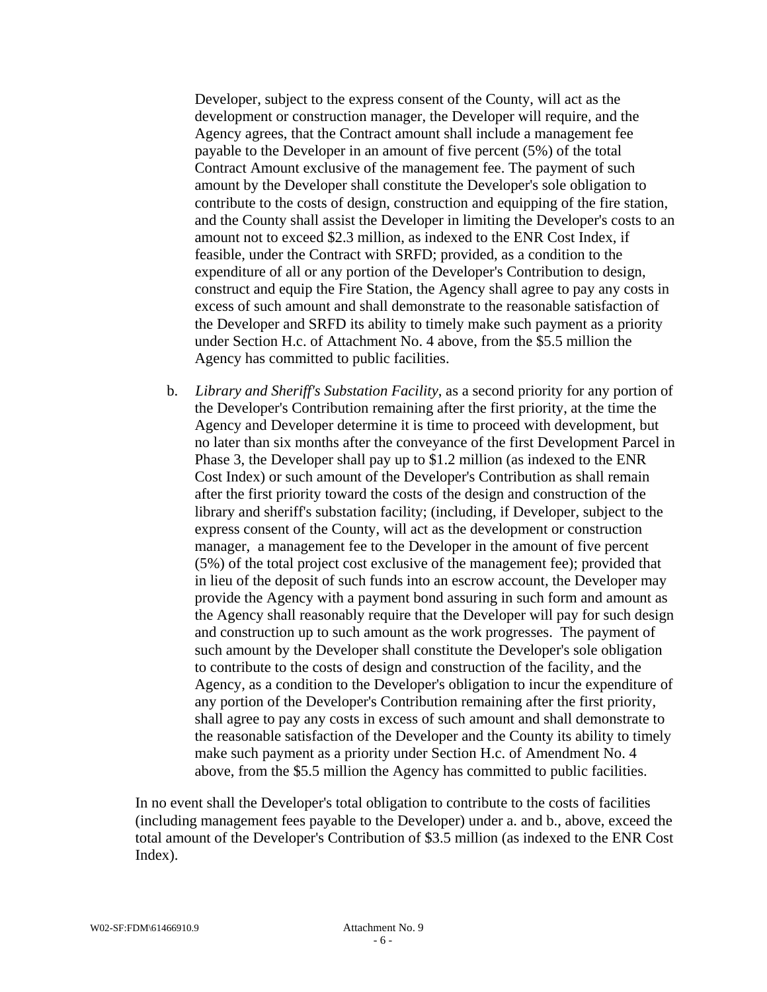Developer, subject to the express consent of the County, will act as the development or construction manager, the Developer will require, and the Agency agrees, that the Contract amount shall include a management fee payable to the Developer in an amount of five percent (5%) of the total Contract Amount exclusive of the management fee. The payment of such amount by the Developer shall constitute the Developer's sole obligation to contribute to the costs of design, construction and equipping of the fire station, and the County shall assist the Developer in limiting the Developer's costs to an amount not to exceed \$2.3 million, as indexed to the ENR Cost Index, if feasible, under the Contract with SRFD; provided, as a condition to the expenditure of all or any portion of the Developer's Contribution to design, construct and equip the Fire Station, the Agency shall agree to pay any costs in excess of such amount and shall demonstrate to the reasonable satisfaction of the Developer and SRFD its ability to timely make such payment as a priority under Section H.c. of Attachment No. 4 above, from the \$5.5 million the Agency has committed to public facilities.

b. *Library and Sheriff's Substation Facility*, as a second priority for any portion of the Developer's Contribution remaining after the first priority, at the time the Agency and Developer determine it is time to proceed with development, but no later than six months after the conveyance of the first Development Parcel in Phase 3, the Developer shall pay up to \$1.2 million (as indexed to the ENR Cost Index) or such amount of the Developer's Contribution as shall remain after the first priority toward the costs of the design and construction of the library and sheriff's substation facility; (including, if Developer, subject to the express consent of the County, will act as the development or construction manager, a management fee to the Developer in the amount of five percent (5%) of the total project cost exclusive of the management fee); provided that in lieu of the deposit of such funds into an escrow account, the Developer may provide the Agency with a payment bond assuring in such form and amount as the Agency shall reasonably require that the Developer will pay for such design and construction up to such amount as the work progresses. The payment of such amount by the Developer shall constitute the Developer's sole obligation to contribute to the costs of design and construction of the facility, and the Agency, as a condition to the Developer's obligation to incur the expenditure of any portion of the Developer's Contribution remaining after the first priority, shall agree to pay any costs in excess of such amount and shall demonstrate to the reasonable satisfaction of the Developer and the County its ability to timely make such payment as a priority under Section H.c. of Amendment No. 4 above, from the \$5.5 million the Agency has committed to public facilities.

In no event shall the Developer's total obligation to contribute to the costs of facilities (including management fees payable to the Developer) under a. and b., above, exceed the total amount of the Developer's Contribution of \$3.5 million (as indexed to the ENR Cost Index).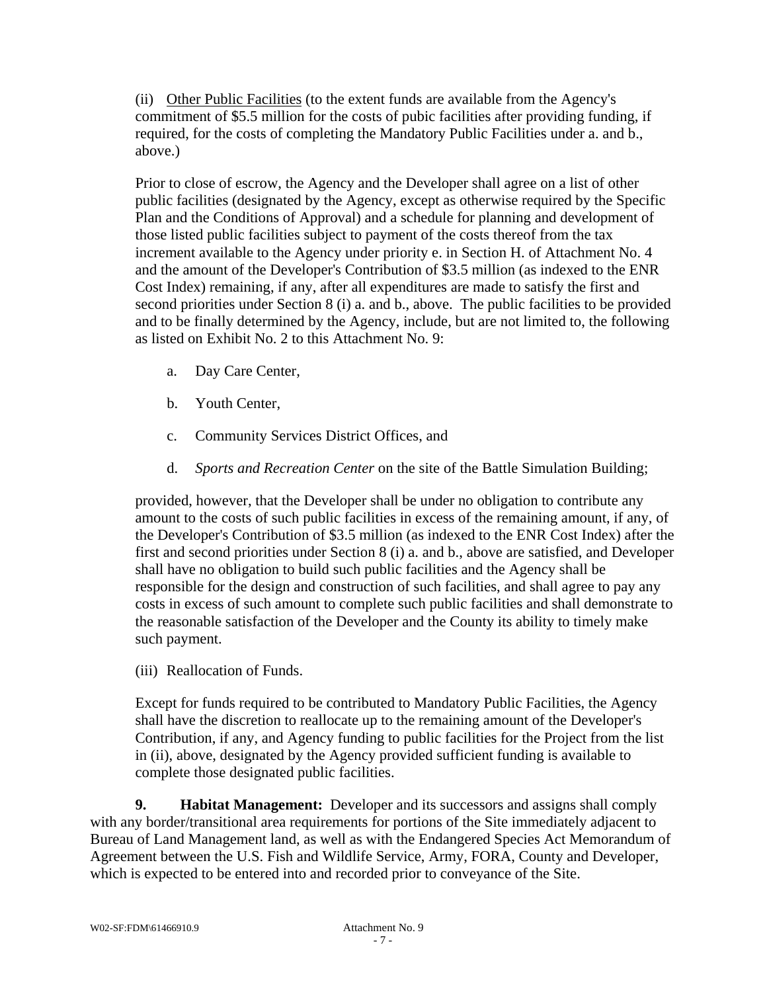(ii) Other Public Facilities (to the extent funds are available from the Agency's commitment of \$5.5 million for the costs of pubic facilities after providing funding, if required, for the costs of completing the Mandatory Public Facilities under a. and b., above.)

Prior to close of escrow, the Agency and the Developer shall agree on a list of other public facilities (designated by the Agency, except as otherwise required by the Specific Plan and the Conditions of Approval) and a schedule for planning and development of those listed public facilities subject to payment of the costs thereof from the tax increment available to the Agency under priority e. in Section H. of Attachment No. 4 and the amount of the Developer's Contribution of \$3.5 million (as indexed to the ENR Cost Index) remaining, if any, after all expenditures are made to satisfy the first and second priorities under Section 8 (i) a. and b., above. The public facilities to be provided and to be finally determined by the Agency, include, but are not limited to, the following as listed on Exhibit No. 2 to this Attachment No. 9:

- a. Day Care Center,
- b. Youth Center,
- c. Community Services District Offices, and
- d. *Sports and Recreation Center* on the site of the Battle Simulation Building;

provided, however, that the Developer shall be under no obligation to contribute any amount to the costs of such public facilities in excess of the remaining amount, if any, of the Developer's Contribution of \$3.5 million (as indexed to the ENR Cost Index) after the first and second priorities under Section 8 (i) a. and b., above are satisfied, and Developer shall have no obligation to build such public facilities and the Agency shall be responsible for the design and construction of such facilities, and shall agree to pay any costs in excess of such amount to complete such public facilities and shall demonstrate to the reasonable satisfaction of the Developer and the County its ability to timely make such payment.

(iii) Reallocation of Funds.

Except for funds required to be contributed to Mandatory Public Facilities, the Agency shall have the discretion to reallocate up to the remaining amount of the Developer's Contribution, if any, and Agency funding to public facilities for the Project from the list in (ii), above, designated by the Agency provided sufficient funding is available to complete those designated public facilities.

**9. Habitat Management:** Developer and its successors and assigns shall comply with any border/transitional area requirements for portions of the Site immediately adjacent to Bureau of Land Management land, as well as with the Endangered Species Act Memorandum of Agreement between the U.S. Fish and Wildlife Service, Army, FORA, County and Developer, which is expected to be entered into and recorded prior to conveyance of the Site.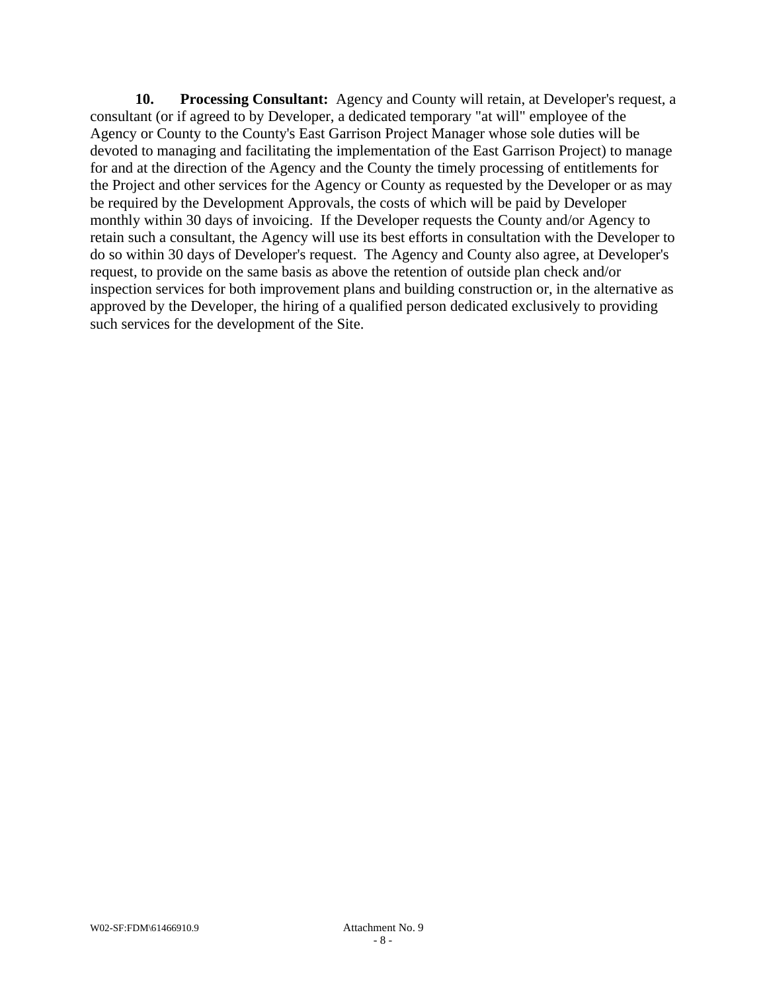**10. Processing Consultant:** Agency and County will retain, at Developer's request, a consultant (or if agreed to by Developer, a dedicated temporary "at will" employee of the Agency or County to the County's East Garrison Project Manager whose sole duties will be devoted to managing and facilitating the implementation of the East Garrison Project) to manage for and at the direction of the Agency and the County the timely processing of entitlements for the Project and other services for the Agency or County as requested by the Developer or as may be required by the Development Approvals, the costs of which will be paid by Developer monthly within 30 days of invoicing. If the Developer requests the County and/or Agency to retain such a consultant, the Agency will use its best efforts in consultation with the Developer to do so within 30 days of Developer's request. The Agency and County also agree, at Developer's request, to provide on the same basis as above the retention of outside plan check and/or inspection services for both improvement plans and building construction or, in the alternative as approved by the Developer, the hiring of a qualified person dedicated exclusively to providing such services for the development of the Site.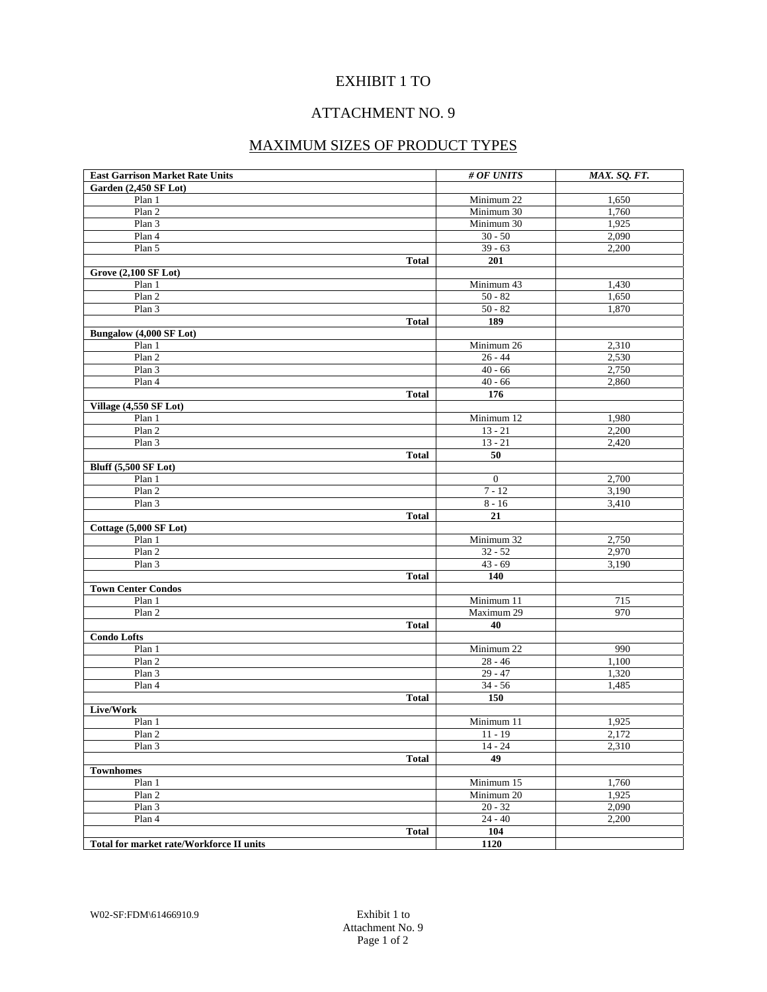## EXHIBIT 1 TO

# ATTACHMENT NO. 9

## MAXIMUM SIZES OF PRODUCT TYPES

| <b>East Garrison Market Rate Units</b>   |              | # OF UNITS     | MAX. SQ. FT. |
|------------------------------------------|--------------|----------------|--------------|
| Garden (2,450 SF Lot)                    |              |                |              |
| Plan 1                                   |              | Minimum 22     | 1,650        |
| Plan 2                                   |              | Minimum 30     | 1,760        |
| Plan 3                                   |              | Minimum 30     | 1,925        |
| Plan 4                                   |              | $30 - 50$      | 2,090        |
| Plan 5                                   |              | $39 - 63$      | 2,200        |
|                                          | <b>Total</b> | 201            |              |
| <b>Grove (2,100 SF Lot)</b>              |              |                |              |
| Plan 1                                   |              | Minimum 43     | 1,430        |
| Plan 2                                   |              | $50 - 82$      | 1,650        |
| Plan 3                                   |              | $50 - 82$      | 1,870        |
|                                          | <b>Total</b> | 189            |              |
| Bungalow (4,000 SF Lot)                  |              |                |              |
| Plan 1                                   |              | Minimum 26     | 2,310        |
| Plan 2                                   |              | $26 - 44$      | 2,530        |
| Plan 3                                   |              | $40 - 66$      | 2,750        |
| Plan 4                                   |              | $40 - 66$      | 2,860        |
|                                          | <b>Total</b> | 176            |              |
| Village (4,550 SF Lot)                   |              |                |              |
| Plan 1                                   |              | Minimum 12     | 1,980        |
| Plan 2                                   |              | $13 - 21$      | 2,200        |
| Plan 3                                   |              | $13 - 21$      | 2,420        |
|                                          | <b>Total</b> | 50             |              |
| <b>Bluff (5,500 SF Lot)</b>              |              |                |              |
| Plan 1                                   |              | $\overline{0}$ | 2,700        |
| Plan 2                                   |              | $7 - 12$       | 3,190        |
| Plan 3                                   |              | $8 - 16$       | 3,410        |
|                                          | <b>Total</b> | 21             |              |
| Cottage (5,000 SF Lot)                   |              |                |              |
| Plan 1                                   |              | Minimum 32     | 2,750        |
| Plan 2                                   |              | $32 - 52$      | 2,970        |
| Plan 3                                   |              | $43 - 69$      | 3,190        |
|                                          | Total        | 140            |              |
| <b>Town Center Condos</b>                |              |                |              |
| Plan 1                                   |              | Minimum 11     | 715          |
| Plan 2                                   |              | Maximum 29     | 970          |
|                                          | <b>Total</b> | 40             |              |
| <b>Condo Lofts</b>                       |              |                |              |
| Plan 1                                   |              | Minimum 22     | 990          |
| Plan 2                                   |              | $28 - 46$      | 1,100        |
| Plan 3                                   |              | $29 - 47$      | 1,320        |
| Plan 4                                   |              | $34 - 56$      | 1,485        |
|                                          | <b>Total</b> | 150            |              |
| Live/Work                                |              |                |              |
| Plan 1                                   |              | Minimum 11     | 1,925        |
| Plan 2                                   |              | $11 - 19$      | 2,172        |
| Plan 3                                   |              | $14 - 24$      | 2,310        |
|                                          | <b>Total</b> | 49             |              |
| <b>Townhomes</b>                         |              |                |              |
| Plan 1                                   |              | Minimum 15     | 1,760        |
| Plan 2                                   |              | Minimum 20     | 1,925        |
| Plan 3                                   |              | $20 - 32$      | 2,090        |
| Plan 4                                   |              | $24 - 40$      | 2,200        |
|                                          | <b>Total</b> | 104            |              |
| Total for market rate/Workforce II units |              | 1120           |              |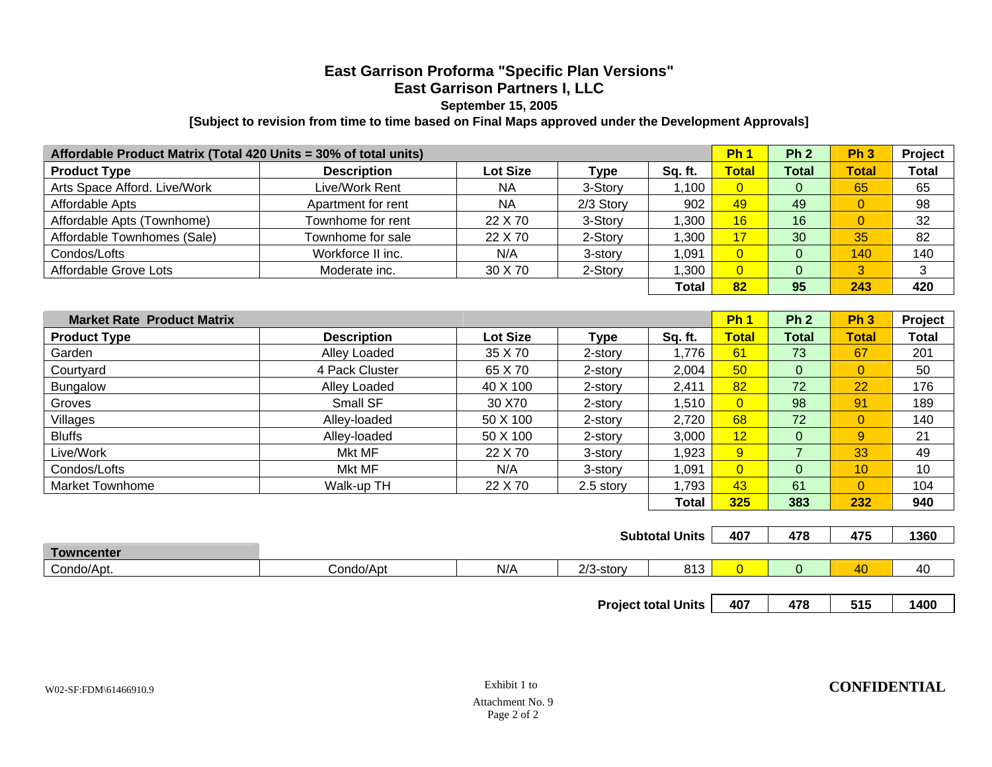## **East Garrison Proforma "Specific Plan Versions" East Garrison Partners I, LLC September 15, 2005**

#### **[Subject to revision from time to time based on Final Maps approved under the Development Approvals]**

| Affordable Product Matrix (Total 420 Units = 30% of total units) |                    |           |           | <b>Ph</b> | Ph <sub>2</sub> | Ph <sub>3</sub> | <b>Project</b> |              |
|------------------------------------------------------------------|--------------------|-----------|-----------|-----------|-----------------|-----------------|----------------|--------------|
| <b>Product Type</b>                                              | <b>Description</b> | Lot Size  | Type      | Sq. ft.   | <b>Total</b>    | <b>Total</b>    | <b>Total</b>   | <b>Total</b> |
| Arts Space Afford. Live/Work                                     | Live/Work Rent     | <b>NA</b> | 3-Story   | 1.100     | $\overline{0}$  | 0               | 65             | 65           |
| Affordable Apts                                                  | Apartment for rent | <b>NA</b> | 2/3 Story | 902       | 49              | 49              | 0              | 98           |
| Affordable Apts (Townhome)                                       | Townhome for rent  | 22 X 70   | 3-Story   | .300 ا    | 16              | 16              |                | 32           |
| Affordable Townhomes (Sale)                                      | Townhome for sale  | 22 X 70   | 2-Story   | 0.300     | 17              | 30              | 35             | 82           |
| Condos/Lofts                                                     | Workforce II inc.  | N/A       | 3-story   | 1,091     |                 |                 | 140            | 140          |
| Affordable Grove Lots                                            | Moderate inc.      | 30 X 70   | 2-Story   | .300 ا    | $\overline{0}$  | 0               | 3              |              |
|                                                                  |                    |           |           | Total     | 82              | 95              | 243            | 420          |

| <b>Market Rate Product Matrix</b> |                    |                 |             |         | Ph:            | Ph <sub>2</sub> | Ph <sub>3</sub> | Project      |
|-----------------------------------|--------------------|-----------------|-------------|---------|----------------|-----------------|-----------------|--------------|
| <b>Product Type</b>               | <b>Description</b> | <b>Lot Size</b> | <b>Type</b> | Sq. ft. | <b>Total</b>   | <b>Total</b>    | <b>Total</b>    | <b>Total</b> |
| Garden                            | Alley Loaded       | 35 X 70         | 2-story     | 1,776   | 61             | 73              | 67              | 201          |
| Courtyard                         | 4 Pack Cluster     | 65 X 70         | 2-story     | 2,004   | 50             | 0               | 0               | 50           |
| Bungalow                          | Alley Loaded       | 40 X 100        | 2-story     | 2,411   | 82             | 72              | 22              | 176          |
| Groves                            | Small SF           | 30 X70          | 2-story     | 1,510   | $\overline{0}$ | 98              | 91              | 189          |
| Villages                          | Alley-loaded       | 50 X 100        | 2-story     | 2,720   | 68             | 72              | $\overline{0}$  | 140          |
| <b>Bluffs</b>                     | Alley-loaded       | 50 X 100        | 2-story     | 3,000   | 12             | 0               | 9               | 21           |
| Live/Work                         | Mkt MF             | 22 X 70         | 3-story     | 1,923   | 9              |                 | 33              | 49           |
| Condos/Lofts                      | Mkt MF             | N/A             | 3-story     | 1.091   | $\overline{0}$ | 0               | 10              | 10           |
| <b>Market Townhome</b>            | Walk-up TH         | 22 X 70         | 2.5 story   | 1.793   | 43             | 61              | 0               | 104          |
|                                   |                    |                 |             | Total   | 325            | 383             | 232             | 940          |

|                   |           |     |                     | <b>Subtotal Units</b> | 407 | 478 | 475     | 1360                  |
|-------------------|-----------|-----|---------------------|-----------------------|-----|-----|---------|-----------------------|
| <b>Towncenter</b> |           |     |                     |                       |     |     |         |                       |
| Condo/Apt.        | Condo/Apt | N/A | $\sim$<br>∠/3-storv | 912<br>ט ו ט          |     |     | AC<br>w | $\overline{ }$<br>-40 |

**Project total Units** | 407 | 478 | 515 | 1400

W02-SF:FDM\61466910.9 **CONFIDENTIAL**